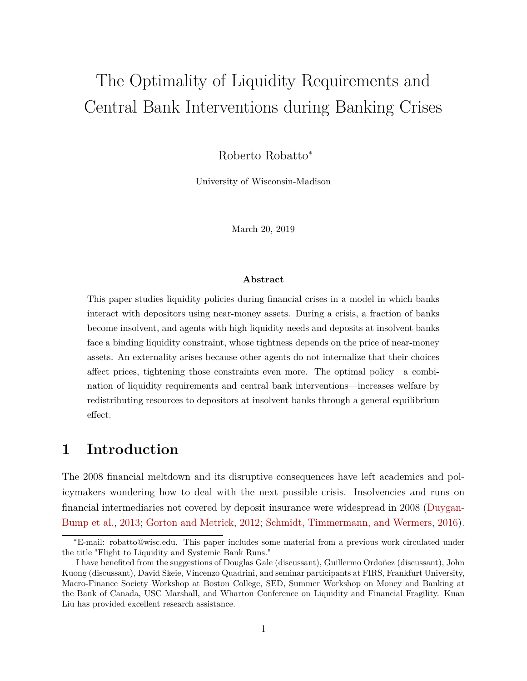# The Optimality of Liquidity Requirements and Central Bank Interventions during Banking Crises

Roberto Robatto<sup>∗</sup>

University of Wisconsin-Madison

March 20, 2019

#### **Abstract**

This paper studies liquidity policies during financial crises in a model in which banks interact with depositors using near-money assets. During a crisis, a fraction of banks become insolvent, and agents with high liquidity needs and deposits at insolvent banks face a binding liquidity constraint, whose tightness depends on the price of near-money assets. An externality arises because other agents do not internalize that their choices affect prices, tightening those constraints even more. The optimal policy—a combination of liquidity requirements and central bank interventions—increases welfare by redistributing resources to depositors at insolvent banks through a general equilibrium effect.

## **1 Introduction**

The 2008 financial meltdown and its disruptive consequences have left academics and policymakers wondering how to deal with the next possible crisis. Insolvencies and runs on financial intermediaries not covered by deposit insurance were widespread in 2008 [\(Duygan-](#page-42-0)[Bump et al.,](#page-42-0) [2013;](#page-42-0) [Gorton and Metrick,](#page-42-1) [2012;](#page-42-1) [Schmidt, Timmermann, and Wermers,](#page-43-0) [2016\)](#page-43-0).

<sup>∗</sup>E-mail: robatto@wisc.edu. This paper includes some material from a previous work circulated under the title "Flight to Liquidity and Systemic Bank Runs."

I have benefited from the suggestions of Douglas Gale (discussant), Guillermo Ordoñez (discussant), John Kuong (discussant), David Skeie, Vincenzo Quadrini, and seminar participants at FIRS, Frankfurt University, Macro-Finance Society Workshop at Boston College, SED, Summer Workshop on Money and Banking at the Bank of Canada, USC Marshall, and Wharton Conference on Liquidity and Financial Fragility. Kuan Liu has provided excellent research assistance.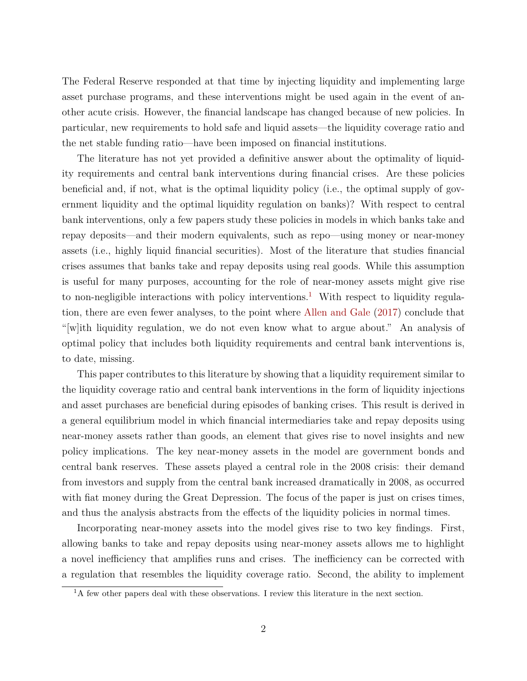The Federal Reserve responded at that time by injecting liquidity and implementing large asset purchase programs, and these interventions might be used again in the event of another acute crisis. However, the financial landscape has changed because of new policies. In particular, new requirements to hold safe and liquid assets—the liquidity coverage ratio and the net stable funding ratio—have been imposed on financial institutions.

The literature has not yet provided a definitive answer about the optimality of liquidity requirements and central bank interventions during financial crises. Are these policies beneficial and, if not, what is the optimal liquidity policy (i.e., the optimal supply of government liquidity and the optimal liquidity regulation on banks)? With respect to central bank interventions, only a few papers study these policies in models in which banks take and repay deposits—and their modern equivalents, such as repo—using money or near-money assets (i.e., highly liquid financial securities). Most of the literature that studies financial crises assumes that banks take and repay deposits using real goods. While this assumption is useful for many purposes, accounting for the role of near-money assets might give rise to non-negligible interactions with policy interventions.<sup>[1](#page-1-0)</sup> With respect to liquidity regulation, there are even fewer analyses, to the point where [Allen and Gale](#page-41-0) [\(2017\)](#page-41-0) conclude that "[w]ith liquidity regulation, we do not even know what to argue about." An analysis of optimal policy that includes both liquidity requirements and central bank interventions is, to date, missing.

This paper contributes to this literature by showing that a liquidity requirement similar to the liquidity coverage ratio and central bank interventions in the form of liquidity injections and asset purchases are beneficial during episodes of banking crises. This result is derived in a general equilibrium model in which financial intermediaries take and repay deposits using near-money assets rather than goods, an element that gives rise to novel insights and new policy implications. The key near-money assets in the model are government bonds and central bank reserves. These assets played a central role in the 2008 crisis: their demand from investors and supply from the central bank increased dramatically in 2008, as occurred with fiat money during the Great Depression. The focus of the paper is just on crises times, and thus the analysis abstracts from the effects of the liquidity policies in normal times.

Incorporating near-money assets into the model gives rise to two key findings. First, allowing banks to take and repay deposits using near-money assets allows me to highlight a novel inefficiency that amplifies runs and crises. The inefficiency can be corrected with a regulation that resembles the liquidity coverage ratio. Second, the ability to implement

<span id="page-1-0"></span> ${}^{1}\mathrm{A}$  few other papers deal with these observations. I review this literature in the next section.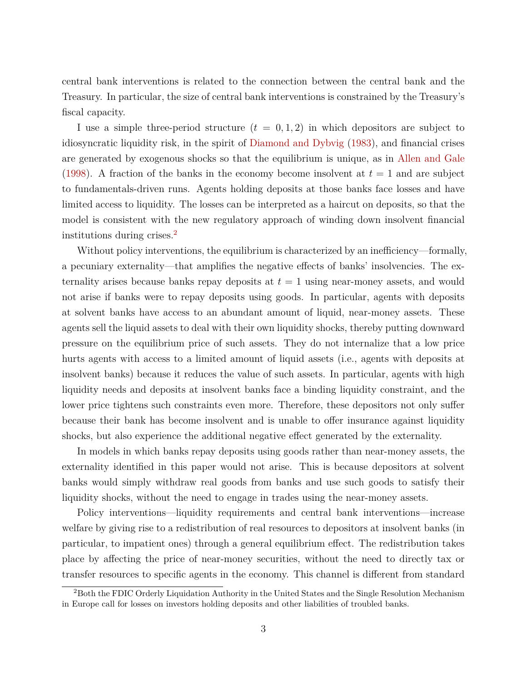central bank interventions is related to the connection between the central bank and the Treasury. In particular, the size of central bank interventions is constrained by the Treasury's fiscal capacity.

I use a simple three-period structure  $(t = 0, 1, 2)$  in which depositors are subject to idiosyncratic liquidity risk, in the spirit of [Diamond and Dybvig](#page-41-1) [\(1983\)](#page-41-1), and financial crises are generated by exogenous shocks so that the equilibrium is unique, as in [Allen and Gale](#page-41-2) [\(1998\)](#page-41-2). A fraction of the banks in the economy become insolvent at  $t = 1$  and are subject to fundamentals-driven runs. Agents holding deposits at those banks face losses and have limited access to liquidity. The losses can be interpreted as a haircut on deposits, so that the model is consistent with the new regulatory approach of winding down insolvent financial institutions during crises.[2](#page-2-0)

Without policy interventions, the equilibrium is characterized by an inefficiency—formally, a pecuniary externality—that amplifies the negative effects of banks' insolvencies. The externality arises because banks repay deposits at *t* = 1 using near-money assets, and would not arise if banks were to repay deposits using goods. In particular, agents with deposits at solvent banks have access to an abundant amount of liquid, near-money assets. These agents sell the liquid assets to deal with their own liquidity shocks, thereby putting downward pressure on the equilibrium price of such assets. They do not internalize that a low price hurts agents with access to a limited amount of liquid assets (i.e., agents with deposits at insolvent banks) because it reduces the value of such assets. In particular, agents with high liquidity needs and deposits at insolvent banks face a binding liquidity constraint, and the lower price tightens such constraints even more. Therefore, these depositors not only suffer because their bank has become insolvent and is unable to offer insurance against liquidity shocks, but also experience the additional negative effect generated by the externality.

In models in which banks repay deposits using goods rather than near-money assets, the externality identified in this paper would not arise. This is because depositors at solvent banks would simply withdraw real goods from banks and use such goods to satisfy their liquidity shocks, without the need to engage in trades using the near-money assets.

Policy interventions—liquidity requirements and central bank interventions—increase welfare by giving rise to a redistribution of real resources to depositors at insolvent banks (in particular, to impatient ones) through a general equilibrium effect. The redistribution takes place by affecting the price of near-money securities, without the need to directly tax or transfer resources to specific agents in the economy. This channel is different from standard

<span id="page-2-0"></span><sup>2</sup>Both the FDIC Orderly Liquidation Authority in the United States and the Single Resolution Mechanism in Europe call for losses on investors holding deposits and other liabilities of troubled banks.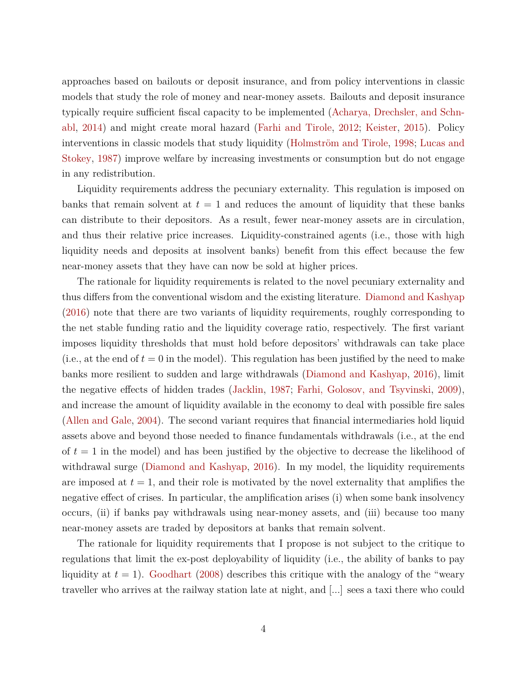approaches based on bailouts or deposit insurance, and from policy interventions in classic models that study the role of money and near-money assets. Bailouts and deposit insurance typically require sufficient fiscal capacity to be implemented [\(Acharya, Drechsler, and Schn](#page-40-0)[abl,](#page-40-0) [2014\)](#page-40-0) and might create moral hazard [\(Farhi and Tirole,](#page-42-2) [2012;](#page-42-2) [Keister,](#page-43-1) [2015\)](#page-43-1). Policy interventions in classic models that study liquidity [\(Holmström and Tirole,](#page-42-3) [1998;](#page-42-3) [Lucas and](#page-43-2) [Stokey,](#page-43-2) [1987\)](#page-43-2) improve welfare by increasing investments or consumption but do not engage in any redistribution.

Liquidity requirements address the pecuniary externality. This regulation is imposed on banks that remain solvent at  $t = 1$  and reduces the amount of liquidity that these banks can distribute to their depositors. As a result, fewer near-money assets are in circulation, and thus their relative price increases. Liquidity-constrained agents (i.e., those with high liquidity needs and deposits at insolvent banks) benefit from this effect because the few near-money assets that they have can now be sold at higher prices.

The rationale for liquidity requirements is related to the novel pecuniary externality and thus differs from the conventional wisdom and the existing literature. [Diamond and Kashyap](#page-41-3) [\(2016\)](#page-41-3) note that there are two variants of liquidity requirements, roughly corresponding to the net stable funding ratio and the liquidity coverage ratio, respectively. The first variant imposes liquidity thresholds that must hold before depositors' withdrawals can take place (i.e., at the end of  $t = 0$  in the model). This regulation has been justified by the need to make banks more resilient to sudden and large withdrawals [\(Diamond and Kashyap,](#page-41-3) [2016\)](#page-41-3), limit the negative effects of hidden trades [\(Jacklin,](#page-42-4) [1987;](#page-42-4) [Farhi, Golosov, and Tsyvinski,](#page-42-5) [2009\)](#page-42-5), and increase the amount of liquidity available in the economy to deal with possible fire sales [\(Allen and Gale,](#page-41-4) [2004\)](#page-41-4). The second variant requires that financial intermediaries hold liquid assets above and beyond those needed to finance fundamentals withdrawals (i.e., at the end of  $t = 1$  in the model) and has been justified by the objective to decrease the likelihood of withdrawal surge [\(Diamond and Kashyap,](#page-41-3) [2016\)](#page-41-3). In my model, the liquidity requirements are imposed at  $t = 1$ , and their role is motivated by the novel externality that amplifies the negative effect of crises. In particular, the amplification arises (i) when some bank insolvency occurs, (ii) if banks pay withdrawals using near-money assets, and (iii) because too many near-money assets are traded by depositors at banks that remain solvent.

The rationale for liquidity requirements that I propose is not subject to the critique to regulations that limit the ex-post deployability of liquidity (i.e., the ability of banks to pay liquidity at  $t = 1$ . [Goodhart](#page-42-6) [\(2008\)](#page-42-6) describes this critique with the analogy of the "weary traveller who arrives at the railway station late at night, and [...] sees a taxi there who could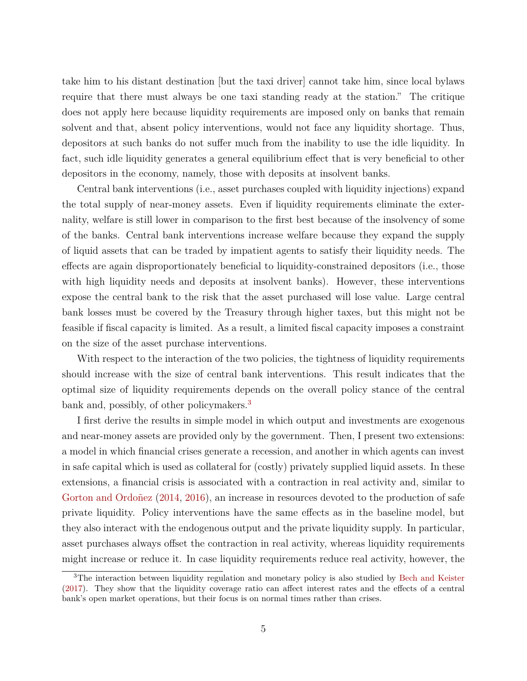take him to his distant destination [but the taxi driver] cannot take him, since local bylaws require that there must always be one taxi standing ready at the station." The critique does not apply here because liquidity requirements are imposed only on banks that remain solvent and that, absent policy interventions, would not face any liquidity shortage. Thus, depositors at such banks do not suffer much from the inability to use the idle liquidity. In fact, such idle liquidity generates a general equilibrium effect that is very beneficial to other depositors in the economy, namely, those with deposits at insolvent banks.

Central bank interventions (i.e., asset purchases coupled with liquidity injections) expand the total supply of near-money assets. Even if liquidity requirements eliminate the externality, welfare is still lower in comparison to the first best because of the insolvency of some of the banks. Central bank interventions increase welfare because they expand the supply of liquid assets that can be traded by impatient agents to satisfy their liquidity needs. The effects are again disproportionately beneficial to liquidity-constrained depositors (i.e., those with high liquidity needs and deposits at insolvent banks). However, these interventions expose the central bank to the risk that the asset purchased will lose value. Large central bank losses must be covered by the Treasury through higher taxes, but this might not be feasible if fiscal capacity is limited. As a result, a limited fiscal capacity imposes a constraint on the size of the asset purchase interventions.

With respect to the interaction of the two policies, the tightness of liquidity requirements should increase with the size of central bank interventions. This result indicates that the optimal size of liquidity requirements depends on the overall policy stance of the central bank and, possibly, of other policymakers.<sup>[3](#page-4-0)</sup>

I first derive the results in simple model in which output and investments are exogenous and near-money assets are provided only by the government. Then, I present two extensions: a model in which financial crises generate a recession, and another in which agents can invest in safe capital which is used as collateral for (costly) privately supplied liquid assets. In these extensions, a financial crisis is associated with a contraction in real activity and, similar to [Gorton and Ordoñez](#page-42-7) [\(2014,](#page-42-7) [2016\)](#page-42-8), an increase in resources devoted to the production of safe private liquidity. Policy interventions have the same effects as in the baseline model, but they also interact with the endogenous output and the private liquidity supply. In particular, asset purchases always offset the contraction in real activity, whereas liquidity requirements might increase or reduce it. In case liquidity requirements reduce real activity, however, the

<span id="page-4-0"></span><sup>3</sup>The interaction between liquidity regulation and monetary policy is also studied by [Bech and Keister](#page-41-5) [\(2017\)](#page-41-5). They show that the liquidity coverage ratio can affect interest rates and the effects of a central bank's open market operations, but their focus is on normal times rather than crises.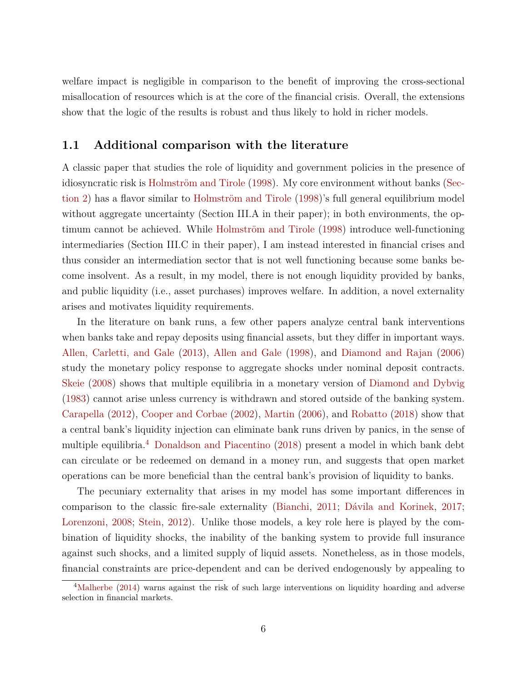welfare impact is negligible in comparison to the benefit of improving the cross-sectional misallocation of resources which is at the core of the financial crisis. Overall, the extensions show that the logic of the results is robust and thus likely to hold in richer models.

#### **1.1 Additional comparison with the literature**

A classic paper that studies the role of liquidity and government policies in the presence of idiosyncratic risk is [Holmström and Tirole](#page-42-3) [\(1998\)](#page-42-3). My core environment without banks [\(Sec](#page-6-0)[tion](#page-6-0) [2\)](#page-6-0) has a flavor similar to [Holmström and Tirole](#page-42-3) [\(1998\)](#page-42-3)'s full general equilibrium model without aggregate uncertainty (Section III.A in their paper); in both environments, the optimum cannot be achieved. While [Holmström and Tirole](#page-42-3) [\(1998\)](#page-42-3) introduce well-functioning intermediaries (Section III.C in their paper), I am instead interested in financial crises and thus consider an intermediation sector that is not well functioning because some banks become insolvent. As a result, in my model, there is not enough liquidity provided by banks, and public liquidity (i.e., asset purchases) improves welfare. In addition, a novel externality arises and motivates liquidity requirements.

In the literature on bank runs, a few other papers analyze central bank interventions when banks take and repay deposits using financial assets, but they differ in important ways. [Allen, Carletti, and Gale](#page-41-6) [\(2013\)](#page-41-6), [Allen and Gale](#page-41-2) [\(1998\)](#page-41-2), and [Diamond and Rajan](#page-41-7) [\(2006\)](#page-41-7) study the monetary policy response to aggregate shocks under nominal deposit contracts. [Skeie](#page-43-3) [\(2008\)](#page-43-3) shows that multiple equilibria in a monetary version of [Diamond and Dybvig](#page-41-1) [\(1983\)](#page-41-1) cannot arise unless currency is withdrawn and stored outside of the banking system. [Carapella](#page-41-8) [\(2012\)](#page-41-8), [Cooper and Corbae](#page-41-9) [\(2002\)](#page-41-9), [Martin](#page-43-4) [\(2006\)](#page-43-4), and [Robatto](#page-43-5) [\(2018\)](#page-43-5) show that a central bank's liquidity injection can eliminate bank runs driven by panics, in the sense of multiple equilibria.[4](#page-5-0) [Donaldson and Piacentino](#page-41-10) [\(2018\)](#page-41-10) present a model in which bank debt can circulate or be redeemed on demand in a money run, and suggests that open market operations can be more beneficial than the central bank's provision of liquidity to banks.

The pecuniary externality that arises in my model has some important differences in comparison to the classic fire-sale externality [\(Bianchi,](#page-41-11) [2011;](#page-41-11) [Dávila and Korinek,](#page-41-12) [2017;](#page-41-12) [Lorenzoni,](#page-43-6) [2008;](#page-43-6) [Stein,](#page-44-0) [2012\)](#page-44-0). Unlike those models, a key role here is played by the combination of liquidity shocks, the inability of the banking system to provide full insurance against such shocks, and a limited supply of liquid assets. Nonetheless, as in those models, financial constraints are price-dependent and can be derived endogenously by appealing to

<span id="page-5-0"></span><sup>&</sup>lt;sup>4</sup>[Malherbe](#page-43-7) [\(2014\)](#page-43-7) warns against the risk of such large interventions on liquidity hoarding and adverse selection in financial markets.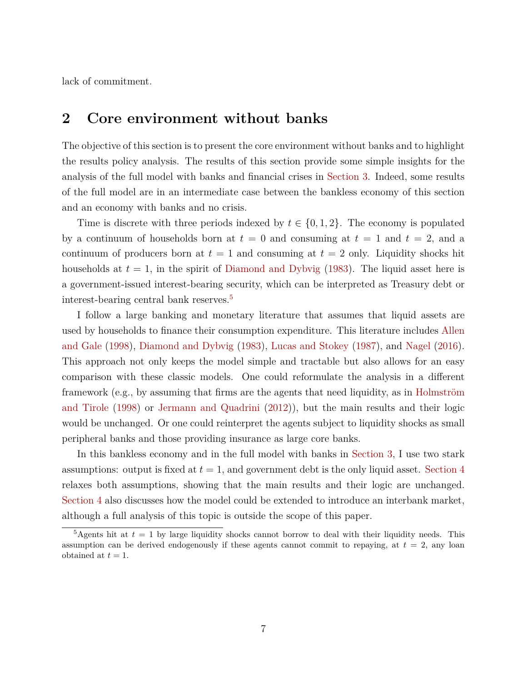lack of commitment.

## <span id="page-6-0"></span>**2 Core environment without banks**

The objective of this section is to present the core environment without banks and to highlight the results policy analysis. The results of this section provide some simple insights for the analysis of the full model with banks and financial crises in [Section](#page-20-0) [3.](#page-20-0) Indeed, some results of the full model are in an intermediate case between the bankless economy of this section and an economy with banks and no crisis.

Time is discrete with three periods indexed by  $t \in \{0, 1, 2\}$ . The economy is populated by a continuum of households born at  $t = 0$  and consuming at  $t = 1$  and  $t = 2$ , and a continuum of producers born at  $t = 1$  and consuming at  $t = 2$  only. Liquidity shocks hit households at  $t = 1$ , in the spirit of [Diamond and Dybvig](#page-41-1)  $(1983)$ . The liquid asset here is a government-issued interest-bearing security, which can be interpreted as Treasury debt or interest-bearing central bank reserves.[5](#page-6-1)

I follow a large banking and monetary literature that assumes that liquid assets are used by households to finance their consumption expenditure. This literature includes [Allen](#page-41-2) [and Gale](#page-41-2) [\(1998\)](#page-41-2), [Diamond and Dybvig](#page-41-1) [\(1983\)](#page-41-1), [Lucas and Stokey](#page-43-2) [\(1987\)](#page-43-2), and [Nagel](#page-43-8) [\(2016\)](#page-43-8). This approach not only keeps the model simple and tractable but also allows for an easy comparison with these classic models. One could reformulate the analysis in a different framework (e.g., by assuming that firms are the agents that need liquidity, as in [Holmström](#page-42-3) [and Tirole](#page-42-3) [\(1998\)](#page-42-3) or [Jermann and Quadrini](#page-42-9) [\(2012\)](#page-42-9)), but the main results and their logic would be unchanged. Or one could reinterpret the agents subject to liquidity shocks as small peripheral banks and those providing insurance as large core banks.

In this bankless economy and in the full model with banks in [Section](#page-20-0) [3,](#page-20-0) I use two stark assumptions: output is fixed at  $t = 1$ , and government debt is the only liquid asset. [Section](#page-34-0) [4](#page-34-0) relaxes both assumptions, showing that the main results and their logic are unchanged. [Section](#page-34-0) [4](#page-34-0) also discusses how the model could be extended to introduce an interbank market, although a full analysis of this topic is outside the scope of this paper.

<span id="page-6-1"></span><sup>&</sup>lt;sup>5</sup>Agents hit at  $t = 1$  by large liquidity shocks cannot borrow to deal with their liquidity needs. This assumption can be derived endogenously if these agents cannot commit to repaying, at  $t = 2$ , any loan obtained at  $t = 1$ .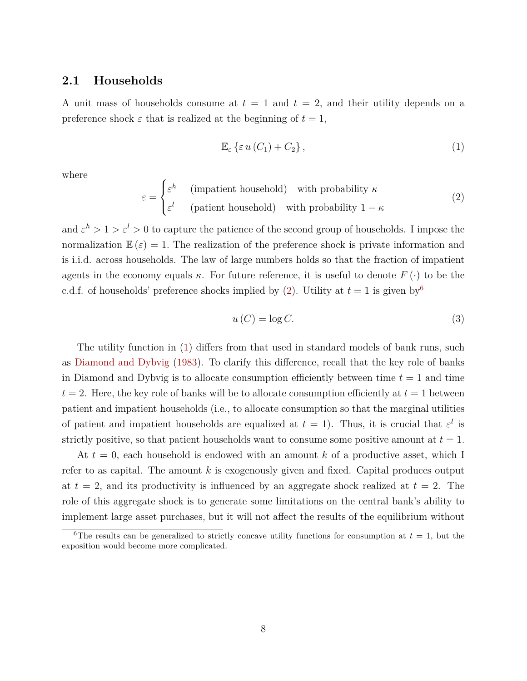#### <span id="page-7-4"></span>**2.1 Households**

A unit mass of households consume at  $t = 1$  and  $t = 2$ , and their utility depends on a preference shock  $\varepsilon$  that is realized at the beginning of  $t = 1$ ,

<span id="page-7-2"></span>
$$
\mathbb{E}_{\varepsilon} \left\{ \varepsilon u \left( C_1 \right) + C_2 \right\},\tag{1}
$$

where

<span id="page-7-0"></span>
$$
\varepsilon = \begin{cases} \varepsilon^h & \text{(impatient household)} \quad \text{with probability } \kappa \\ \varepsilon^l & \text{(patient household)} \quad \text{with probability } 1 - \kappa \end{cases} \tag{2}
$$

and  $\varepsilon^h > 1 > \varepsilon^l > 0$  to capture the patience of the second group of households. I impose the normalization  $\mathbb{E}(\varepsilon) = 1$ . The realization of the preference shock is private information and is i.i.d. across households. The law of large numbers holds so that the fraction of impatient agents in the economy equals  $\kappa$ . For future reference, it is useful to denote  $F(\cdot)$  to be the c.d.f. of households' preference shocks implied by  $(2)$ . Utility at  $t = 1$  is given by<sup>[6](#page-7-1)</sup>

<span id="page-7-3"></span>
$$
u\left(C\right) = \log C.\tag{3}
$$

The utility function in [\(1\)](#page-7-2) differs from that used in standard models of bank runs, such as [Diamond and Dybvig](#page-41-1) [\(1983\)](#page-41-1). To clarify this difference, recall that the key role of banks in Diamond and Dybvig is to allocate consumption efficiently between time  $t = 1$  and time  $t = 2$ . Here, the key role of banks will be to allocate consumption efficiently at  $t = 1$  between patient and impatient households (i.e., to allocate consumption so that the marginal utilities of patient and impatient households are equalized at  $t = 1$ ). Thus, it is crucial that  $\varepsilon^l$  is strictly positive, so that patient households want to consume some positive amount at  $t = 1$ .

At *t* = 0, each household is endowed with an amount *k* of a productive asset, which I refer to as capital. The amount *k* is exogenously given and fixed. Capital produces output at  $t = 2$ , and its productivity is influenced by an aggregate shock realized at  $t = 2$ . The role of this aggregate shock is to generate some limitations on the central bank's ability to implement large asset purchases, but it will not affect the results of the equilibrium without

<span id="page-7-1"></span><sup>&</sup>lt;sup>6</sup>The results can be generalized to strictly concave utility functions for consumption at  $t = 1$ , but the exposition would become more complicated.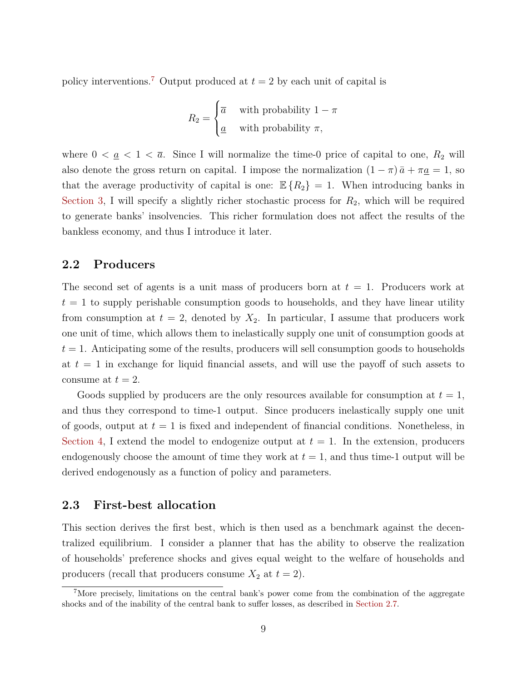policy interventions.<sup>[7](#page-8-0)</sup> Output produced at  $t = 2$  by each unit of capital is

$$
R_2 = \begin{cases} \overline{a} & \text{with probability } 1 - \pi \\ \underline{a} & \text{with probability } \pi, \end{cases}
$$

where  $0 < \underline{a} < 1 < \overline{a}$ . Since I will normalize the time-0 price of capital to one,  $R_2$  will also denote the gross return on capital. I impose the normalization  $(1 - \pi) \bar{a} + \pi \underline{a} = 1$ , so that the average productivity of capital is one:  $\mathbb{E}\{R_2\} = 1$ . When introducing banks in [Section](#page-20-0) [3,](#page-20-0) I will specify a slightly richer stochastic process for  $R_2$ , which will be required to generate banks' insolvencies. This richer formulation does not affect the results of the bankless economy, and thus I introduce it later.

#### **2.2 Producers**

The second set of agents is a unit mass of producers born at *t* = 1. Producers work at  $t = 1$  to supply perishable consumption goods to households, and they have linear utility from consumption at  $t = 2$ , denoted by  $X_2$ . In particular, I assume that producers work one unit of time, which allows them to inelastically supply one unit of consumption goods at  $t = 1$ . Anticipating some of the results, producers will sell consumption goods to households at  $t = 1$  in exchange for liquid financial assets, and will use the payoff of such assets to consume at  $t = 2$ .

Goods supplied by producers are the only resources available for consumption at  $t = 1$ , and thus they correspond to time-1 output. Since producers inelastically supply one unit of goods, output at  $t = 1$  is fixed and independent of financial conditions. Nonetheless, in [Section](#page-34-0) [4,](#page-34-0) I extend the model to endogenize output at  $t = 1$ . In the extension, producers endogenously choose the amount of time they work at  $t = 1$ , and thus time-1 output will be derived endogenously as a function of policy and parameters.

#### <span id="page-8-1"></span>**2.3 First-best allocation**

This section derives the first best, which is then used as a benchmark against the decentralized equilibrium. I consider a planner that has the ability to observe the realization of households' preference shocks and gives equal weight to the welfare of households and producers (recall that producers consume  $X_2$  at  $t = 2$ ).

<span id="page-8-0"></span><sup>7</sup>More precisely, limitations on the central bank's power come from the combination of the aggregate shocks and of the inability of the central bank to suffer losses, as described in [Section](#page-15-0) [2.7.](#page-15-0)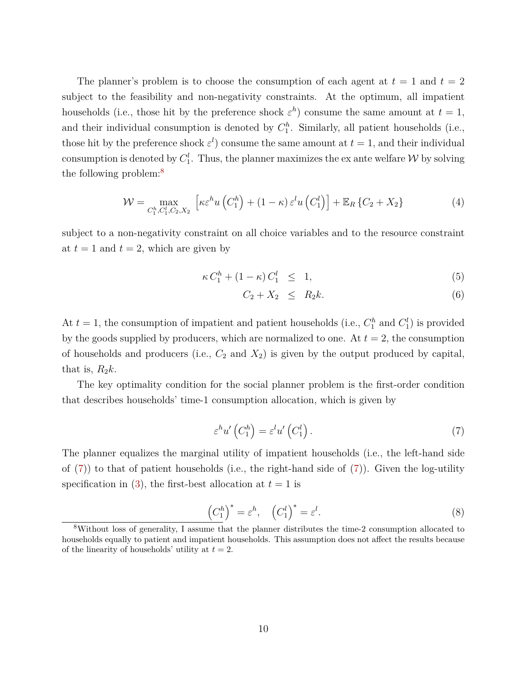The planner's problem is to choose the consumption of each agent at  $t = 1$  and  $t = 2$ subject to the feasibility and non-negativity constraints. At the optimum, all impatient households (i.e., those hit by the preference shock  $\varepsilon^h$ ) consume the same amount at  $t=1$ , and their individual consumption is denoted by  $C_1^h$ . Similarly, all patient households (i.e., those hit by the preference shock  $\varepsilon^l$ ) consume the same amount at  $t=1$ , and their individual consumption is denoted by  $C_1^l$ . Thus, the planner maximizes the ex ante welfare  $\mathcal W$  by solving the following problem:<sup>[8](#page-9-0)</sup>

<span id="page-9-3"></span>
$$
\mathcal{W} = \max_{C_1^h, C_1^l, C_2, X_2} \left[ \kappa \varepsilon^h u \left( C_1^h \right) + (1 - \kappa) \varepsilon^l u \left( C_1^l \right) \right] + \mathbb{E}_R \left\{ C_2 + X_2 \right\} \tag{4}
$$

subject to a non-negativity constraint on all choice variables and to the resource constraint at  $t = 1$  and  $t = 2$ , which are given by

<span id="page-9-4"></span>
$$
\kappa C_1^h + (1 - \kappa) C_1^l \leq 1,\tag{5}
$$

$$
C_2 + X_2 \leq R_2 k. \tag{6}
$$

At  $t = 1$ , the consumption of impatient and patient households (i.e.,  $C_1^h$  and  $C_1^l$ ) is provided by the goods supplied by producers, which are normalized to one. At  $t = 2$ , the consumption of households and producers (i.e.,  $C_2$  and  $X_2$ ) is given by the output produced by capital, that is,  $R_2k$ .

The key optimality condition for the social planner problem is the first-order condition that describes households' time-1 consumption allocation, which is given by

<span id="page-9-1"></span>
$$
\varepsilon^{h} u' \left( C_1^h \right) = \varepsilon^l u' \left( C_1^l \right). \tag{7}
$$

The planner equalizes the marginal utility of impatient households (i.e., the left-hand side of  $(7)$ ) to that of patient households (i.e., the right-hand side of  $(7)$ ). Given the log-utility specification in [\(3\)](#page-7-3), the first-best allocation at  $t = 1$  is

<span id="page-9-2"></span>
$$
\left(C_1^h\right)^* = \varepsilon^h, \quad \left(C_1^l\right)^* = \varepsilon^l. \tag{8}
$$

<span id="page-9-0"></span><sup>8</sup>Without loss of generality, I assume that the planner distributes the time-2 consumption allocated to households equally to patient and impatient households. This assumption does not affect the results because of the linearity of households' utility at  $t = 2$ .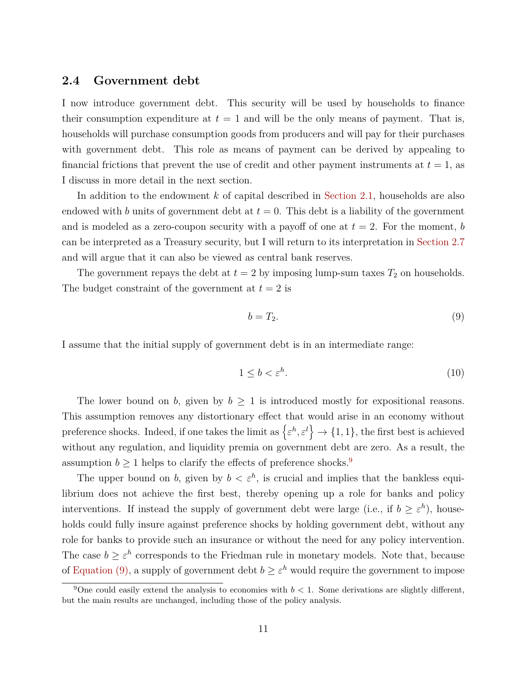#### **2.4 Government debt**

I now introduce government debt. This security will be used by households to finance their consumption expenditure at  $t = 1$  and will be the only means of payment. That is, households will purchase consumption goods from producers and will pay for their purchases with government debt. This role as means of payment can be derived by appealing to financial frictions that prevent the use of credit and other payment instruments at  $t = 1$ , as I discuss in more detail in the next section.

In addition to the endowment *k* of capital described in [Section](#page-7-4) [2.1,](#page-7-4) households are also endowed with *b* units of government debt at  $t = 0$ . This debt is a liability of the government and is modeled as a zero-coupon security with a payoff of one at  $t = 2$ . For the moment, *b* can be interpreted as a Treasury security, but I will return to its interpretation in [Section](#page-15-0) [2.7](#page-15-0) and will argue that it can also be viewed as central bank reserves.

The government repays the debt at  $t = 2$  by imposing lump-sum taxes  $T_2$  on households. The budget constraint of the government at  $t = 2$  is

<span id="page-10-1"></span>
$$
b = T_2. \tag{9}
$$

I assume that the initial supply of government debt is in an intermediate range:

<span id="page-10-2"></span>
$$
1 \le b < \varepsilon^h. \tag{10}
$$

The lower bound on *b*, given by  $b \geq 1$  is introduced mostly for expositional reasons. This assumption removes any distortionary effect that would arise in an economy without preference shocks. Indeed, if one takes the limit as  $\{\varepsilon^h, \varepsilon^l\} \to \{1, 1\}$ , the first best is achieved without any regulation, and liquidity premia on government debt are zero. As a result, the assumption  $b \geq 1$  helps to clarify the effects of preference shocks.<sup>[9](#page-10-0)</sup>

The upper bound on *b*, given by  $b < \varepsilon^h$ , is crucial and implies that the bankless equilibrium does not achieve the first best, thereby opening up a role for banks and policy interventions. If instead the supply of government debt were large (i.e., if  $b \geq \varepsilon^h$ ), households could fully insure against preference shocks by holding government debt, without any role for banks to provide such an insurance or without the need for any policy intervention. The case  $b \geq \varepsilon^h$  corresponds to the Friedman rule in monetary models. Note that, because of [Equation](#page-10-1) [\(9\),](#page-10-1) a supply of government debt  $b \geq \varepsilon^h$  would require the government to impose

<span id="page-10-0"></span><sup>&</sup>lt;sup>9</sup>One could easily extend the analysis to economies with  $b < 1$ . Some derivations are slightly different, but the main results are unchanged, including those of the policy analysis.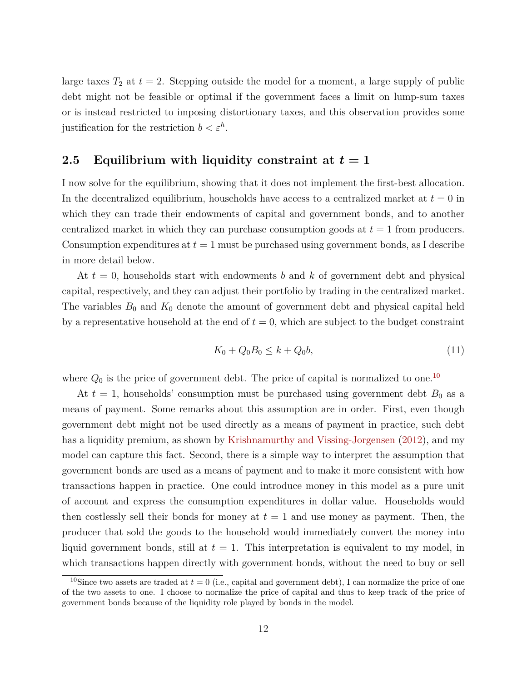large taxes  $T_2$  at  $t = 2$ . Stepping outside the model for a moment, a large supply of public debt might not be feasible or optimal if the government faces a limit on lump-sum taxes or is instead restricted to imposing distortionary taxes, and this observation provides some justification for the restriction  $b < \varepsilon^h$ .

#### **2.5 Equilibrium with liquidity constraint at** *t* **= 1**

I now solve for the equilibrium, showing that it does not implement the first-best allocation. In the decentralized equilibrium, households have access to a centralized market at  $t = 0$  in which they can trade their endowments of capital and government bonds, and to another centralized market in which they can purchase consumption goods at *t* = 1 from producers. Consumption expenditures at *t* = 1 must be purchased using government bonds, as I describe in more detail below.

At *t* = 0, households start with endowments *b* and *k* of government debt and physical capital, respectively, and they can adjust their portfolio by trading in the centralized market. The variables  $B_0$  and  $K_0$  denote the amount of government debt and physical capital held by a representative household at the end of  $t = 0$ , which are subject to the budget constraint

<span id="page-11-1"></span>
$$
K_0 + Q_0 B_0 \le k + Q_0 b,\tag{11}
$$

where  $Q_0$  is the price of government debt. The price of capital is normalized to one.<sup>[10](#page-11-0)</sup>

At  $t = 1$ , households' consumption must be purchased using government debt  $B_0$  as a means of payment. Some remarks about this assumption are in order. First, even though government debt might not be used directly as a means of payment in practice, such debt has a liquidity premium, as shown by [Krishnamurthy and Vissing-Jorgensen](#page-43-9) [\(2012\)](#page-43-9), and my model can capture this fact. Second, there is a simple way to interpret the assumption that government bonds are used as a means of payment and to make it more consistent with how transactions happen in practice. One could introduce money in this model as a pure unit of account and express the consumption expenditures in dollar value. Households would then costlessly sell their bonds for money at  $t = 1$  and use money as payment. Then, the producer that sold the goods to the household would immediately convert the money into liquid government bonds, still at  $t = 1$ . This interpretation is equivalent to my model, in which transactions happen directly with government bonds, without the need to buy or sell

<span id="page-11-0"></span><sup>&</sup>lt;sup>10</sup>Since two assets are traded at  $t = 0$  (i.e., capital and government debt), I can normalize the price of one of the two assets to one. I choose to normalize the price of capital and thus to keep track of the price of government bonds because of the liquidity role played by bonds in the model.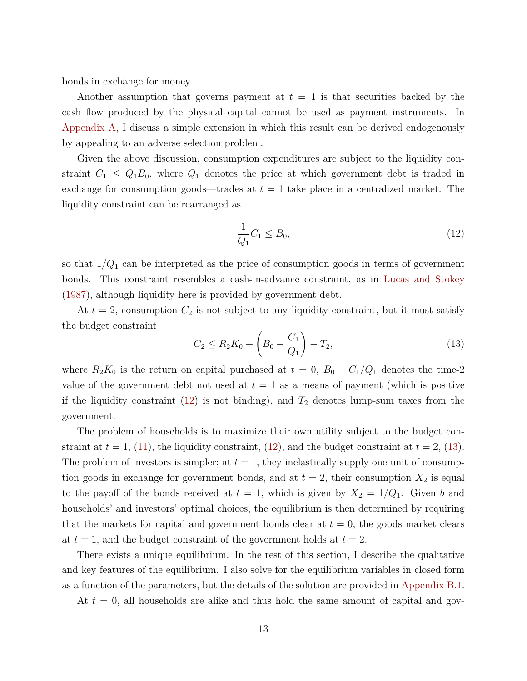bonds in exchange for money.

Another assumption that governs payment at  $t = 1$  is that securities backed by the cash flow produced by the physical capital cannot be used as payment instruments. In [Appendix](#page-45-0) [A,](#page-45-0) I discuss a simple extension in which this result can be derived endogenously by appealing to an adverse selection problem.

Given the above discussion, consumption expenditures are subject to the liquidity constraint  $C_1 \leq Q_1 B_0$ , where  $Q_1$  denotes the price at which government debt is traded in exchange for consumption goods—trades at  $t = 1$  take place in a centralized market. The liquidity constraint can be rearranged as

<span id="page-12-0"></span>
$$
\frac{1}{Q_1}C_1 \le B_0,\t\t(12)
$$

so that  $1/Q_1$  can be interpreted as the price of consumption goods in terms of government bonds. This constraint resembles a cash-in-advance constraint, as in [Lucas and Stokey](#page-43-2) [\(1987\)](#page-43-2), although liquidity here is provided by government debt.

At  $t = 2$ , consumption  $C_2$  is not subject to any liquidity constraint, but it must satisfy the budget constraint

<span id="page-12-1"></span>
$$
C_2 \le R_2 K_0 + \left(B_0 - \frac{C_1}{Q_1}\right) - T_2,\tag{13}
$$

where  $R_2K_0$  is the return on capital purchased at  $t = 0$ ,  $B_0 - C_1/Q_1$  denotes the time-2 value of the government debt not used at  $t = 1$  as a means of payment (which is positive if the liquidity constraint  $(12)$  is not binding), and  $T_2$  denotes lump-sum taxes from the government.

The problem of households is to maximize their own utility subject to the budget constraint at  $t = 1$ , [\(11\)](#page-11-1), the liquidity constraint, [\(12\)](#page-12-0), and the budget constraint at  $t = 2$ , [\(13\)](#page-12-1). The problem of investors is simpler; at  $t = 1$ , they inelastically supply one unit of consumption goods in exchange for government bonds, and at  $t = 2$ , their consumption  $X_2$  is equal to the payoff of the bonds received at  $t = 1$ , which is given by  $X_2 = 1/Q_1$ . Given *b* and households' and investors' optimal choices, the equilibrium is then determined by requiring that the markets for capital and government bonds clear at  $t = 0$ , the goods market clears at  $t = 1$ , and the budget constraint of the government holds at  $t = 2$ .

There exists a unique equilibrium. In the rest of this section, I describe the qualitative and key features of the equilibrium. I also solve for the equilibrium variables in closed form as a function of the parameters, but the details of the solution are provided in [Appendix](#page-45-1) [B.1.](#page-45-1)

At *t* = 0, all households are alike and thus hold the same amount of capital and gov-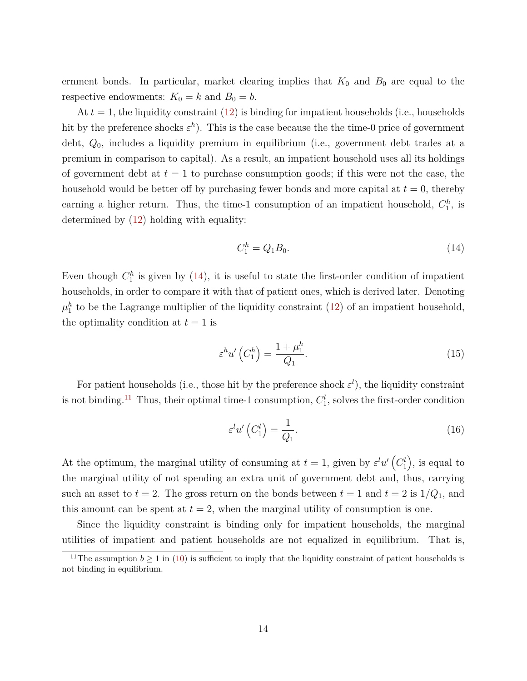ernment bonds. In particular, market clearing implies that  $K_0$  and  $B_0$  are equal to the respective endowments:  $K_0 = k$  and  $B_0 = b$ .

At  $t = 1$ , the liquidity constraint  $(12)$  is binding for impatient households (i.e., households hit by the preference shocks  $\varepsilon^h$ ). This is the case because the the time-0 price of government debt, *Q*0, includes a liquidity premium in equilibrium (i.e., government debt trades at a premium in comparison to capital). As a result, an impatient household uses all its holdings of government debt at  $t = 1$  to purchase consumption goods; if this were not the case, the household would be better off by purchasing fewer bonds and more capital at  $t = 0$ , thereby earning a higher return. Thus, the time-1 consumption of an impatient household,  $C_1^h$ , is determined by [\(12\)](#page-12-0) holding with equality:

<span id="page-13-0"></span>
$$
C_1^h = Q_1 B_0. \t\t(14)
$$

Even though  $C_1^h$  is given by [\(14\)](#page-13-0), it is useful to state the first-order condition of impatient households, in order to compare it with that of patient ones, which is derived later. Denoting  $\mu_1^h$  to be the Lagrange multiplier of the liquidity constraint [\(12\)](#page-12-0) of an impatient household, the optimality condition at  $t = 1$  is

<span id="page-13-2"></span>
$$
\varepsilon^h u'\left(C_1^h\right) = \frac{1 + \mu_1^h}{Q_1}.\tag{15}
$$

For patient households (i.e., those hit by the preference shock  $\varepsilon^l$ ), the liquidity constraint is not binding.<sup>[11](#page-13-1)</sup> Thus, their optimal time-1 consumption,  $C_1^l$ , solves the first-order condition

<span id="page-13-3"></span>
$$
\varepsilon^{l}u'\left(C_{1}^{l}\right)=\frac{1}{Q_{1}}.\tag{16}
$$

At the optimum, the marginal utility of consuming at  $t = 1$ , given by  $\varepsilon^l u^l (C_1^l)$ , is equal to the marginal utility of not spending an extra unit of government debt and, thus, carrying such an asset to  $t = 2$ . The gross return on the bonds between  $t = 1$  and  $t = 2$  is  $1/Q_1$ , and this amount can be spent at  $t = 2$ , when the marginal utility of consumption is one.

Since the liquidity constraint is binding only for impatient households, the marginal utilities of impatient and patient households are not equalized in equilibrium. That is,

<span id="page-13-1"></span><sup>&</sup>lt;sup>11</sup>The assumption  $b > 1$  in [\(10\)](#page-10-2) is sufficient to imply that the liquidity constraint of patient households is not binding in equilibrium.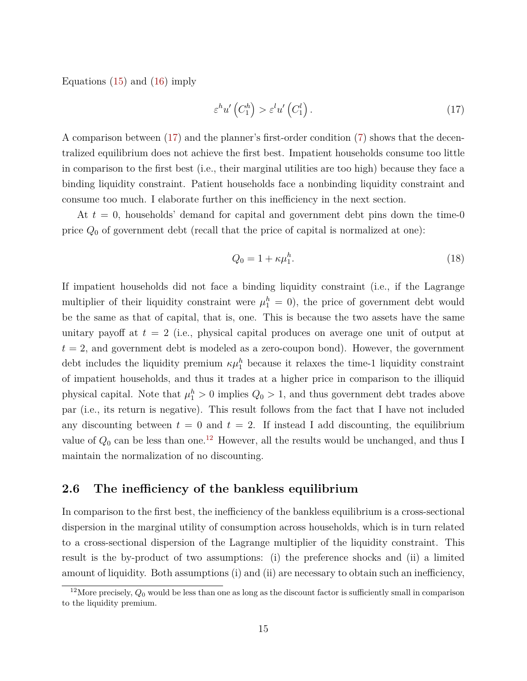Equations  $(15)$  and  $(16)$  imply

<span id="page-14-0"></span>
$$
\varepsilon^{h} u' \left( C_1^h \right) > \varepsilon^{l} u' \left( C_1^l \right). \tag{17}
$$

A comparison between [\(17\)](#page-14-0) and the planner's first-order condition [\(7\)](#page-9-1) shows that the decentralized equilibrium does not achieve the first best. Impatient households consume too little in comparison to the first best (i.e., their marginal utilities are too high) because they face a binding liquidity constraint. Patient households face a nonbinding liquidity constraint and consume too much. I elaborate further on this inefficiency in the next section.

At *t* = 0, households' demand for capital and government debt pins down the time-0 price *Q*<sup>0</sup> of government debt (recall that the price of capital is normalized at one):

<span id="page-14-2"></span>
$$
Q_0 = 1 + \kappa \mu_1^h. \tag{18}
$$

If impatient households did not face a binding liquidity constraint (i.e., if the Lagrange multiplier of their liquidity constraint were  $\mu_1^h = 0$ , the price of government debt would be the same as that of capital, that is, one. This is because the two assets have the same unitary payoff at *t* = 2 (i.e., physical capital produces on average one unit of output at  $t = 2$ , and government debt is modeled as a zero-coupon bond). However, the government debt includes the liquidity premium  $\kappa \mu_1^h$  because it relaxes the time-1 liquidity constraint of impatient households, and thus it trades at a higher price in comparison to the illiquid physical capital. Note that  $\mu_1^h > 0$  implies  $Q_0 > 1$ , and thus government debt trades above par (i.e., its return is negative). This result follows from the fact that I have not included any discounting between  $t = 0$  and  $t = 2$ . If instead I add discounting, the equilibrium value of  $Q_0$  can be less than one.<sup>[12](#page-14-1)</sup> However, all the results would be unchanged, and thus I maintain the normalization of no discounting.

#### **2.6 The inefficiency of the bankless equilibrium**

In comparison to the first best, the inefficiency of the bankless equilibrium is a cross-sectional dispersion in the marginal utility of consumption across households, which is in turn related to a cross-sectional dispersion of the Lagrange multiplier of the liquidity constraint. This result is the by-product of two assumptions: (i) the preference shocks and (ii) a limited amount of liquidity. Both assumptions (i) and (ii) are necessary to obtain such an inefficiency,

<span id="page-14-1"></span><sup>&</sup>lt;sup>12</sup>More precisely,  $Q_0$  would be less than one as long as the discount factor is sufficiently small in comparison to the liquidity premium.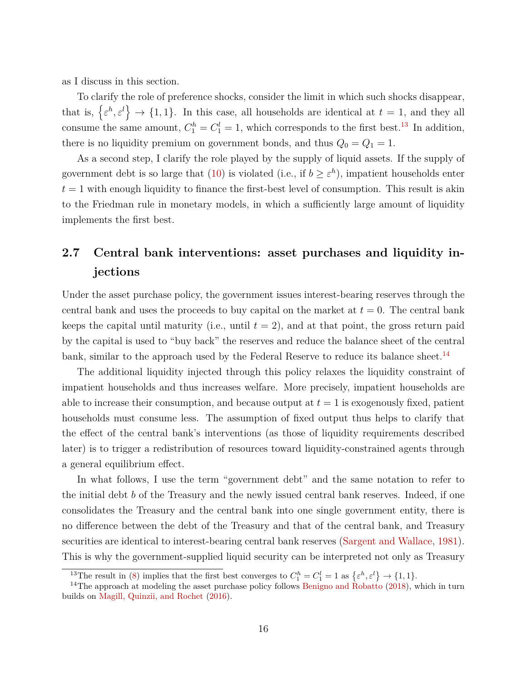as I discuss in this section.

To clarify the role of preference shocks, consider the limit in which such shocks disappear, that is,  $\{\varepsilon^h, \varepsilon^l\} \to \{1, 1\}$ . In this case, all households are identical at  $t = 1$ , and they all consume the same amount,  $C_1^h = C_1^l = 1$ , which corresponds to the first best.<sup>[13](#page-15-1)</sup> In addition, there is no liquidity premium on government bonds, and thus  $Q_0 = Q_1 = 1$ .

As a second step, I clarify the role played by the supply of liquid assets. If the supply of government debt is so large that [\(10\)](#page-10-2) is violated (i.e., if  $b \geq \varepsilon^h$ ), impatient households enter  $t = 1$  with enough liquidity to finance the first-best level of consumption. This result is akin to the Friedman rule in monetary models, in which a sufficiently large amount of liquidity implements the first best.

# <span id="page-15-0"></span>**2.7 Central bank interventions: asset purchases and liquidity injections**

Under the asset purchase policy, the government issues interest-bearing reserves through the central bank and uses the proceeds to buy capital on the market at  $t = 0$ . The central bank keeps the capital until maturity (i.e., until  $t = 2$ ), and at that point, the gross return paid by the capital is used to "buy back" the reserves and reduce the balance sheet of the central bank, similar to the approach used by the Federal Reserve to reduce its balance sheet.<sup>[14](#page-15-2)</sup>

The additional liquidity injected through this policy relaxes the liquidity constraint of impatient households and thus increases welfare. More precisely, impatient households are able to increase their consumption, and because output at  $t = 1$  is exogenously fixed, patient households must consume less. The assumption of fixed output thus helps to clarify that the effect of the central bank's interventions (as those of liquidity requirements described later) is to trigger a redistribution of resources toward liquidity-constrained agents through a general equilibrium effect.

In what follows, I use the term "government debt" and the same notation to refer to the initial debt *b* of the Treasury and the newly issued central bank reserves. Indeed, if one consolidates the Treasury and the central bank into one single government entity, there is no difference between the debt of the Treasury and that of the central bank, and Treasury securities are identical to interest-bearing central bank reserves [\(Sargent and Wallace,](#page-43-10) [1981\)](#page-43-10). This is why the government-supplied liquid security can be interpreted not only as Treasury

<span id="page-15-2"></span><span id="page-15-1"></span><sup>&</sup>lt;sup>13</sup>The result in [\(8\)](#page-9-2) implies that the first best converges to  $C_1^h = C_1^l = 1$  as  $\{\varepsilon^h, \varepsilon^l\} \to \{1, 1\}.$ 

 $14$ The approach at modeling the asset purchase policy follows [Benigno and Robatto](#page-41-13) [\(2018\)](#page-41-13), which in turn builds on [Magill, Quinzii, and Rochet](#page-43-11) [\(2016\)](#page-43-11).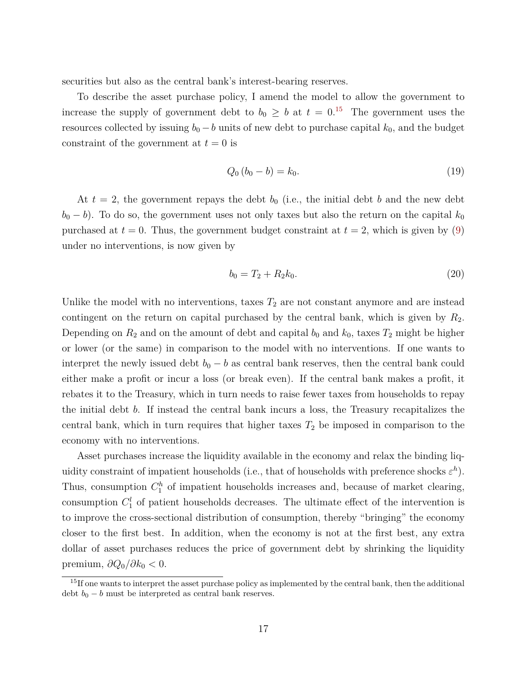securities but also as the central bank's interest-bearing reserves.

To describe the asset purchase policy, I amend the model to allow the government to increase the supply of government debt to  $b_0 \geq b$  at  $t = 0.15$  $t = 0.15$  The government uses the resources collected by issuing  $b_0 - b$  units of new debt to purchase capital  $k_0$ , and the budget constraint of the government at  $t = 0$  is

<span id="page-16-1"></span>
$$
Q_0 (b_0 - b) = k_0. \t\t(19)
$$

At  $t = 2$ , the government repays the debt  $b_0$  (i.e., the initial debt  $b$  and the new debt  $b_0 - b$ ). To do so, the government uses not only taxes but also the return on the capital  $k_0$ purchased at  $t = 0$ . Thus, the government budget constraint at  $t = 2$ , which is given by [\(9\)](#page-10-1) under no interventions, is now given by

<span id="page-16-2"></span>
$$
b_0 = T_2 + R_2 k_0. \tag{20}
$$

Unlike the model with no interventions, taxes  $T_2$  are not constant anymore and are instead contingent on the return on capital purchased by the central bank, which is given by *R*2. Depending on  $R_2$  and on the amount of debt and capital  $b_0$  and  $k_0$ , taxes  $T_2$  might be higher or lower (or the same) in comparison to the model with no interventions. If one wants to interpret the newly issued debt  $b_0 - b$  as central bank reserves, then the central bank could either make a profit or incur a loss (or break even). If the central bank makes a profit, it rebates it to the Treasury, which in turn needs to raise fewer taxes from households to repay the initial debt *b*. If instead the central bank incurs a loss, the Treasury recapitalizes the central bank, which in turn requires that higher taxes  $T_2$  be imposed in comparison to the economy with no interventions.

Asset purchases increase the liquidity available in the economy and relax the binding liquidity constraint of impatient households (i.e., that of households with preference shocks  $\varepsilon^h$ ). Thus, consumption  $C_1^h$  of impatient households increases and, because of market clearing, consumption  $C_1^l$  of patient households decreases. The ultimate effect of the intervention is to improve the cross-sectional distribution of consumption, thereby "bringing" the economy closer to the first best. In addition, when the economy is not at the first best, any extra dollar of asset purchases reduces the price of government debt by shrinking the liquidity premium,  $\partial Q_0/\partial k_0 < 0$ .

<span id="page-16-0"></span><sup>&</sup>lt;sup>15</sup>If one wants to interpret the asset purchase policy as implemented by the central bank, then the additional debt  $b_0 - b$  must be interpreted as central bank reserves.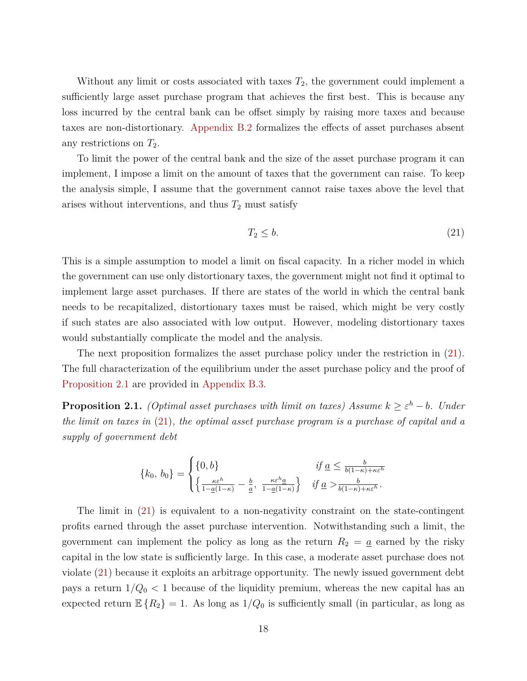Without any limit or costs associated with taxes  $T_2$ , the government could implement a sufficiently large asset purchase program that achieves the first best. This is because any loss incurred by the central bank can be offset simply by raising more taxes and because taxes are non-distortionary. [Appendix](#page-46-0) [B.2](#page-46-0) formalizes the effects of asset purchases absent any restrictions on *T*2.

To limit the power of the central bank and the size of the asset purchase program it can implement, I impose a limit on the amount of taxes that the government can raise. To keep the analysis simple, I assume that the government cannot raise taxes above the level that arises without interventions, and thus  $T_2$  must satisfy

<span id="page-17-0"></span>
$$
T_2 \le b. \tag{21}
$$

This is a simple assumption to model a limit on fiscal capacity. In a richer model in which the government can use only distortionary taxes, the government might not find it optimal to implement large asset purchases. If there are states of the world in which the central bank needs to be recapitalized, distortionary taxes must be raised, which might be very costly if such states are also associated with low output. However, modeling distortionary taxes would substantially complicate the model and the analysis.

The next proposition formalizes the asset purchase policy under the restriction in [\(21\)](#page-17-0). The full characterization of the equilibrium under the asset purchase policy and the proof of [Proposition](#page-17-1) [2.1](#page-17-1) are provided in [Appendix](#page-47-0) [B.3.](#page-47-0)

<span id="page-17-1"></span>**Proposition 2.1.** *(Optimal asset purchases with limit on taxes) Assume*  $k \geq \varepsilon^h - b$ *. Under the limit on taxes in* [\(21\)](#page-17-0)*, the optimal asset purchase program is a purchase of capital and a supply of government debt*

$$
\{k_0, b_0\} = \begin{cases} \{0, b\} & \text{if } \underline{a} \leq \frac{b}{b(1-\kappa) + \kappa \varepsilon^h} \\ \left\{\frac{\kappa \varepsilon^h}{1 - \underline{a}(1-\kappa)} - \frac{b}{\underline{a}}, \frac{\kappa \varepsilon^h \underline{a}}{1 - \underline{a}(1-\kappa)}\right\} & \text{if } \underline{a} > \frac{b}{b(1-\kappa) + \kappa \varepsilon^h} .\end{cases}
$$

The limit in [\(21\)](#page-17-0) is equivalent to a non-negativity constraint on the state-contingent profits earned through the asset purchase intervention. Notwithstanding such a limit, the government can implement the policy as long as the return  $R_2 = \underline{a}$  earned by the risky capital in the low state is sufficiently large. In this case, a moderate asset purchase does not violate [\(21\)](#page-17-0) because it exploits an arbitrage opportunity. The newly issued government debt pays a return  $1/Q_0 < 1$  because of the liquidity premium, whereas the new capital has an expected return  $\mathbb{E}\left\{R_2\right\} = 1$ . As long as  $1/Q_0$  is sufficiently small (in particular, as long as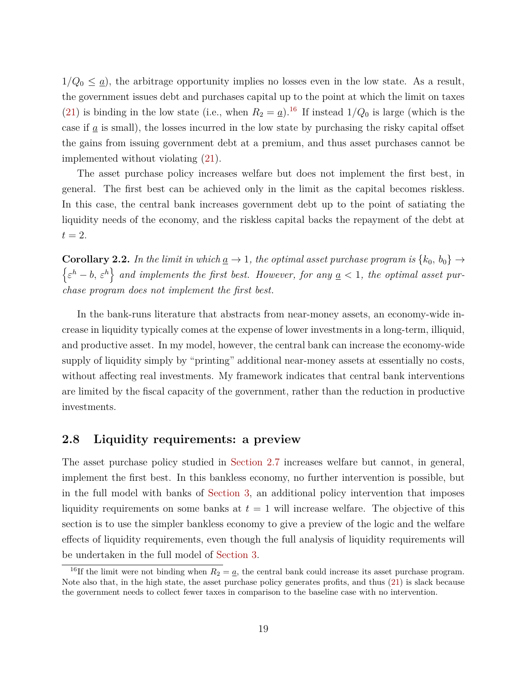$1/Q_0 \leq \underline{a}$ , the arbitrage opportunity implies no losses even in the low state. As a result, the government issues debt and purchases capital up to the point at which the limit on taxes [\(21\)](#page-17-0) is binding in the low state (i.e., when  $R_2 = \underline{a}$ ).<sup>[16](#page-18-0)</sup> If instead  $1/Q_0$  is large (which is the case if  $\underline{a}$  is small), the losses incurred in the low state by purchasing the risky capital offset the gains from issuing government debt at a premium, and thus asset purchases cannot be implemented without violating [\(21\)](#page-17-0).

The asset purchase policy increases welfare but does not implement the first best, in general. The first best can be achieved only in the limit as the capital becomes riskless. In this case, the central bank increases government debt up to the point of satiating the liquidity needs of the economy, and the riskless capital backs the repayment of the debt at  $t=2$ .

**Corollary 2.2.** In the limit in which  $\underline{a} \rightarrow 1$ , the optimal asset purchase program is  $\{k_0, b_0\} \rightarrow$  $\{\varepsilon^h - b, \varepsilon^h\}$  and implements the first best. However, for any  $a < 1$ , the optimal asset pur*chase program does not implement the first best.*

In the bank-runs literature that abstracts from near-money assets, an economy-wide increase in liquidity typically comes at the expense of lower investments in a long-term, illiquid, and productive asset. In my model, however, the central bank can increase the economy-wide supply of liquidity simply by "printing" additional near-money assets at essentially no costs, without affecting real investments. My framework indicates that central bank interventions are limited by the fiscal capacity of the government, rather than the reduction in productive investments.

#### **2.8 Liquidity requirements: a preview**

The asset purchase policy studied in [Section](#page-15-0) [2.7](#page-15-0) increases welfare but cannot, in general, implement the first best. In this bankless economy, no further intervention is possible, but in the full model with banks of [Section](#page-20-0) [3,](#page-20-0) an additional policy intervention that imposes liquidity requirements on some banks at  $t = 1$  will increase welfare. The objective of this section is to use the simpler bankless economy to give a preview of the logic and the welfare effects of liquidity requirements, even though the full analysis of liquidity requirements will be undertaken in the full model of [Section](#page-20-0) [3.](#page-20-0)

<span id="page-18-0"></span><sup>&</sup>lt;sup>16</sup>If the limit were not binding when  $R_2 = \underline{a}$ , the central bank could increase its asset purchase program. Note also that, in the high state, the asset purchase policy generates profits, and thus [\(21\)](#page-17-0) is slack because the government needs to collect fewer taxes in comparison to the baseline case with no intervention.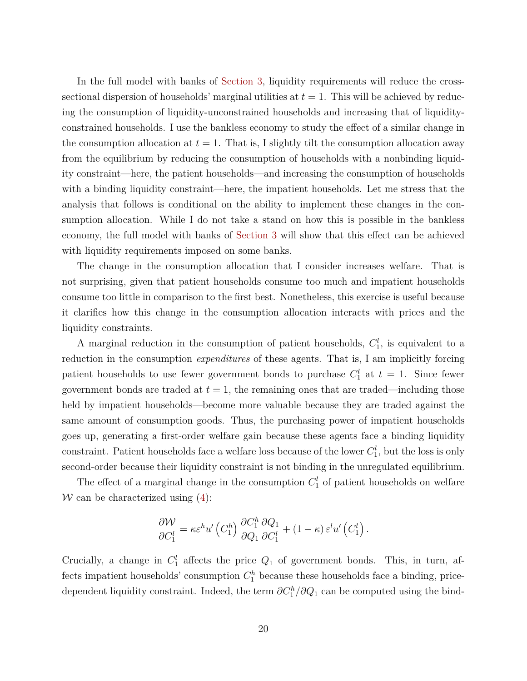In the full model with banks of [Section](#page-20-0) [3,](#page-20-0) liquidity requirements will reduce the crosssectional dispersion of households' marginal utilities at  $t = 1$ . This will be achieved by reducing the consumption of liquidity-unconstrained households and increasing that of liquidityconstrained households. I use the bankless economy to study the effect of a similar change in the consumption allocation at  $t = 1$ . That is, I slightly tilt the consumption allocation away from the equilibrium by reducing the consumption of households with a nonbinding liquidity constraint—here, the patient households—and increasing the consumption of households with a binding liquidity constraint—here, the impatient households. Let me stress that the analysis that follows is conditional on the ability to implement these changes in the consumption allocation. While I do not take a stand on how this is possible in the bankless economy, the full model with banks of [Section](#page-20-0) [3](#page-20-0) will show that this effect can be achieved with liquidity requirements imposed on some banks.

The change in the consumption allocation that I consider increases welfare. That is not surprising, given that patient households consume too much and impatient households consume too little in comparison to the first best. Nonetheless, this exercise is useful because it clarifies how this change in the consumption allocation interacts with prices and the liquidity constraints.

A marginal reduction in the consumption of patient households,  $C_1^l$ , is equivalent to a reduction in the consumption *expenditures* of these agents. That is, I am implicitly forcing patient households to use fewer government bonds to purchase  $C_1^l$  at  $t = 1$ . Since fewer government bonds are traded at  $t = 1$ , the remaining ones that are traded—including those held by impatient households—become more valuable because they are traded against the same amount of consumption goods. Thus, the purchasing power of impatient households goes up, generating a first-order welfare gain because these agents face a binding liquidity constraint. Patient households face a welfare loss because of the lower  $C_1^l$ , but the loss is only second-order because their liquidity constraint is not binding in the unregulated equilibrium.

The effect of a marginal change in the consumption  $C_1^l$  of patient households on welfare W can be characterized using  $(4)$ :

$$
\frac{\partial \mathcal{W}}{\partial C_1^l} = \kappa \varepsilon^h u' \left( C_1^h \right) \frac{\partial C_1^h}{\partial Q_1} \frac{\partial Q_1}{\partial C_1^l} + (1 - \kappa) \varepsilon^l u' \left( C_1^l \right).
$$

Crucially, a change in  $C_1^l$  affects the price  $Q_1$  of government bonds. This, in turn, affects impatient households' consumption  $C_1^h$  because these households face a binding, pricedependent liquidity constraint. Indeed, the term  $\partial C_1^h / \partial Q_1$  can be computed using the bind-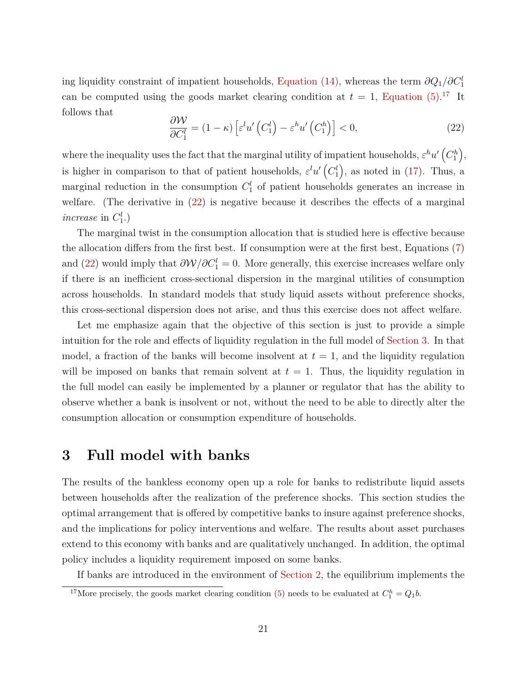ing liquidity constraint of impatient households, [Equation](#page-13-0) [\(14\),](#page-13-0) whereas the term *∂Q*1*/∂C<sup>l</sup>* 1 can be computed using the goods market clearing condition at  $t = 1$ , [Equation](#page-9-4)  $(5)^{17}$  $(5)^{17}$  $(5)^{17}$  It follows that

<span id="page-20-2"></span>
$$
\frac{\partial \mathcal{W}}{\partial C_1^l} = (1 - \kappa) \left[ \varepsilon^l u' \left( C_1^l \right) - \varepsilon^h u' \left( C_1^h \right) \right] < 0,\tag{22}
$$

where the inequality uses the fact that the marginal utility of impatient households,  $\varepsilon^h u'$   $(C_1^h)$ , is higher in comparison to that of patient households,  $\varepsilon^{l} u' (C_1^l)$ , as noted in [\(17\)](#page-14-0). Thus, a marginal reduction in the consumption  $C_1^l$  of patient households generates an increase in welfare. (The derivative in [\(22\)](#page-20-2) is negative because it describes the effects of a marginal *increase* in  $C_1^l$ .)

The marginal twist in the consumption allocation that is studied here is effective because the allocation differs from the first best. If consumption were at the first best, Equations [\(7\)](#page-9-1) and [\(22\)](#page-20-2) would imply that  $\partial \mathcal{W}/\partial C_1^l = 0$ . More generally, this exercise increases welfare only if there is an inefficient cross-sectional dispersion in the marginal utilities of consumption across households. In standard models that study liquid assets without preference shocks, this cross-sectional dispersion does not arise, and thus this exercise does not affect welfare.

Let me emphasize again that the objective of this section is just to provide a simple intuition for the role and effects of liquidity regulation in the full model of [Section](#page-20-0) [3.](#page-20-0) In that model, a fraction of the banks will become insolvent at  $t = 1$ , and the liquidity regulation will be imposed on banks that remain solvent at  $t = 1$ . Thus, the liquidity regulation in the full model can easily be implemented by a planner or regulator that has the ability to observe whether a bank is insolvent or not, without the need to be able to directly alter the consumption allocation or consumption expenditure of households.

## <span id="page-20-0"></span>**3 Full model with banks**

The results of the bankless economy open up a role for banks to redistribute liquid assets between households after the realization of the preference shocks. This section studies the optimal arrangement that is offered by competitive banks to insure against preference shocks, and the implications for policy interventions and welfare. The results about asset purchases extend to this economy with banks and are qualitatively unchanged. In addition, the optimal policy includes a liquidity requirement imposed on some banks.

If banks are introduced in the environment of [Section](#page-6-0) [2,](#page-6-0) the equilibrium implements the

<span id="page-20-1"></span><sup>&</sup>lt;sup>17</sup>More precisely, the goods market clearing condition [\(5\)](#page-9-4) needs to be evaluated at  $C_1^h = Q_1 b$ .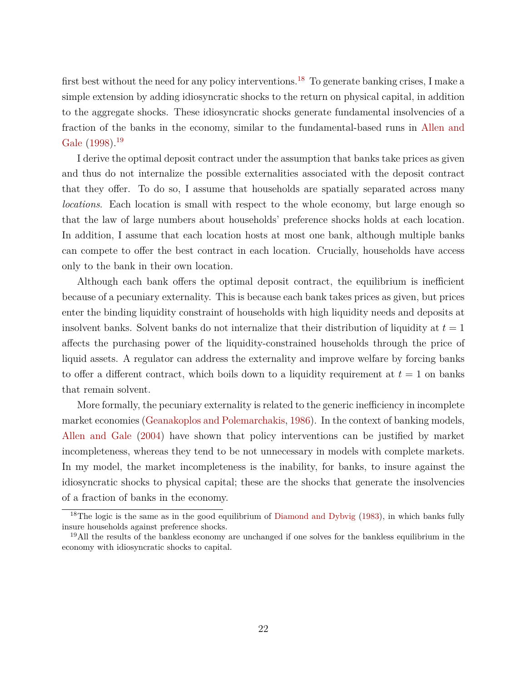first best without the need for any policy interventions.<sup>[18](#page-21-0)</sup> To generate banking crises, I make a simple extension by adding idiosyncratic shocks to the return on physical capital, in addition to the aggregate shocks. These idiosyncratic shocks generate fundamental insolvencies of a fraction of the banks in the economy, similar to the fundamental-based runs in [Allen and](#page-41-2) [Gale](#page-41-2)  $(1998).^{19}$  $(1998).^{19}$  $(1998).^{19}$  $(1998).^{19}$ 

I derive the optimal deposit contract under the assumption that banks take prices as given and thus do not internalize the possible externalities associated with the deposit contract that they offer. To do so, I assume that households are spatially separated across many *locations*. Each location is small with respect to the whole economy, but large enough so that the law of large numbers about households' preference shocks holds at each location. In addition, I assume that each location hosts at most one bank, although multiple banks can compete to offer the best contract in each location. Crucially, households have access only to the bank in their own location.

Although each bank offers the optimal deposit contract, the equilibrium is inefficient because of a pecuniary externality. This is because each bank takes prices as given, but prices enter the binding liquidity constraint of households with high liquidity needs and deposits at insolvent banks. Solvent banks do not internalize that their distribution of liquidity at  $t = 1$ affects the purchasing power of the liquidity-constrained households through the price of liquid assets. A regulator can address the externality and improve welfare by forcing banks to offer a different contract, which boils down to a liquidity requirement at  $t = 1$  on banks that remain solvent.

More formally, the pecuniary externality is related to the generic inefficiency in incomplete market economies [\(Geanakoplos and Polemarchakis,](#page-42-10) [1986\)](#page-42-10). In the context of banking models, [Allen and Gale](#page-41-4) [\(2004\)](#page-41-4) have shown that policy interventions can be justified by market incompleteness, whereas they tend to be not unnecessary in models with complete markets. In my model, the market incompleteness is the inability, for banks, to insure against the idiosyncratic shocks to physical capital; these are the shocks that generate the insolvencies of a fraction of banks in the economy.

<span id="page-21-0"></span><sup>&</sup>lt;sup>18</sup>The logic is the same as in the good equilibrium of [Diamond and Dybvig](#page-41-1) [\(1983\)](#page-41-1), in which banks fully insure households against preference shocks.

<span id="page-21-1"></span><sup>&</sup>lt;sup>19</sup>All the results of the bankless economy are unchanged if one solves for the bankless equilibrium in the economy with idiosyncratic shocks to capital.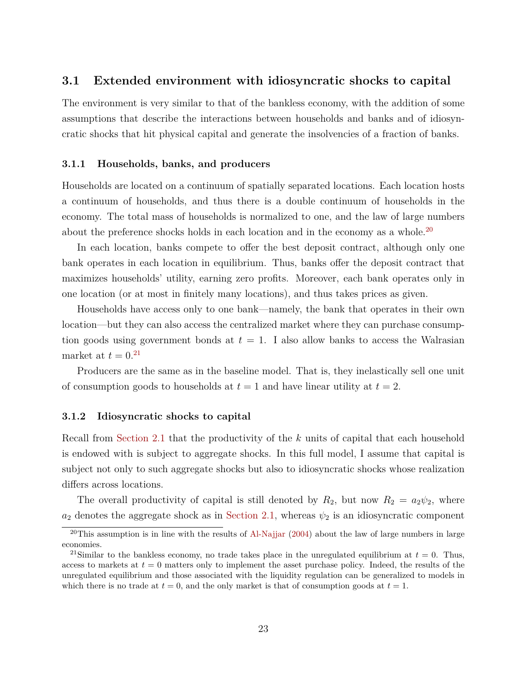#### **3.1 Extended environment with idiosyncratic shocks to capital**

The environment is very similar to that of the bankless economy, with the addition of some assumptions that describe the interactions between households and banks and of idiosyncratic shocks that hit physical capital and generate the insolvencies of a fraction of banks.

#### **3.1.1 Households, banks, and producers**

Households are located on a continuum of spatially separated locations. Each location hosts a continuum of households, and thus there is a double continuum of households in the economy. The total mass of households is normalized to one, and the law of large numbers about the preference shocks holds in each location and in the economy as a whole.<sup>[20](#page-22-0)</sup>

In each location, banks compete to offer the best deposit contract, although only one bank operates in each location in equilibrium. Thus, banks offer the deposit contract that maximizes households' utility, earning zero profits. Moreover, each bank operates only in one location (or at most in finitely many locations), and thus takes prices as given.

Households have access only to one bank—namely, the bank that operates in their own location—but they can also access the centralized market where they can purchase consumption goods using government bonds at  $t = 1$ . I also allow banks to access the Walrasian market at  $t = 0.21$  $t = 0.21$ 

Producers are the same as in the baseline model. That is, they inelastically sell one unit of consumption goods to households at  $t = 1$  and have linear utility at  $t = 2$ .

#### **3.1.2 Idiosyncratic shocks to capital**

Recall from [Section](#page-7-4) [2.1](#page-7-4) that the productivity of the *k* units of capital that each household is endowed with is subject to aggregate shocks. In this full model, I assume that capital is subject not only to such aggregate shocks but also to idiosyncratic shocks whose realization differs across locations.

The overall productivity of capital is still denoted by  $R_2$ , but now  $R_2 = a_2 \psi_2$ , where  $a_2$  denotes the aggregate shock as in [Section](#page-7-4) [2.1,](#page-7-4) whereas  $\psi_2$  is an idiosyncratic component

<span id="page-22-0"></span> $20$ This assumption is in line with the results of [Al-Najjar](#page-40-1) [\(2004\)](#page-40-1) about the law of large numbers in large economies.

<span id="page-22-1"></span><sup>&</sup>lt;sup>21</sup>Similar to the bankless economy, no trade takes place in the unregulated equilibrium at  $t = 0$ . Thus, access to markets at  $t = 0$  matters only to implement the asset purchase policy. Indeed, the results of the unregulated equilibrium and those associated with the liquidity regulation can be generalized to models in which there is no trade at  $t = 0$ , and the only market is that of consumption goods at  $t = 1$ .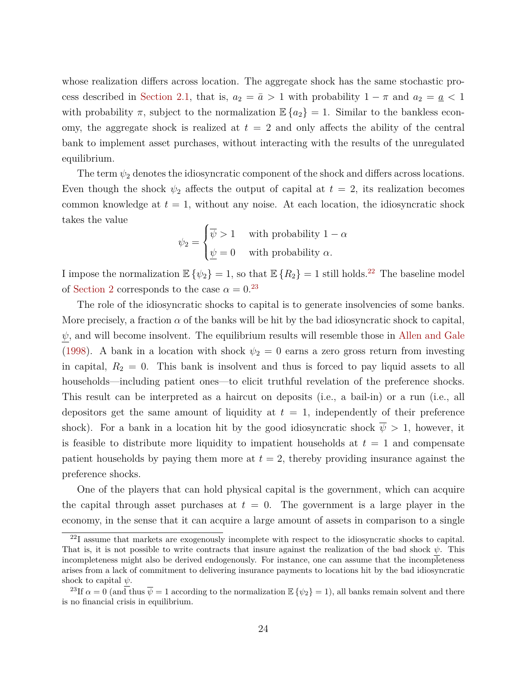whose realization differs across location. The aggregate shock has the same stochastic pro-cess described in [Section](#page-7-4) [2.1,](#page-7-4) that is,  $a_2 = \bar{a} > 1$  with probability  $1 - \pi$  and  $a_2 = \underline{a} < 1$ with probability  $\pi$ , subject to the normalization  $\mathbb{E}\left\{a_2\right\} = 1$ . Similar to the bankless economy, the aggregate shock is realized at  $t = 2$  and only affects the ability of the central bank to implement asset purchases, without interacting with the results of the unregulated equilibrium.

The term *ψ*<sup>2</sup> denotes the idiosyncratic component of the shock and differs across locations. Even though the shock  $\psi_2$  affects the output of capital at  $t = 2$ , its realization becomes common knowledge at  $t = 1$ , without any noise. At each location, the idiosyncratic shock takes the value

$$
\psi_2 = \begin{cases} \overline{\psi} > 1 \quad \text{with probability } 1 - \alpha \\ \underline{\psi} = 0 \quad \text{with probability } \alpha. \end{cases}
$$

I impose the normalization  $\mathbb{E} \{\psi_2\} = 1$ , so that  $\mathbb{E} \{R_2\} = 1$  still holds.<sup>[22](#page-23-0)</sup> The baseline model of [Section](#page-6-0) [2](#page-6-0) corresponds to the case  $\alpha = 0.23$  $\alpha = 0.23$ 

The role of the idiosyncratic shocks to capital is to generate insolvencies of some banks. More precisely, a fraction  $\alpha$  of the banks will be hit by the bad idiosyncratic shock to capital,  $\psi$ , and will become insolvent. The equilibrium results will resemble those in [Allen and Gale](#page-41-2) [\(1998\)](#page-41-2). A bank in a location with shock  $\psi_2 = 0$  earns a zero gross return from investing in capital,  $R_2 = 0$ . This bank is insolvent and thus is forced to pay liquid assets to all households—including patient ones—to elicit truthful revelation of the preference shocks. This result can be interpreted as a haircut on deposits (i.e., a bail-in) or a run (i.e., all depositors get the same amount of liquidity at  $t = 1$ , independently of their preference shock). For a bank in a location hit by the good idiosyncratic shock  $\overline{\psi} > 1$ , however, it is feasible to distribute more liquidity to impatient households at  $t = 1$  and compensate patient households by paying them more at  $t = 2$ , thereby providing insurance against the preference shocks.

One of the players that can hold physical capital is the government, which can acquire the capital through asset purchases at  $t = 0$ . The government is a large player in the economy, in the sense that it can acquire a large amount of assets in comparison to a single

<span id="page-23-0"></span><sup>22</sup>I assume that markets are exogenously incomplete with respect to the idiosyncratic shocks to capital. That is, it is not possible to write contracts that insure against the realization of the bad shock *ψ*. This incompleteness might also be derived endogenously. For instance, one can assume that the incompleteness arises from a lack of commitment to delivering insurance payments to locations hit by the bad idiosyncratic shock to capital  $\psi$ .

<span id="page-23-1"></span><sup>&</sup>lt;sup>23</sup>If  $\alpha = 0$  (and thus  $\overline{\psi} = 1$  according to the normalization  $\mathbb{E} \{\psi_2\} = 1$ ), all banks remain solvent and there is no financial crisis in equilibrium.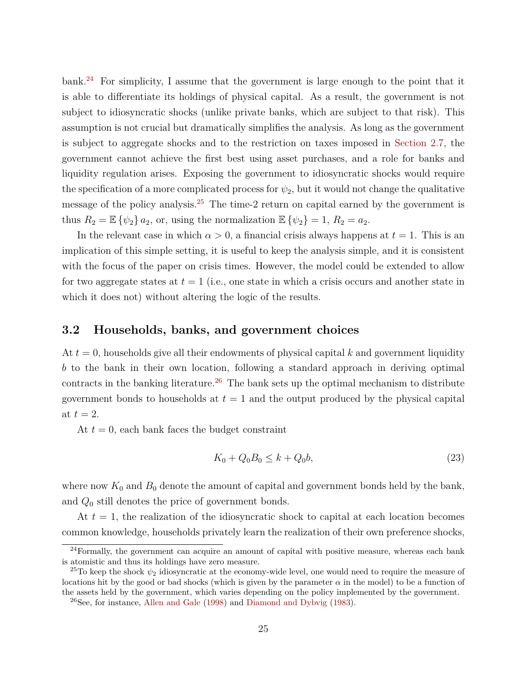bank.[24](#page-24-0) For simplicity, I assume that the government is large enough to the point that it is able to differentiate its holdings of physical capital. As a result, the government is not subject to idiosyncratic shocks (unlike private banks, which are subject to that risk). This assumption is not crucial but dramatically simplifies the analysis. As long as the government is subject to aggregate shocks and to the restriction on taxes imposed in [Section](#page-15-0) [2.7,](#page-15-0) the government cannot achieve the first best using asset purchases, and a role for banks and liquidity regulation arises. Exposing the government to idiosyncratic shocks would require the specification of a more complicated process for  $\psi_2$ , but it would not change the qualitative message of the policy analysis.<sup>[25](#page-24-1)</sup> The time-2 return on capital earned by the government is thus  $R_2 = \mathbb{E} \{\psi_2\}$   $a_2$ , or, using the normalization  $\mathbb{E} \{\psi_2\} = 1$ ,  $R_2 = a_2$ .

In the relevant case in which  $\alpha > 0$ , a financial crisis always happens at  $t = 1$ . This is an implication of this simple setting, it is useful to keep the analysis simple, and it is consistent with the focus of the paper on crisis times. However, the model could be extended to allow for two aggregate states at *t* = 1 (i.e., one state in which a crisis occurs and another state in which it does not) without altering the logic of the results.

#### **3.2 Households, banks, and government choices**

At *t* = 0, households give all their endowments of physical capital *k* and government liquidity *b* to the bank in their own location, following a standard approach in deriving optimal contracts in the banking literature.<sup>[26](#page-24-2)</sup> The bank sets up the optimal mechanism to distribute government bonds to households at  $t = 1$  and the output produced by the physical capital at  $t = 2$ .

At  $t = 0$ , each bank faces the budget constraint

<span id="page-24-3"></span>
$$
K_0 + Q_0 B_0 \le k + Q_0 b,\tag{23}
$$

where now  $K_0$  and  $B_0$  denote the amount of capital and government bonds held by the bank, and *Q*<sup>0</sup> still denotes the price of government bonds.

At *t* = 1, the realization of the idiosyncratic shock to capital at each location becomes common knowledge, households privately learn the realization of their own preference shocks,

<span id="page-24-0"></span> $^{24}$ Formally, the government can acquire an amount of capital with positive measure, whereas each bank is atomistic and thus its holdings have zero measure.

<span id="page-24-1"></span><sup>&</sup>lt;sup>25</sup>To keep the shock  $\psi_2$  idiosyncratic at the economy-wide level, one would need to require the measure of locations hit by the good or bad shocks (which is given by the parameter  $\alpha$  in the model) to be a function of the assets held by the government, which varies depending on the policy implemented by the government.

<span id="page-24-2"></span> $^{26}$ See, for instance, [Allen and Gale](#page-41-2) [\(1998\)](#page-41-2) and [Diamond and Dybvig](#page-41-1) [\(1983\)](#page-41-1).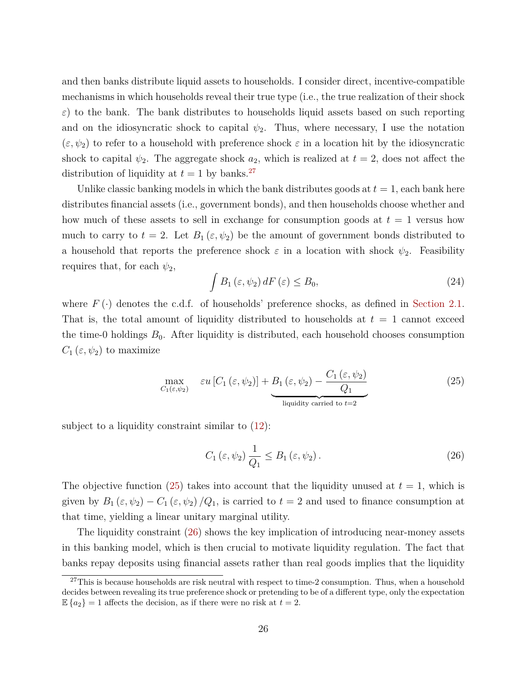and then banks distribute liquid assets to households. I consider direct, incentive-compatible mechanisms in which households reveal their true type (i.e., the true realization of their shock  $\varepsilon$ ) to the bank. The bank distributes to households liquid assets based on such reporting and on the idiosyncratic shock to capital  $\psi_2$ . Thus, where necessary, I use the notation  $(\varepsilon, \psi_2)$  to refer to a household with preference shock  $\varepsilon$  in a location hit by the idiosyncratic shock to capital  $\psi_2$ . The aggregate shock  $a_2$ , which is realized at  $t = 2$ , does not affect the distribution of liquidity at  $t = 1$  by banks.<sup>[27](#page-25-0)</sup>

Unlike classic banking models in which the bank distributes goods at  $t = 1$ , each bank here distributes financial assets (i.e., government bonds), and then households choose whether and how much of these assets to sell in exchange for consumption goods at  $t = 1$  versus how much to carry to  $t = 2$ . Let  $B_1(\varepsilon, \psi_2)$  be the amount of government bonds distributed to a household that reports the preference shock  $\varepsilon$  in a location with shock  $\psi_2$ . Feasibility requires that, for each  $\psi_2$ ,

<span id="page-25-3"></span>
$$
\int B_1(\varepsilon, \psi_2) dF(\varepsilon) \le B_0,
$$
\n(24)

where  $F(\cdot)$  denotes the c.d.f. of households' preference shocks, as defined in [Section](#page-7-4) [2.1.](#page-7-4) That is, the total amount of liquidity distributed to households at  $t = 1$  cannot exceed the time-0 holdings  $B_0$ . After liquidity is distributed, each household chooses consumption  $C_1(\varepsilon,\psi_2)$  to maximize

<span id="page-25-1"></span>
$$
\max_{C_1(\varepsilon,\psi_2)} \varepsilon u \left[ C_1(\varepsilon,\psi_2) \right] + \underbrace{B_1(\varepsilon,\psi_2)}_{\text{liquidity carried to } t=2} - \underbrace{C_1(\varepsilon,\psi_2)}_{\text{equidity.}} \tag{25}
$$

subject to a liquidity constraint similar to  $(12)$ :

<span id="page-25-2"></span>
$$
C_1(\varepsilon, \psi_2) \frac{1}{Q_1} \le B_1(\varepsilon, \psi_2). \tag{26}
$$

The objective function  $(25)$  takes into account that the liquidity unused at  $t = 1$ , which is given by  $B_1(\varepsilon, \psi_2) - C_1(\varepsilon, \psi_2)/Q_1$ , is carried to  $t = 2$  and used to finance consumption at that time, yielding a linear unitary marginal utility.

The liquidity constraint [\(26\)](#page-25-2) shows the key implication of introducing near-money assets in this banking model, which is then crucial to motivate liquidity regulation. The fact that banks repay deposits using financial assets rather than real goods implies that the liquidity

<span id="page-25-0"></span> $27$ This is because households are risk neutral with respect to time-2 consumption. Thus, when a household decides between revealing its true preference shock or pretending to be of a different type, only the expectation  $\mathbb{E}\left\{a_2\right\} = 1$  affects the decision, as if there were no risk at  $t = 2$ .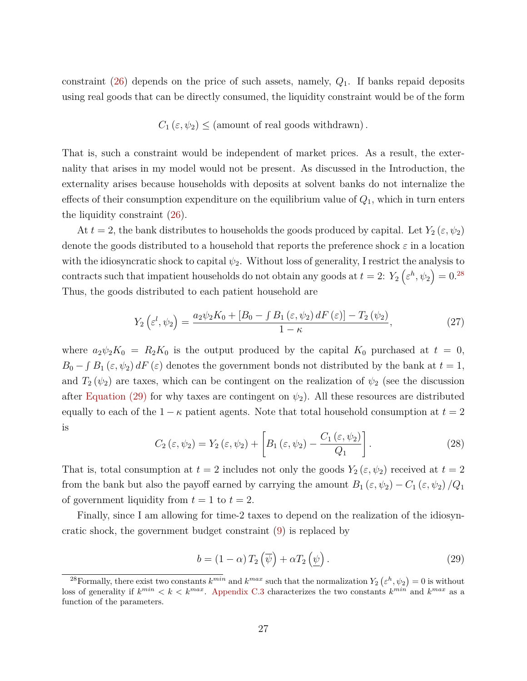constraint [\(26\)](#page-25-2) depends on the price of such assets, namely, *Q*1. If banks repaid deposits using real goods that can be directly consumed, the liquidity constraint would be of the form

$$
C_1(\varepsilon, \psi_2) \leq
$$
 (amount of real goods withdrawn).

That is, such a constraint would be independent of market prices. As a result, the externality that arises in my model would not be present. As discussed in the Introduction, the externality arises because households with deposits at solvent banks do not internalize the effects of their consumption expenditure on the equilibrium value of *Q*1, which in turn enters the liquidity constraint [\(26\)](#page-25-2).

At  $t = 2$ , the bank distributes to households the goods produced by capital. Let  $Y_2(\varepsilon, \psi_2)$ denote the goods distributed to a household that reports the preference shock *ε* in a location with the idiosyncratic shock to capital  $\psi_2$ . Without loss of generality, I restrict the analysis to contracts such that impatient households do not obtain any goods at  $t = 2$ :  $Y_2(\varepsilon^h, \psi_2) = 0$ .<sup>[28](#page-26-0)</sup> Thus, the goods distributed to each patient household are

<span id="page-26-2"></span>
$$
Y_2\left(\varepsilon^l,\psi_2\right) = \frac{a_2\psi_2K_0 + \left[B_0 - \int B_1\left(\varepsilon,\psi_2\right)dF\left(\varepsilon\right)\right] - T_2\left(\psi_2\right)}{1 - \kappa},\tag{27}
$$

where  $a_2\psi_2K_0 = R_2K_0$  is the output produced by the capital  $K_0$  purchased at  $t = 0$ ,  $B_0 - \int B_1 (\varepsilon, \psi_2) dF(\varepsilon)$  denotes the government bonds not distributed by the bank at  $t = 1$ , and  $T_2(\psi_2)$  are taxes, which can be contingent on the realization of  $\psi_2$  (see the discussion after [Equation](#page-26-1) [\(29\)](#page-26-1) for why taxes are contingent on  $\psi_2$ ). All these resources are distributed equally to each of the  $1 - \kappa$  patient agents. Note that total household consumption at  $t = 2$ is

<span id="page-26-3"></span>
$$
C_2(\varepsilon,\psi_2) = Y_2(\varepsilon,\psi_2) + \left[ B_1(\varepsilon,\psi_2) - \frac{C_1(\varepsilon,\psi_2)}{Q_1} \right].
$$
 (28)

That is, total consumption at  $t = 2$  includes not only the goods  $Y_2(\varepsilon, \psi_2)$  received at  $t = 2$ from the bank but also the payoff earned by carrying the amount  $B_1(\varepsilon, \psi_2) - C_1(\varepsilon, \psi_2)/Q_1$ of government liquidity from  $t = 1$  to  $t = 2$ .

Finally, since I am allowing for time-2 taxes to depend on the realization of the idiosyncratic shock, the government budget constraint [\(9\)](#page-10-1) is replaced by

<span id="page-26-1"></span>
$$
b = (1 - \alpha) T_2 \left(\overline{\psi}\right) + \alpha T_2 \left(\underline{\psi}\right). \tag{29}
$$

<span id="page-26-0"></span><sup>&</sup>lt;sup>28</sup> Formally, there exist two constants  $k^{min}$  and  $k^{max}$  such that the normalization  $Y_2(\varepsilon^h, \psi_2) = 0$  is without loss of generality if  $k^{min} < k < k^{max}$ . [Appendix](#page-50-0) [C.3](#page-50-0) characterizes the two constants  $k^{min}$  and  $k^{max}$  as a function of the parameters.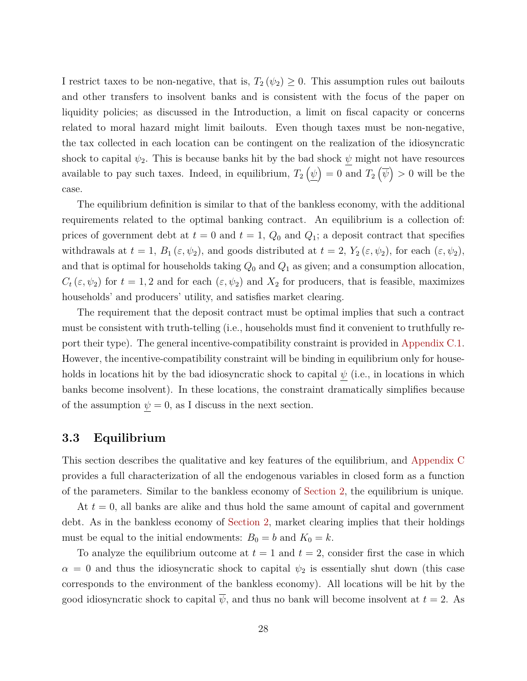I restrict taxes to be non-negative, that is,  $T_2(\psi_2) \geq 0$ . This assumption rules out bailouts and other transfers to insolvent banks and is consistent with the focus of the paper on liquidity policies; as discussed in the Introduction, a limit on fiscal capacity or concerns related to moral hazard might limit bailouts. Even though taxes must be non-negative, the tax collected in each location can be contingent on the realization of the idiosyncratic shock to capital  $\psi_2$ . This is because banks hit by the bad shock  $\psi$  might not have resources available to pay such taxes. Indeed, in equilibrium,  $T_2(\psi) = 0$  and  $T_2(\overline{\psi}) > 0$  will be the case.

The equilibrium definition is similar to that of the bankless economy, with the additional requirements related to the optimal banking contract. An equilibrium is a collection of: prices of government debt at  $t = 0$  and  $t = 1$ ,  $Q_0$  and  $Q_1$ ; a deposit contract that specifies withdrawals at  $t = 1$ ,  $B_1(\varepsilon, \psi_2)$ , and goods distributed at  $t = 2$ ,  $Y_2(\varepsilon, \psi_2)$ , for each  $(\varepsilon, \psi_2)$ , and that is optimal for households taking  $Q_0$  and  $Q_1$  as given; and a consumption allocation,  $C_t(\varepsilon, \psi_2)$  for  $t = 1, 2$  and for each  $(\varepsilon, \psi_2)$  and  $X_2$  for producers, that is feasible, maximizes households' and producers' utility, and satisfies market clearing.

The requirement that the deposit contract must be optimal implies that such a contract must be consistent with truth-telling (i.e., households must find it convenient to truthfully report their type). The general incentive-compatibility constraint is provided in [Appendix](#page-48-0) [C.1.](#page-48-0) However, the incentive-compatibility constraint will be binding in equilibrium only for households in locations hit by the bad idiosyncratic shock to capital  $\psi$  (i.e., in locations in which banks become insolvent). In these locations, the constraint dramatically simplifies because of the assumption  $\psi = 0$ , as I discuss in the next section.

#### <span id="page-27-0"></span>**3.3 Equilibrium**

This section describes the qualitative and key features of the equilibrium, and [Appendix](#page-48-1) [C](#page-48-1) provides a full characterization of all the endogenous variables in closed form as a function of the parameters. Similar to the bankless economy of [Section](#page-6-0) [2,](#page-6-0) the equilibrium is unique.

At *t* = 0, all banks are alike and thus hold the same amount of capital and government debt. As in the bankless economy of [Section](#page-6-0) [2,](#page-6-0) market clearing implies that their holdings must be equal to the initial endowments:  $B_0 = b$  and  $K_0 = k$ .

To analyze the equilibrium outcome at  $t = 1$  and  $t = 2$ , consider first the case in which  $\alpha = 0$  and thus the idiosyncratic shock to capital  $\psi_2$  is essentially shut down (this case corresponds to the environment of the bankless economy). All locations will be hit by the good idiosyncratic shock to capital  $\overline{\psi}$ , and thus no bank will become insolvent at  $t = 2$ . As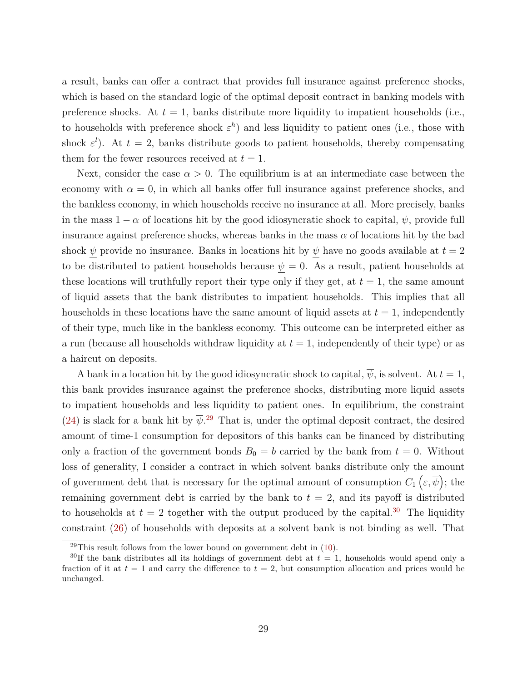a result, banks can offer a contract that provides full insurance against preference shocks, which is based on the standard logic of the optimal deposit contract in banking models with preference shocks. At  $t = 1$ , banks distribute more liquidity to impatient households (i.e., to households with preference shock  $\varepsilon^h$ ) and less liquidity to patient ones (i.e., those with shock  $\varepsilon^l$ ). At  $t=2$ , banks distribute goods to patient households, thereby compensating them for the fewer resources received at  $t = 1$ .

Next, consider the case  $\alpha > 0$ . The equilibrium is at an intermediate case between the economy with  $\alpha = 0$ , in which all banks offer full insurance against preference shocks, and the bankless economy, in which households receive no insurance at all. More precisely, banks in the mass  $1 - \alpha$  of locations hit by the good idiosyncratic shock to capital,  $\overline{\psi}$ , provide full insurance against preference shocks, whereas banks in the mass  $\alpha$  of locations hit by the bad shock  $\psi$  provide no insurance. Banks in locations hit by  $\psi$  have no goods available at  $t = 2$ to be distributed to patient households because  $\psi = 0$ . As a result, patient households at these locations will truthfully report their type only if they get, at  $t = 1$ , the same amount of liquid assets that the bank distributes to impatient households. This implies that all households in these locations have the same amount of liquid assets at  $t = 1$ , independently of their type, much like in the bankless economy. This outcome can be interpreted either as a run (because all households withdraw liquidity at  $t = 1$ , independently of their type) or as a haircut on deposits.

A bank in a location hit by the good idiosyncratic shock to capital,  $\overline{\psi}$ , is solvent. At  $t = 1$ , this bank provides insurance against the preference shocks, distributing more liquid assets to impatient households and less liquidity to patient ones. In equilibrium, the constraint [\(24\)](#page-25-3) is slack for a bank hit by  $\overline{\psi}$ <sup>[29](#page-28-0)</sup>. That is, under the optimal deposit contract, the desired amount of time-1 consumption for depositors of this banks can be financed by distributing only a fraction of the government bonds  $B_0 = b$  carried by the bank from  $t = 0$ . Without loss of generality, I consider a contract in which solvent banks distribute only the amount of government debt that is necessary for the optimal amount of consumption  $C_1(\varepsilon,\overline{\psi})$ ; the remaining government debt is carried by the bank to  $t = 2$ , and its payoff is distributed to households at  $t = 2$  together with the output produced by the capital.<sup>[30](#page-28-1)</sup> The liquidity constraint [\(26\)](#page-25-2) of households with deposits at a solvent bank is not binding as well. That

<span id="page-28-1"></span><span id="page-28-0"></span> $^{29}$ This result follows from the lower bound on government debt in [\(10\)](#page-10-2).

<sup>&</sup>lt;sup>30</sup>If the bank distributes all its holdings of government debt at  $t = 1$ , households would spend only a fraction of it at  $t = 1$  and carry the difference to  $t = 2$ , but consumption allocation and prices would be unchanged.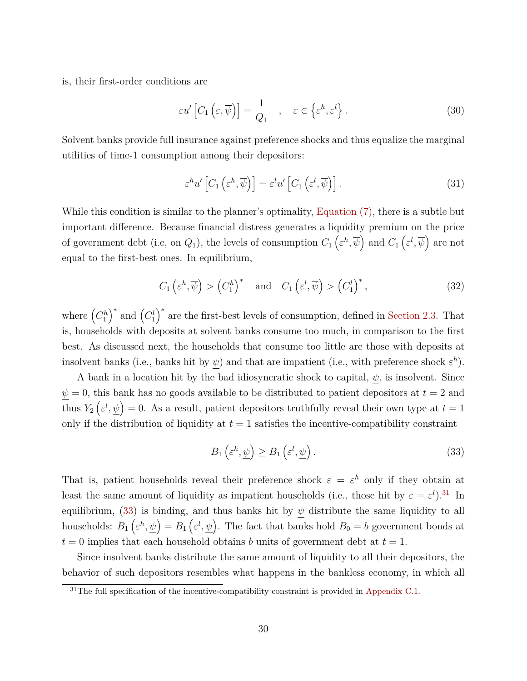is, their first-order conditions are

<span id="page-29-3"></span>
$$
\varepsilon u' \left[ C_1 \left( \varepsilon, \overline{\psi} \right) \right] = \frac{1}{Q_1} \quad , \quad \varepsilon \in \left\{ \varepsilon^h, \varepsilon^l \right\}. \tag{30}
$$

Solvent banks provide full insurance against preference shocks and thus equalize the marginal utilities of time-1 consumption among their depositors:

<span id="page-29-4"></span>
$$
\varepsilon^{h} u' \left[ C_1 \left( \varepsilon^h, \overline{\psi} \right) \right] = \varepsilon^l u' \left[ C_1 \left( \varepsilon^l, \overline{\psi} \right) \right]. \tag{31}
$$

While this condition is similar to the planner's optimality, [Equation](#page-9-1) [\(7\),](#page-9-1) there is a subtle but important difference. Because financial distress generates a liquidity premium on the price of government debt (i.e, on  $Q_1$ ), the levels of consumption  $C_1\left(\varepsilon^h,\overline{\psi}\right)$  and  $C_1\left(\varepsilon^l,\overline{\psi}\right)$  are not equal to the first-best ones. In equilibrium,

<span id="page-29-2"></span>
$$
C_1\left(\varepsilon^h, \overline{\psi}\right) > \left(C_1^h\right)^* \quad \text{and} \quad C_1\left(\varepsilon^l, \overline{\psi}\right) > \left(C_1^l\right)^*,\tag{32}
$$

where  $(C_1^h)^*$  and  $(C_1^l)^*$  are the first-best levels of consumption, defined in [Section](#page-8-1) [2.3.](#page-8-1) That is, households with deposits at solvent banks consume too much, in comparison to the first best. As discussed next, the households that consume too little are those with deposits at insolvent banks (i.e., banks hit by  $\psi$ ) and that are impatient (i.e., with preference shock  $\varepsilon^h$ ).

A bank in a location hit by the bad idiosyncratic shock to capital, *ψ*, is insolvent. Since  $\psi = 0$ , this bank has no goods available to be distributed to patient depositors at  $t = 2$  and thus  $Y_2(\varepsilon^l, \psi) = 0$ . As a result, patient depositors truthfully reveal their own type at  $t = 1$ only if the distribution of liquidity at  $t = 1$  satisfies the incentive-compatibility constraint

<span id="page-29-1"></span>
$$
B_1\left(\varepsilon^h, \underline{\psi}\right) \ge B_1\left(\varepsilon^l, \underline{\psi}\right). \tag{33}
$$

That is, patient households reveal their preference shock  $\varepsilon = \varepsilon^h$  only if they obtain at least the same amount of liquidity as impatient households (i.e., those hit by  $\varepsilon = \varepsilon^l$ ).<sup>[31](#page-29-0)</sup> In equilibrium, [\(33\)](#page-29-1) is binding, and thus banks hit by  $\psi$  distribute the same liquidity to all households:  $B_1(\varepsilon^h, \psi) = B_1(\varepsilon^l, \psi)$ . The fact that banks hold  $B_0 = b$  government bonds at  $t = 0$  implies that each household obtains *b* units of government debt at  $t = 1$ .

Since insolvent banks distribute the same amount of liquidity to all their depositors, the behavior of such depositors resembles what happens in the bankless economy, in which all

<span id="page-29-0"></span> $31$ The full specification of the incentive-compatibility constraint is provided in [Appendix](#page-48-0) [C.1.](#page-48-0)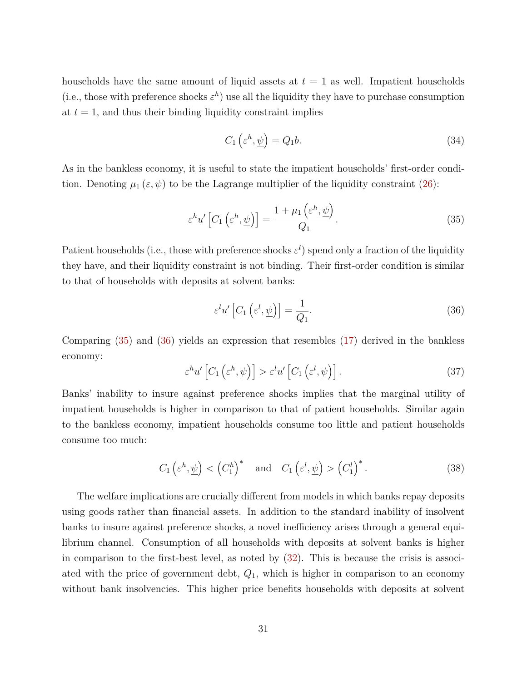households have the same amount of liquid assets at  $t = 1$  as well. Impatient households (i.e., those with preference shocks  $\varepsilon^h$ ) use all the liquidity they have to purchase consumption at  $t = 1$ , and thus their binding liquidity constraint implies

<span id="page-30-2"></span>
$$
C_1\left(\varepsilon^h, \underline{\psi}\right) = Q_1 b. \tag{34}
$$

As in the bankless economy, it is useful to state the impatient households' first-order condition. Denoting  $\mu_1(\varepsilon, \psi)$  to be the Lagrange multiplier of the liquidity constraint [\(26\)](#page-25-2):

<span id="page-30-0"></span>
$$
\varepsilon^{h} u' \left[ C_1 \left( \varepsilon^h, \underline{\psi} \right) \right] = \frac{1 + \mu_1 \left( \varepsilon^h, \underline{\psi} \right)}{Q_1}.
$$
\n(35)

Patient households (i.e., those with preference shocks  $\varepsilon^l$ ) spend only a fraction of the liquidity they have, and their liquidity constraint is not binding. Their first-order condition is similar to that of households with deposits at solvent banks:

<span id="page-30-1"></span>
$$
\varepsilon^{l} u' \left[ C_1 \left( \varepsilon^{l}, \underline{\psi} \right) \right] = \frac{1}{Q_1}.
$$
\n(36)

Comparing [\(35\)](#page-30-0) and [\(36\)](#page-30-1) yields an expression that resembles [\(17\)](#page-14-0) derived in the bankless economy:

$$
\varepsilon^{h} u' \left[ C_1 \left( \varepsilon^h, \underline{\psi} \right) \right] > \varepsilon^l u' \left[ C_1 \left( \varepsilon^l, \underline{\psi} \right) \right]. \tag{37}
$$

Banks' inability to insure against preference shocks implies that the marginal utility of impatient households is higher in comparison to that of patient households. Similar again to the bankless economy, impatient households consume too little and patient households consume too much:

$$
C_1\left(\varepsilon^h, \underline{\psi}\right) < \left(C_1^h\right)^* \quad \text{and} \quad C_1\left(\varepsilon^l, \underline{\psi}\right) > \left(C_1^l\right)^*.
$$
\n(38)

The welfare implications are crucially different from models in which banks repay deposits using goods rather than financial assets. In addition to the standard inability of insolvent banks to insure against preference shocks, a novel inefficiency arises through a general equilibrium channel. Consumption of all households with deposits at solvent banks is higher in comparison to the first-best level, as noted by [\(32\)](#page-29-2). This is because the crisis is associated with the price of government debt, *Q*1, which is higher in comparison to an economy without bank insolvencies. This higher price benefits households with deposits at solvent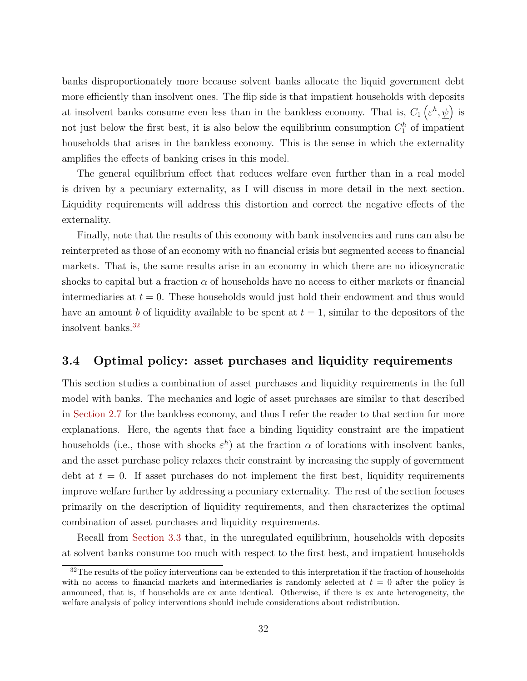banks disproportionately more because solvent banks allocate the liquid government debt more efficiently than insolvent ones. The flip side is that impatient households with deposits at insolvent banks consume even less than in the bankless economy. That is,  $C_1(\varepsilon^h, \psi)$  is not just below the first best, it is also below the equilibrium consumption  $C_1^h$  of impatient households that arises in the bankless economy. This is the sense in which the externality amplifies the effects of banking crises in this model.

The general equilibrium effect that reduces welfare even further than in a real model is driven by a pecuniary externality, as I will discuss in more detail in the next section. Liquidity requirements will address this distortion and correct the negative effects of the externality.

Finally, note that the results of this economy with bank insolvencies and runs can also be reinterpreted as those of an economy with no financial crisis but segmented access to financial markets. That is, the same results arise in an economy in which there are no idiosyncratic shocks to capital but a fraction  $\alpha$  of households have no access to either markets or financial intermediaries at  $t = 0$ . These households would just hold their endowment and thus would have an amount *b* of liquidity available to be spent at  $t = 1$ , similar to the depositors of the insolvent banks.[32](#page-31-0)

#### <span id="page-31-1"></span>**3.4 Optimal policy: asset purchases and liquidity requirements**

This section studies a combination of asset purchases and liquidity requirements in the full model with banks. The mechanics and logic of asset purchases are similar to that described in [Section](#page-15-0) [2.7](#page-15-0) for the bankless economy, and thus I refer the reader to that section for more explanations. Here, the agents that face a binding liquidity constraint are the impatient households (i.e., those with shocks  $\varepsilon^h$ ) at the fraction  $\alpha$  of locations with insolvent banks, and the asset purchase policy relaxes their constraint by increasing the supply of government debt at  $t = 0$ . If asset purchases do not implement the first best, liquidity requirements improve welfare further by addressing a pecuniary externality. The rest of the section focuses primarily on the description of liquidity requirements, and then characterizes the optimal combination of asset purchases and liquidity requirements.

Recall from [Section](#page-27-0) [3.3](#page-27-0) that, in the unregulated equilibrium, households with deposits at solvent banks consume too much with respect to the first best, and impatient households

<span id="page-31-0"></span><sup>&</sup>lt;sup>32</sup>The results of the policy interventions can be extended to this interpretation if the fraction of households with no access to financial markets and intermediaries is randomly selected at  $t = 0$  after the policy is announced, that is, if households are ex ante identical. Otherwise, if there is ex ante heterogeneity, the welfare analysis of policy interventions should include considerations about redistribution.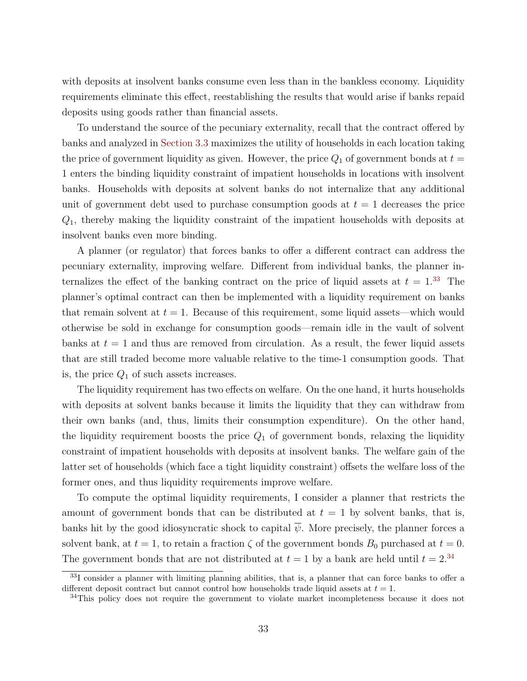with deposits at insolvent banks consume even less than in the bankless economy. Liquidity requirements eliminate this effect, reestablishing the results that would arise if banks repaid deposits using goods rather than financial assets.

To understand the source of the pecuniary externality, recall that the contract offered by banks and analyzed in [Section](#page-27-0) [3.3](#page-27-0) maximizes the utility of households in each location taking the price of government liquidity as given. However, the price  $Q_1$  of government bonds at  $t =$ 1 enters the binding liquidity constraint of impatient households in locations with insolvent banks. Households with deposits at solvent banks do not internalize that any additional unit of government debt used to purchase consumption goods at  $t = 1$  decreases the price *Q*1, thereby making the liquidity constraint of the impatient households with deposits at insolvent banks even more binding.

A planner (or regulator) that forces banks to offer a different contract can address the pecuniary externality, improving welfare. Different from individual banks, the planner internalizes the effect of the banking contract on the price of liquid assets at  $t = 1^{33}$  $t = 1^{33}$  $t = 1^{33}$ . The planner's optimal contract can then be implemented with a liquidity requirement on banks that remain solvent at  $t = 1$ . Because of this requirement, some liquid assets—which would otherwise be sold in exchange for consumption goods—remain idle in the vault of solvent banks at  $t = 1$  and thus are removed from circulation. As a result, the fewer liquid assets that are still traded become more valuable relative to the time-1 consumption goods. That is, the price *Q*<sup>1</sup> of such assets increases.

The liquidity requirement has two effects on welfare. On the one hand, it hurts households with deposits at solvent banks because it limits the liquidity that they can withdraw from their own banks (and, thus, limits their consumption expenditure). On the other hand, the liquidity requirement boosts the price  $Q_1$  of government bonds, relaxing the liquidity constraint of impatient households with deposits at insolvent banks. The welfare gain of the latter set of households (which face a tight liquidity constraint) offsets the welfare loss of the former ones, and thus liquidity requirements improve welfare.

To compute the optimal liquidity requirements, I consider a planner that restricts the amount of government bonds that can be distributed at  $t = 1$  by solvent banks, that is, banks hit by the good idiosyncratic shock to capital  $\overline{\psi}$ . More precisely, the planner forces a solvent bank, at  $t = 1$ , to retain a fraction  $\zeta$  of the government bonds  $B_0$  purchased at  $t = 0$ . The government bonds that are not distributed at  $t = 1$  by a bank are held until  $t = 2^{34}$  $t = 2^{34}$  $t = 2^{34}$ 

<span id="page-32-0"></span><sup>33</sup>I consider a planner with limiting planning abilities, that is, a planner that can force banks to offer a different deposit contract but cannot control how households trade liquid assets at *t* = 1.

<span id="page-32-1"></span><sup>&</sup>lt;sup>34</sup>This policy does not require the government to violate market incompleteness because it does not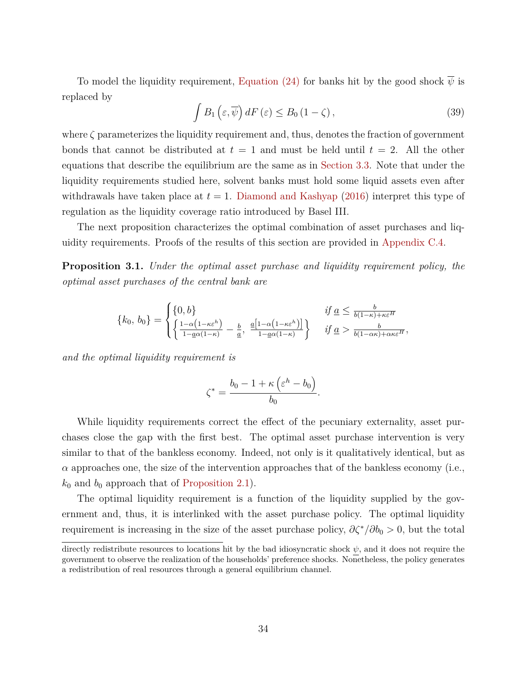To model the liquidity requirement, [Equation](#page-25-3) [\(24\)](#page-25-3) for banks hit by the good shock  $\overline{\psi}$  is replaced by

<span id="page-33-0"></span>
$$
\int B_1\left(\varepsilon,\overline{\psi}\right)dF\left(\varepsilon\right) \leq B_0\left(1-\zeta\right),\tag{39}
$$

where  $\zeta$  parameterizes the liquidity requirement and, thus, denotes the fraction of government bonds that cannot be distributed at  $t = 1$  and must be held until  $t = 2$ . All the other equations that describe the equilibrium are the same as in [Section](#page-27-0) [3.3.](#page-27-0) Note that under the liquidity requirements studied here, solvent banks must hold some liquid assets even after withdrawals have taken place at  $t = 1$ . [Diamond and Kashyap](#page-41-3) [\(2016\)](#page-41-3) interpret this type of regulation as the liquidity coverage ratio introduced by Basel III.

The next proposition characterizes the optimal combination of asset purchases and liquidity requirements. Proofs of the results of this section are provided in [Appendix](#page-52-0) [C.4.](#page-52-0)

<span id="page-33-1"></span>**Proposition 3.1.** *Under the optimal asset purchase and liquidity requirement policy, the optimal asset purchases of the central bank are*

$$
\{k_0, b_0\} = \begin{cases} \{0, b\} & \text{if } \underline{a} \leq \frac{b}{b(1-\kappa)+\kappa\varepsilon^H} \\ \left\{ \frac{1-\alpha(1-\kappa\varepsilon^h)}{1-\underline{a}\alpha(1-\kappa)} - \frac{b}{\underline{a}}, \frac{\underline{a}[1-\alpha(1-\kappa\varepsilon^h)]}{1-\underline{a}\alpha(1-\kappa)} \right\} & \text{if } \underline{a} > \frac{b}{b(1-\alpha\kappa)+\alpha\kappa\varepsilon^H}, \end{cases}
$$

*and the optimal liquidity requirement is*

$$
\zeta^* = \frac{b_0 - 1 + \kappa \left(\varepsilon^h - b_0\right)}{b_0}.
$$

While liquidity requirements correct the effect of the pecuniary externality, asset purchases close the gap with the first best. The optimal asset purchase intervention is very similar to that of the bankless economy. Indeed, not only is it qualitatively identical, but as  $\alpha$  approaches one, the size of the intervention approaches that of the bankless economy (i.e.,  $k_0$  and  $b_0$  approach that of [Proposition](#page-17-1) [2.1\)](#page-17-1).

The optimal liquidity requirement is a function of the liquidity supplied by the government and, thus, it is interlinked with the asset purchase policy. The optimal liquidity requirement is increasing in the size of the asset purchase policy,  $\partial \zeta^*/\partial b_0 > 0$ , but the total

directly redistribute resources to locations hit by the bad idiosyncratic shock *ψ*, and it does not require the government to observe the realization of the households' preference shocks. Nonetheless, the policy generates a redistribution of real resources through a general equilibrium channel.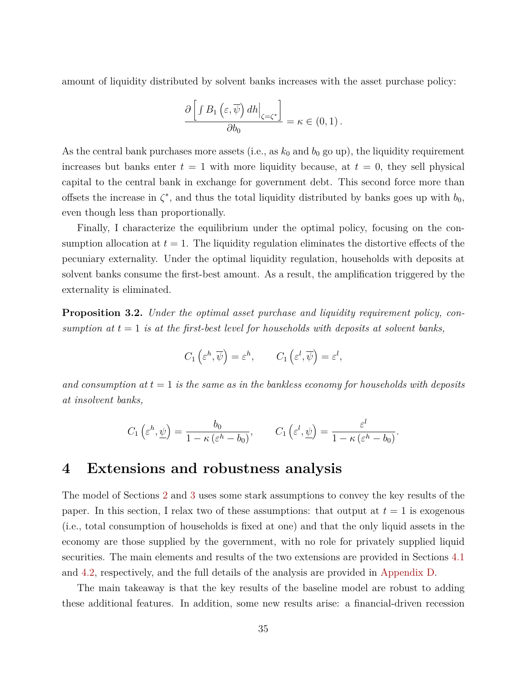amount of liquidity distributed by solvent banks increases with the asset purchase policy:

$$
\frac{\partial \left[ \int B_1 \left( \varepsilon, \overline{\psi} \right) dh \Big|_{\zeta = \zeta^*} \right]}{\partial b_0} = \kappa \in (0, 1) .
$$

As the central bank purchases more assets (i.e., as  $k_0$  and  $b_0$  go up), the liquidity requirement increases but banks enter  $t = 1$  with more liquidity because, at  $t = 0$ , they sell physical capital to the central bank in exchange for government debt. This second force more than offsets the increase in  $\zeta^*$ , and thus the total liquidity distributed by banks goes up with  $b_0$ , even though less than proportionally.

Finally, I characterize the equilibrium under the optimal policy, focusing on the consumption allocation at  $t = 1$ . The liquidity regulation eliminates the distortive effects of the pecuniary externality. Under the optimal liquidity regulation, households with deposits at solvent banks consume the first-best amount. As a result, the amplification triggered by the externality is eliminated.

<span id="page-34-1"></span>**Proposition 3.2.** *Under the optimal asset purchase and liquidity requirement policy, consumption at*  $t = 1$  *is at the first-best level for households with deposits at solvent banks.* 

$$
C_1\left(\varepsilon^h, \overline{\psi}\right) = \varepsilon^h, \qquad C_1\left(\varepsilon^l, \overline{\psi}\right) = \varepsilon^l,
$$

*and consumption at t* = 1 *is the same as in the bankless economy for households with deposits at insolvent banks,*

$$
C_1\left(\varepsilon^h, \underline{\psi}\right) = \frac{b_0}{1 - \kappa \left(\varepsilon^h - b_0\right)}, \qquad C_1\left(\varepsilon^l, \underline{\psi}\right) = \frac{\varepsilon^l}{1 - \kappa \left(\varepsilon^h - b_0\right)}.
$$

## <span id="page-34-0"></span>**4 Extensions and robustness analysis**

The model of Sections [2](#page-6-0) and [3](#page-20-0) uses some stark assumptions to convey the key results of the paper. In this section, I relax two of these assumptions: that output at  $t = 1$  is exogenous (i.e., total consumption of households is fixed at one) and that the only liquid assets in the economy are those supplied by the government, with no role for privately supplied liquid securities. The main elements and results of the two extensions are provided in Sections [4.1](#page-36-0) and [4.2,](#page-38-0) respectively, and the full details of the analysis are provided in [Appendix](#page-53-0) [D.](#page-53-0)

The main takeaway is that the key results of the baseline model are robust to adding these additional features. In addition, some new results arise: a financial-driven recession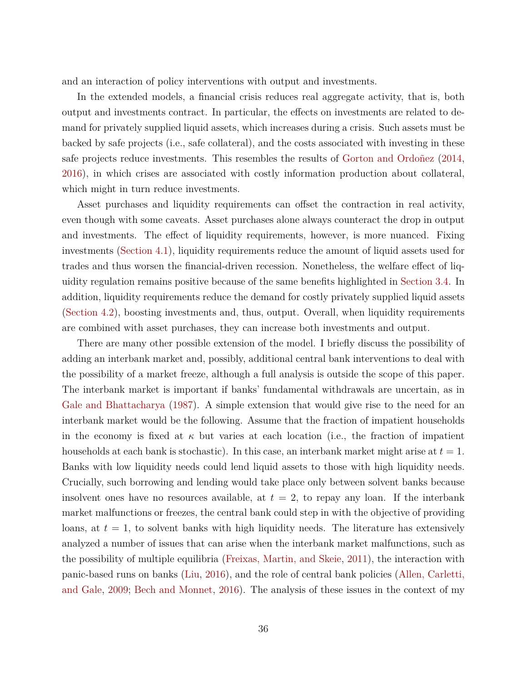and an interaction of policy interventions with output and investments.

In the extended models, a financial crisis reduces real aggregate activity, that is, both output and investments contract. In particular, the effects on investments are related to demand for privately supplied liquid assets, which increases during a crisis. Such assets must be backed by safe projects (i.e., safe collateral), and the costs associated with investing in these safe projects reduce investments. This resembles the results of [Gorton and Ordoñez](#page-42-7) [\(2014,](#page-42-7) [2016\)](#page-42-8), in which crises are associated with costly information production about collateral, which might in turn reduce investments.

Asset purchases and liquidity requirements can offset the contraction in real activity, even though with some caveats. Asset purchases alone always counteract the drop in output and investments. The effect of liquidity requirements, however, is more nuanced. Fixing investments [\(Section](#page-36-0) [4.1\)](#page-36-0), liquidity requirements reduce the amount of liquid assets used for trades and thus worsen the financial-driven recession. Nonetheless, the welfare effect of liquidity regulation remains positive because of the same benefits highlighted in [Section](#page-31-1) [3.4.](#page-31-1) In addition, liquidity requirements reduce the demand for costly privately supplied liquid assets [\(Section](#page-38-0) [4.2\)](#page-38-0), boosting investments and, thus, output. Overall, when liquidity requirements are combined with asset purchases, they can increase both investments and output.

There are many other possible extension of the model. I briefly discuss the possibility of adding an interbank market and, possibly, additional central bank interventions to deal with the possibility of a market freeze, although a full analysis is outside the scope of this paper. The interbank market is important if banks' fundamental withdrawals are uncertain, as in [Gale and Bhattacharya](#page-42-11) [\(1987\)](#page-42-11). A simple extension that would give rise to the need for an interbank market would be the following. Assume that the fraction of impatient households in the economy is fixed at  $\kappa$  but varies at each location (i.e., the fraction of impatient households at each bank is stochastic). In this case, an interbank market might arise at *t* = 1. Banks with low liquidity needs could lend liquid assets to those with high liquidity needs. Crucially, such borrowing and lending would take place only between solvent banks because insolvent ones have no resources available, at  $t = 2$ , to repay any loan. If the interbank market malfunctions or freezes, the central bank could step in with the objective of providing loans, at  $t = 1$ , to solvent banks with high liquidity needs. The literature has extensively analyzed a number of issues that can arise when the interbank market malfunctions, such as the possibility of multiple equilibria [\(Freixas, Martin, and Skeie,](#page-42-12) [2011\)](#page-42-12), the interaction with panic-based runs on banks [\(Liu,](#page-43-12) [2016\)](#page-43-12), and the role of central bank policies [\(Allen, Carletti,](#page-40-2) [and Gale,](#page-40-2) [2009;](#page-40-2) [Bech and Monnet,](#page-41-14) [2016\)](#page-41-14). The analysis of these issues in the context of my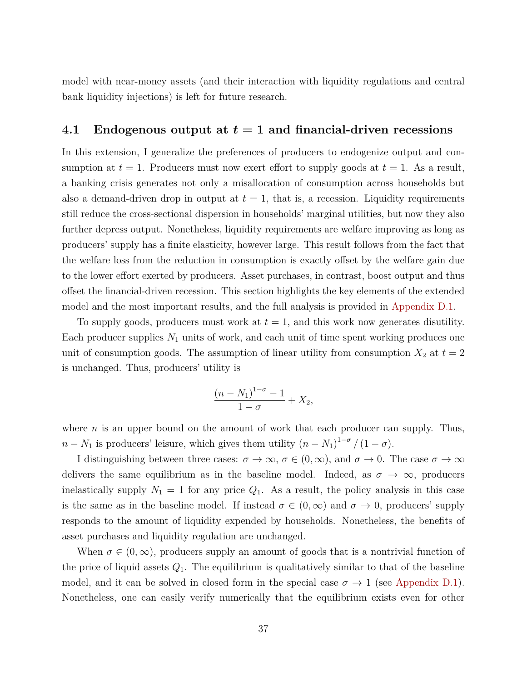model with near-money assets (and their interaction with liquidity regulations and central bank liquidity injections) is left for future research.

#### <span id="page-36-0"></span>**4.1 Endogenous output at** *t* **= 1 and financial-driven recessions**

In this extension, I generalize the preferences of producers to endogenize output and consumption at  $t = 1$ . Producers must now exert effort to supply goods at  $t = 1$ . As a result, a banking crisis generates not only a misallocation of consumption across households but also a demand-driven drop in output at  $t = 1$ , that is, a recession. Liquidity requirements still reduce the cross-sectional dispersion in households' marginal utilities, but now they also further depress output. Nonetheless, liquidity requirements are welfare improving as long as producers' supply has a finite elasticity, however large. This result follows from the fact that the welfare loss from the reduction in consumption is exactly offset by the welfare gain due to the lower effort exerted by producers. Asset purchases, in contrast, boost output and thus offset the financial-driven recession. This section highlights the key elements of the extended model and the most important results, and the full analysis is provided in [Appendix](#page-53-1) [D.1.](#page-53-1)

To supply goods, producers must work at  $t = 1$ , and this work now generates disutility. Each producer supplies  $N_1$  units of work, and each unit of time spent working produces one unit of consumption goods. The assumption of linear utility from consumption  $X_2$  at  $t = 2$ is unchanged. Thus, producers' utility is

$$
\frac{(n-N_1)^{1-\sigma}-1}{1-\sigma}+X_2,
$$

where *n* is an upper bound on the amount of work that each producer can supply. Thus,  $n - N_1$  is producers' leisure, which gives them utility  $(n - N_1)^{1-\sigma}/(1-\sigma)$ .

I distinguishing between three cases:  $\sigma \to \infty$ ,  $\sigma \in (0, \infty)$ , and  $\sigma \to 0$ . The case  $\sigma \to \infty$ delivers the same equilibrium as in the baseline model. Indeed, as  $\sigma \to \infty$ , producers inelastically supply  $N_1 = 1$  for any price  $Q_1$ . As a result, the policy analysis in this case is the same as in the baseline model. If instead  $\sigma \in (0,\infty)$  and  $\sigma \to 0$ , producers' supply responds to the amount of liquidity expended by households. Nonetheless, the benefits of asset purchases and liquidity regulation are unchanged.

When  $\sigma \in (0,\infty)$ , producers supply an amount of goods that is a nontrivial function of the price of liquid assets  $Q_1$ . The equilibrium is qualitatively similar to that of the baseline model, and it can be solved in closed form in the special case  $\sigma \to 1$  (see [Appendix](#page-53-1) [D.1\)](#page-53-1). Nonetheless, one can easily verify numerically that the equilibrium exists even for other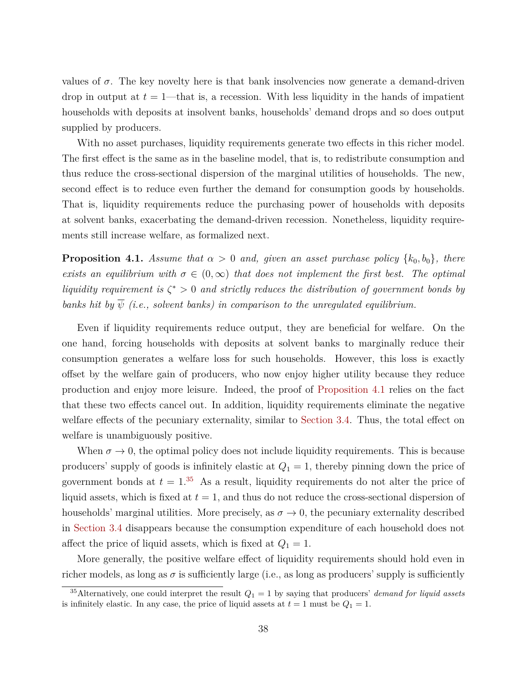values of  $\sigma$ . The key novelty here is that bank insolvencies now generate a demand-driven drop in output at  $t = 1$ —that is, a recession. With less liquidity in the hands of impatient households with deposits at insolvent banks, households' demand drops and so does output supplied by producers.

With no asset purchases, liquidity requirements generate two effects in this richer model. The first effect is the same as in the baseline model, that is, to redistribute consumption and thus reduce the cross-sectional dispersion of the marginal utilities of households. The new, second effect is to reduce even further the demand for consumption goods by households. That is, liquidity requirements reduce the purchasing power of households with deposits at solvent banks, exacerbating the demand-driven recession. Nonetheless, liquidity requirements still increase welfare, as formalized next.

<span id="page-37-0"></span>**Proposition 4.1.** *Assume that*  $\alpha > 0$  *and, given an asset purchase policy*  $\{k_0, b_0\}$ *, there exists an equilibrium with*  $\sigma \in (0,\infty)$  *that does not implement the first best. The optimal liquidity requirement is ζ* <sup>∗</sup> *>* 0 *and strictly reduces the distribution of government bonds by banks hit by*  $\overline{\psi}$  *(i.e., solvent banks) in comparison to the unregulated equilibrium.* 

Even if liquidity requirements reduce output, they are beneficial for welfare. On the one hand, forcing households with deposits at solvent banks to marginally reduce their consumption generates a welfare loss for such households. However, this loss is exactly offset by the welfare gain of producers, who now enjoy higher utility because they reduce production and enjoy more leisure. Indeed, the proof of [Proposition](#page-37-0) [4.1](#page-37-0) relies on the fact that these two effects cancel out. In addition, liquidity requirements eliminate the negative welfare effects of the pecuniary externality, similar to [Section](#page-31-1) [3.4.](#page-31-1) Thus, the total effect on welfare is unambiguously positive.

When  $\sigma \to 0$ , the optimal policy does not include liquidity requirements. This is because producers' supply of goods is infinitely elastic at  $Q_1 = 1$ , thereby pinning down the price of government bonds at  $t = 1$ .<sup>[35](#page-37-1)</sup> As a result, liquidity requirements do not alter the price of liquid assets, which is fixed at  $t = 1$ , and thus do not reduce the cross-sectional dispersion of households' marginal utilities. More precisely, as  $\sigma \to 0$ , the pecuniary externality described in [Section](#page-31-1) [3.4](#page-31-1) disappears because the consumption expenditure of each household does not affect the price of liquid assets, which is fixed at  $Q_1 = 1$ .

More generally, the positive welfare effect of liquidity requirements should hold even in richer models, as long as  $\sigma$  is sufficiently large (i.e., as long as producers' supply is sufficiently

<span id="page-37-1"></span><sup>&</sup>lt;sup>35</sup>Alternatively, one could interpret the result  $Q_1 = 1$  by saying that producers' *demand for liquid assets* is infinitely elastic. In any case, the price of liquid assets at  $t = 1$  must be  $Q_1 = 1$ .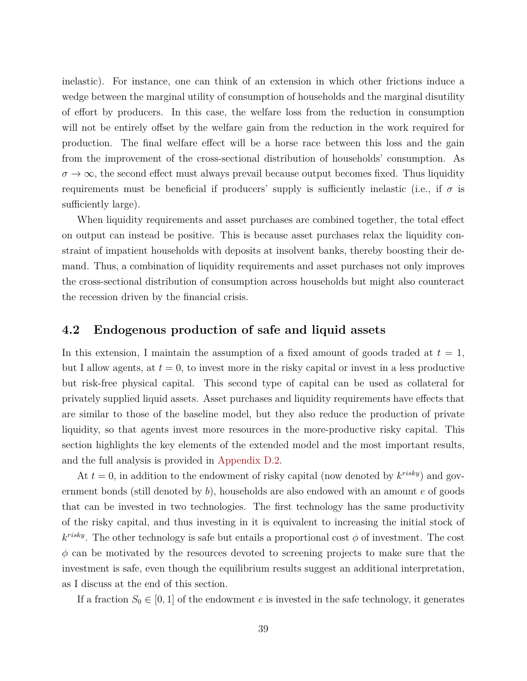inelastic). For instance, one can think of an extension in which other frictions induce a wedge between the marginal utility of consumption of households and the marginal disutility of effort by producers. In this case, the welfare loss from the reduction in consumption will not be entirely offset by the welfare gain from the reduction in the work required for production. The final welfare effect will be a horse race between this loss and the gain from the improvement of the cross-sectional distribution of households' consumption. As  $\sigma \to \infty$ , the second effect must always prevail because output becomes fixed. Thus liquidity requirements must be beneficial if producers' supply is sufficiently inelastic (i.e., if  $\sigma$  is sufficiently large).

When liquidity requirements and asset purchases are combined together, the total effect on output can instead be positive. This is because asset purchases relax the liquidity constraint of impatient households with deposits at insolvent banks, thereby boosting their demand. Thus, a combination of liquidity requirements and asset purchases not only improves the cross-sectional distribution of consumption across households but might also counteract the recession driven by the financial crisis.

#### <span id="page-38-0"></span>**4.2 Endogenous production of safe and liquid assets**

In this extension, I maintain the assumption of a fixed amount of goods traded at  $t = 1$ , but I allow agents, at  $t = 0$ , to invest more in the risky capital or invest in a less productive but risk-free physical capital. This second type of capital can be used as collateral for privately supplied liquid assets. Asset purchases and liquidity requirements have effects that are similar to those of the baseline model, but they also reduce the production of private liquidity, so that agents invest more resources in the more-productive risky capital. This section highlights the key elements of the extended model and the most important results, and the full analysis is provided in [Appendix](#page-56-0) [D.2.](#page-56-0)

At  $t = 0$ , in addition to the endowment of risky capital (now denoted by  $k^{risk}$ ) and government bonds (still denoted by *b*), households are also endowed with an amount *e* of goods that can be invested in two technologies. The first technology has the same productivity of the risky capital, and thus investing in it is equivalent to increasing the initial stock of  $k^{risky}$ . The other technology is safe but entails a proportional cost  $\phi$  of investment. The cost *φ* can be motivated by the resources devoted to screening projects to make sure that the investment is safe, even though the equilibrium results suggest an additional interpretation, as I discuss at the end of this section.

If a fraction  $S_0 \in [0, 1]$  of the endowment *e* is invested in the safe technology, it generates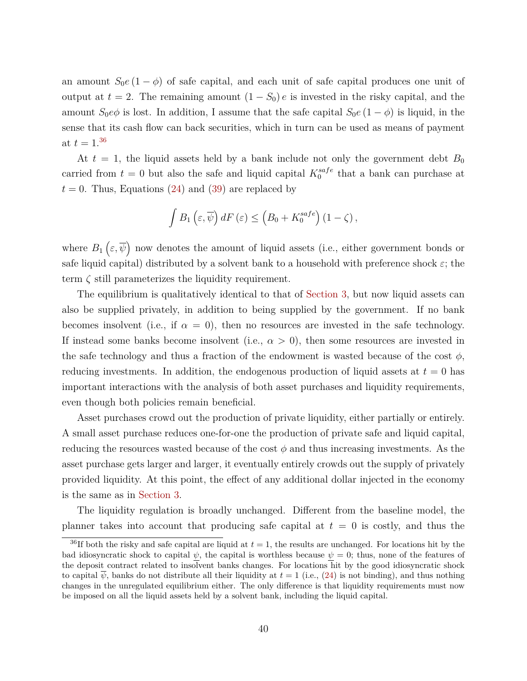an amount  $S_0e(1-\phi)$  of safe capital, and each unit of safe capital produces one unit of output at  $t = 2$ . The remaining amount  $(1 - S_0) e$  is invested in the risky capital, and the amount  $S_0e\phi$  is lost. In addition, I assume that the safe capital  $S_0e(1-\phi)$  is liquid, in the sense that its cash flow can back securities, which in turn can be used as means of payment at  $t = 1.^{36}$  $t = 1.^{36}$  $t = 1.^{36}$ 

At  $t = 1$ , the liquid assets held by a bank include not only the government debt  $B_0$ carried from  $t = 0$  but also the safe and liquid capital  $K_0^{safe}$  $_0^{safe}$  that a bank can purchase at  $t = 0$ . Thus, Equations [\(24\)](#page-25-3) and [\(39\)](#page-33-0) are replaced by

$$
\int B_1\left(\varepsilon,\overline{\psi}\right)dF\left(\varepsilon\right) \leq \left(B_0 + K_0^{safe}\right)\left(1-\zeta\right),\,
$$

where  $B_1(\varepsilon,\overline{\psi})$  now denotes the amount of liquid assets (i.e., either government bonds or safe liquid capital) distributed by a solvent bank to a household with preference shock  $\varepsilon$ ; the term *ζ* still parameterizes the liquidity requirement.

The equilibrium is qualitatively identical to that of [Section](#page-20-0) [3,](#page-20-0) but now liquid assets can also be supplied privately, in addition to being supplied by the government. If no bank becomes insolvent (i.e., if  $\alpha = 0$ ), then no resources are invested in the safe technology. If instead some banks become insolvent (i.e.,  $\alpha > 0$ ), then some resources are invested in the safe technology and thus a fraction of the endowment is wasted because of the cost  $\phi$ , reducing investments. In addition, the endogenous production of liquid assets at  $t = 0$  has important interactions with the analysis of both asset purchases and liquidity requirements, even though both policies remain beneficial.

Asset purchases crowd out the production of private liquidity, either partially or entirely. A small asset purchase reduces one-for-one the production of private safe and liquid capital, reducing the resources wasted because of the cost  $\phi$  and thus increasing investments. As the asset purchase gets larger and larger, it eventually entirely crowds out the supply of privately provided liquidity. At this point, the effect of any additional dollar injected in the economy is the same as in [Section](#page-20-0) [3.](#page-20-0)

The liquidity regulation is broadly unchanged. Different from the baseline model, the planner takes into account that producing safe capital at  $t = 0$  is costly, and thus the

<span id="page-39-0"></span><sup>&</sup>lt;sup>36</sup>If both the risky and safe capital are liquid at  $t = 1$ , the results are unchanged. For locations hit by the bad idiosyncratic shock to capital  $\psi$ , the capital is worthless because  $\psi = 0$ ; thus, none of the features of the deposit contract related to insolvent banks changes. For locations hit by the good idiosyncratic shock to capital  $\psi$ , banks do not distribute all their liquidity at  $t = 1$  (i.e., [\(24\)](#page-25-3) is not binding), and thus nothing changes in the unregulated equilibrium either. The only difference is that liquidity requirements must now be imposed on all the liquid assets held by a solvent bank, including the liquid capital.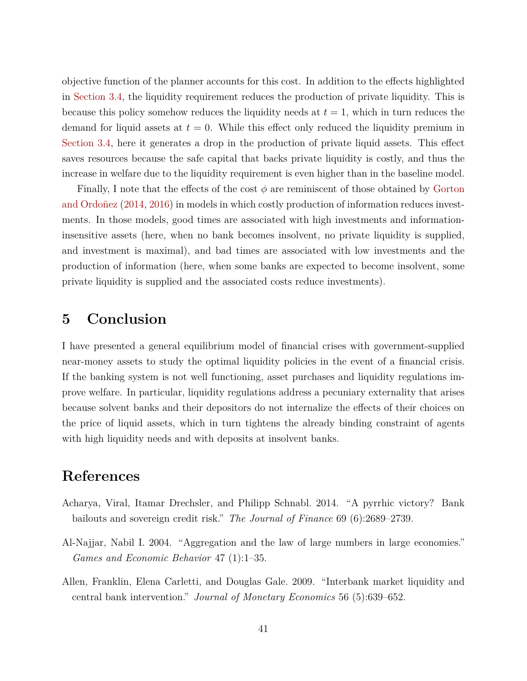objective function of the planner accounts for this cost. In addition to the effects highlighted in [Section](#page-31-1) [3.4,](#page-31-1) the liquidity requirement reduces the production of private liquidity. This is because this policy somehow reduces the liquidity needs at  $t = 1$ , which in turn reduces the demand for liquid assets at  $t = 0$ . While this effect only reduced the liquidity premium in [Section](#page-31-1) [3.4,](#page-31-1) here it generates a drop in the production of private liquid assets. This effect saves resources because the safe capital that backs private liquidity is costly, and thus the increase in welfare due to the liquidity requirement is even higher than in the baseline model.

Finally, I note that the effects of the cost *φ* are reminiscent of those obtained by [Gorton](#page-42-7) [and Ordoñez](#page-42-7) [\(2014,](#page-42-7) [2016\)](#page-42-8) in models in which costly production of information reduces investments. In those models, good times are associated with high investments and informationinsensitive assets (here, when no bank becomes insolvent, no private liquidity is supplied, and investment is maximal), and bad times are associated with low investments and the production of information (here, when some banks are expected to become insolvent, some private liquidity is supplied and the associated costs reduce investments).

# **5 Conclusion**

I have presented a general equilibrium model of financial crises with government-supplied near-money assets to study the optimal liquidity policies in the event of a financial crisis. If the banking system is not well functioning, asset purchases and liquidity regulations improve welfare. In particular, liquidity regulations address a pecuniary externality that arises because solvent banks and their depositors do not internalize the effects of their choices on the price of liquid assets, which in turn tightens the already binding constraint of agents with high liquidity needs and with deposits at insolvent banks.

# **References**

- <span id="page-40-0"></span>Acharya, Viral, Itamar Drechsler, and Philipp Schnabl. 2014. "A pyrrhic victory? Bank bailouts and sovereign credit risk." *The Journal of Finance* 69 (6):2689–2739.
- <span id="page-40-1"></span>Al-Najjar, Nabil I. 2004. "Aggregation and the law of large numbers in large economies." *Games and Economic Behavior* 47 (1):1–35.
- <span id="page-40-2"></span>Allen, Franklin, Elena Carletti, and Douglas Gale. 2009. "Interbank market liquidity and central bank intervention." *Journal of Monetary Economics* 56 (5):639–652.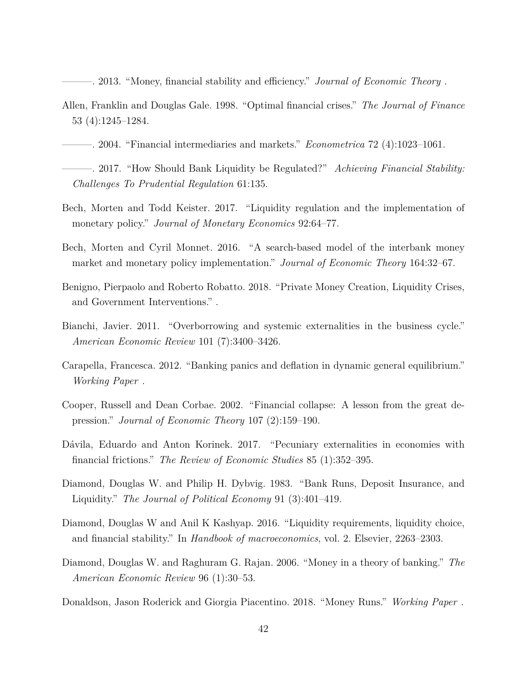- <span id="page-41-6"></span>———. 2013. "Money, financial stability and efficiency." *Journal of Economic Theory* .
- <span id="page-41-2"></span>Allen, Franklin and Douglas Gale. 1998. "Optimal financial crises." *The Journal of Finance* 53 (4):1245–1284.
- <span id="page-41-4"></span>———. 2004. "Financial intermediaries and markets." *Econometrica* 72 (4):1023–1061.
- <span id="page-41-0"></span>———. 2017. "How Should Bank Liquidity be Regulated?" *Achieving Financial Stability: Challenges To Prudential Regulation* 61:135.
- <span id="page-41-5"></span>Bech, Morten and Todd Keister. 2017. "Liquidity regulation and the implementation of monetary policy." *Journal of Monetary Economics* 92:64–77.
- <span id="page-41-14"></span>Bech, Morten and Cyril Monnet. 2016. "A search-based model of the interbank money market and monetary policy implementation." *Journal of Economic Theory* 164:32–67.
- <span id="page-41-13"></span>Benigno, Pierpaolo and Roberto Robatto. 2018. "Private Money Creation, Liquidity Crises, and Government Interventions." .
- <span id="page-41-11"></span>Bianchi, Javier. 2011. "Overborrowing and systemic externalities in the business cycle." *American Economic Review* 101 (7):3400–3426.
- <span id="page-41-8"></span>Carapella, Francesca. 2012. "Banking panics and deflation in dynamic general equilibrium." *Working Paper* .
- <span id="page-41-9"></span>Cooper, Russell and Dean Corbae. 2002. "Financial collapse: A lesson from the great depression." *Journal of Economic Theory* 107 (2):159–190.
- <span id="page-41-12"></span>Dávila, Eduardo and Anton Korinek. 2017. "Pecuniary externalities in economies with financial frictions." *The Review of Economic Studies* 85 (1):352–395.
- <span id="page-41-1"></span>Diamond, Douglas W. and Philip H. Dybvig. 1983. "Bank Runs, Deposit Insurance, and Liquidity." *The Journal of Political Economy* 91 (3):401–419.
- <span id="page-41-3"></span>Diamond, Douglas W and Anil K Kashyap. 2016. "Liquidity requirements, liquidity choice, and financial stability." In *Handbook of macroeconomics*, vol. 2. Elsevier, 2263–2303.
- <span id="page-41-7"></span>Diamond, Douglas W. and Raghuram G. Rajan. 2006. "Money in a theory of banking." *The American Economic Review* 96 (1):30–53.
- <span id="page-41-10"></span>Donaldson, Jason Roderick and Giorgia Piacentino. 2018. "Money Runs." *Working Paper* .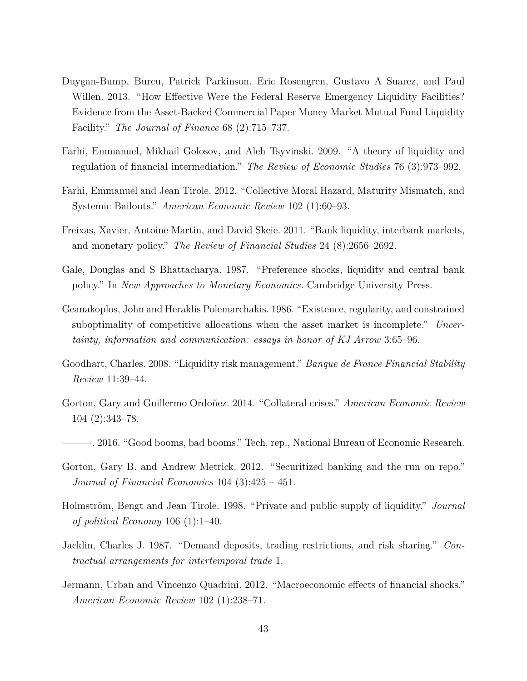- <span id="page-42-0"></span>Duygan-Bump, Burcu, Patrick Parkinson, Eric Rosengren, Gustavo A Suarez, and Paul Willen. 2013. "How Effective Were the Federal Reserve Emergency Liquidity Facilities? Evidence from the Asset-Backed Commercial Paper Money Market Mutual Fund Liquidity Facility." *The Journal of Finance* 68 (2):715–737.
- <span id="page-42-5"></span>Farhi, Emmanuel, Mikhail Golosov, and Aleh Tsyvinski. 2009. "A theory of liquidity and regulation of financial intermediation." *The Review of Economic Studies* 76 (3):973–992.
- <span id="page-42-2"></span>Farhi, Emmanuel and Jean Tirole. 2012. "Collective Moral Hazard, Maturity Mismatch, and Systemic Bailouts." *American Economic Review* 102 (1):60–93.
- <span id="page-42-12"></span>Freixas, Xavier, Antoine Martin, and David Skeie. 2011. "Bank liquidity, interbank markets, and monetary policy." *The Review of Financial Studies* 24 (8):2656–2692.
- <span id="page-42-11"></span>Gale, Douglas and S Bhattacharya. 1987. "Preference shocks, liquidity and central bank policy." In *New Approaches to Monetary Economics*. Cambridge University Press.
- <span id="page-42-10"></span>Geanakoplos, John and Heraklis Polemarchakis. 1986. "Existence, regularity, and constrained suboptimality of competitive allocations when the asset market is incomplete." *Uncertainty, information and communication: essays in honor of KJ Arrow* 3:65–96.
- <span id="page-42-6"></span>Goodhart, Charles. 2008. "Liquidity risk management." *Banque de France Financial Stability Review* 11:39–44.
- <span id="page-42-7"></span>Gorton, Gary and Guillermo Ordoñez. 2014. "Collateral crises." *American Economic Review* 104 (2):343–78.
- <span id="page-42-8"></span>———. 2016. "Good booms, bad booms." Tech. rep., National Bureau of Economic Research.
- <span id="page-42-1"></span>Gorton, Gary B. and Andrew Metrick. 2012. "Securitized banking and the run on repo." *Journal of Financial Economics* 104 (3):425 – 451.
- <span id="page-42-3"></span>Holmström, Bengt and Jean Tirole. 1998. "Private and public supply of liquidity." *Journal of political Economy* 106 (1):1–40.
- <span id="page-42-4"></span>Jacklin, Charles J. 1987. "Demand deposits, trading restrictions, and risk sharing." *Contractual arrangements for intertemporal trade* 1.
- <span id="page-42-9"></span>Jermann, Urban and Vincenzo Quadrini. 2012. "Macroeconomic effects of financial shocks." *American Economic Review* 102 (1):238–71.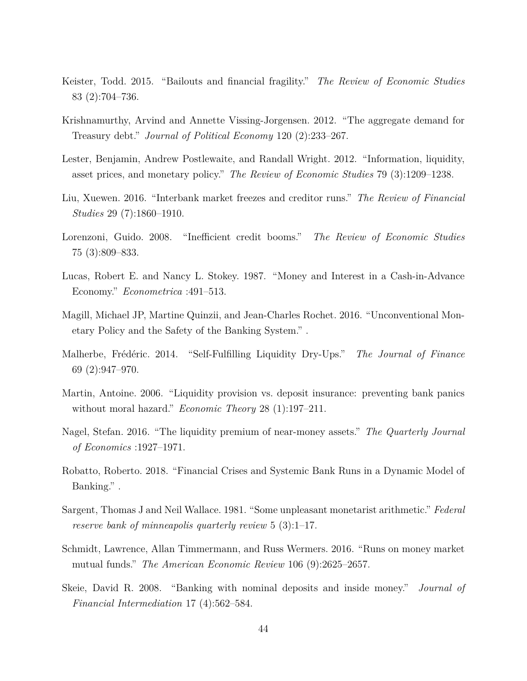- <span id="page-43-1"></span>Keister, Todd. 2015. "Bailouts and financial fragility." *The Review of Economic Studies* 83 (2):704–736.
- <span id="page-43-9"></span>Krishnamurthy, Arvind and Annette Vissing-Jorgensen. 2012. "The aggregate demand for Treasury debt." *Journal of Political Economy* 120 (2):233–267.
- <span id="page-43-13"></span>Lester, Benjamin, Andrew Postlewaite, and Randall Wright. 2012. "Information, liquidity, asset prices, and monetary policy." *The Review of Economic Studies* 79 (3):1209–1238.
- <span id="page-43-12"></span>Liu, Xuewen. 2016. "Interbank market freezes and creditor runs." *The Review of Financial Studies* 29 (7):1860–1910.
- <span id="page-43-6"></span>Lorenzoni, Guido. 2008. "Inefficient credit booms." *The Review of Economic Studies* 75 (3):809–833.
- <span id="page-43-2"></span>Lucas, Robert E. and Nancy L. Stokey. 1987. "Money and Interest in a Cash-in-Advance Economy." *Econometrica* :491–513.
- <span id="page-43-11"></span>Magill, Michael JP, Martine Quinzii, and Jean-Charles Rochet. 2016. "Unconventional Monetary Policy and the Safety of the Banking System." .
- <span id="page-43-7"></span>Malherbe, Frédéric. 2014. "Self-Fulfilling Liquidity Dry-Ups." *The Journal of Finance* 69 (2):947–970.
- <span id="page-43-4"></span>Martin, Antoine. 2006. "Liquidity provision vs. deposit insurance: preventing bank panics without moral hazard." *Economic Theory* 28 (1):197–211.
- <span id="page-43-8"></span>Nagel, Stefan. 2016. "The liquidity premium of near-money assets." *The Quarterly Journal of Economics* :1927–1971.
- <span id="page-43-5"></span>Robatto, Roberto. 2018. "Financial Crises and Systemic Bank Runs in a Dynamic Model of Banking." .
- <span id="page-43-10"></span>Sargent, Thomas J and Neil Wallace. 1981. "Some unpleasant monetarist arithmetic." *Federal reserve bank of minneapolis quarterly review* 5 (3):1–17.
- <span id="page-43-0"></span>Schmidt, Lawrence, Allan Timmermann, and Russ Wermers. 2016. "Runs on money market mutual funds." *The American Economic Review* 106 (9):2625–2657.
- <span id="page-43-3"></span>Skeie, David R. 2008. "Banking with nominal deposits and inside money." *Journal of Financial Intermediation* 17 (4):562–584.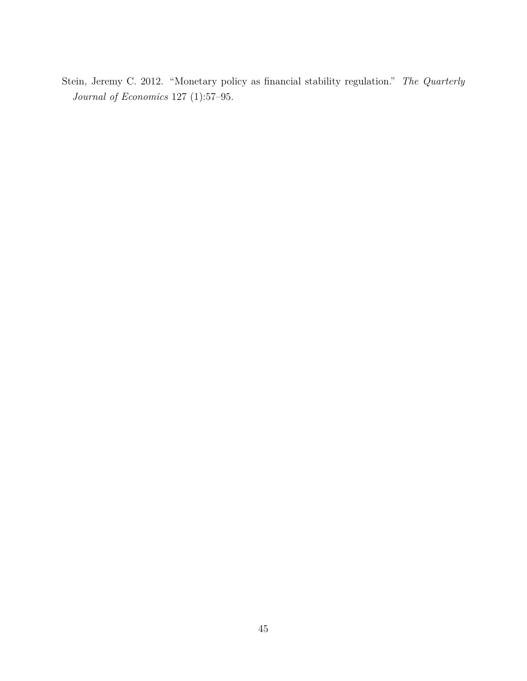<span id="page-44-0"></span>Stein, Jeremy C. 2012. "Monetary policy as financial stability regulation." *The Quarterly Journal of Economics* 127 (1):57–95.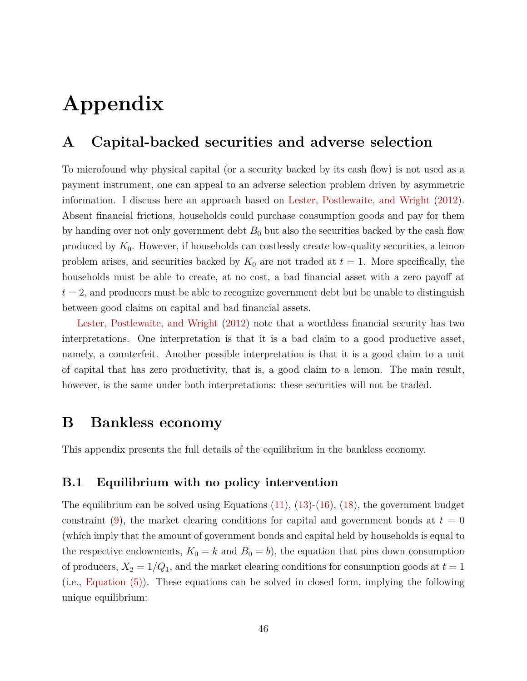# **Appendix**

# <span id="page-45-0"></span>**A Capital-backed securities and adverse selection**

To microfound why physical capital (or a security backed by its cash flow) is not used as a payment instrument, one can appeal to an adverse selection problem driven by asymmetric information. I discuss here an approach based on [Lester, Postlewaite, and Wright](#page-43-13) [\(2012\)](#page-43-13). Absent financial frictions, households could purchase consumption goods and pay for them by handing over not only government debt  $B_0$  but also the securities backed by the cash flow produced by  $K_0$ . However, if households can costlessly create low-quality securities, a lemon problem arises, and securities backed by  $K_0$  are not traded at  $t = 1$ . More specifically, the households must be able to create, at no cost, a bad financial asset with a zero payoff at  $t = 2$ , and producers must be able to recognize government debt but be unable to distinguish between good claims on capital and bad financial assets.

[Lester, Postlewaite, and Wright](#page-43-13) [\(2012\)](#page-43-13) note that a worthless financial security has two interpretations. One interpretation is that it is a bad claim to a good productive asset, namely, a counterfeit. Another possible interpretation is that it is a good claim to a unit of capital that has zero productivity, that is, a good claim to a lemon. The main result, however, is the same under both interpretations: these securities will not be traded.

## **B Bankless economy**

This appendix presents the full details of the equilibrium in the bankless economy.

#### <span id="page-45-1"></span>**B.1 Equilibrium with no policy intervention**

The equilibrium can be solved using Equations [\(11\)](#page-11-1), [\(13\)](#page-12-1)-[\(16\)](#page-13-3), [\(18\)](#page-14-2), the government budget constraint [\(9\)](#page-10-1), the market clearing conditions for capital and government bonds at  $t = 0$ (which imply that the amount of government bonds and capital held by households is equal to the respective endowments,  $K_0 = k$  and  $B_0 = b$ , the equation that pins down consumption of producers,  $X_2 = 1/Q_1$ , and the market clearing conditions for consumption goods at  $t = 1$ (i.e., [Equation](#page-9-4) [\(5\)\)](#page-9-4). These equations can be solved in closed form, implying the following unique equilibrium: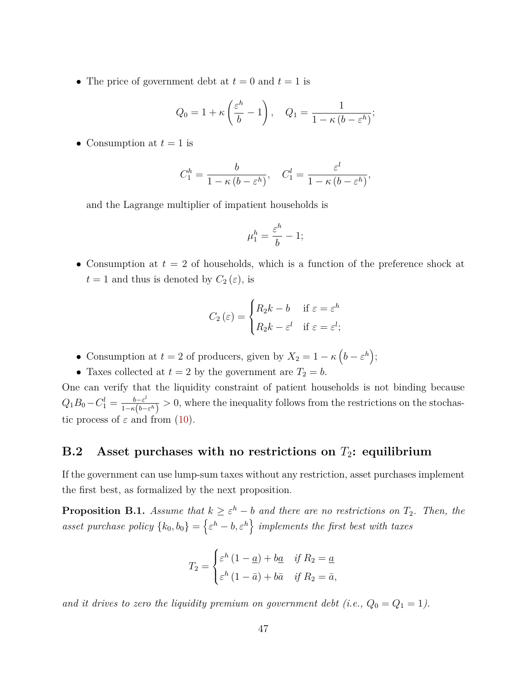• The price of government debt at  $t = 0$  and  $t = 1$  is

$$
Q_0 = 1 + \kappa \left(\frac{\varepsilon^h}{b} - 1\right), \quad Q_1 = \frac{1}{1 - \kappa \left(b - \varepsilon^h\right)};
$$

• Consumption at  $t = 1$  is

$$
C_1^h = \frac{b}{1 - \kappa (b - \varepsilon^h)}, \quad C_1^l = \frac{\varepsilon^l}{1 - \kappa (b - \varepsilon^h)},
$$

and the Lagrange multiplier of impatient households is

$$
\mu_1^h=\frac{\varepsilon^h}{b}-1;
$$

• Consumption at  $t = 2$  of households, which is a function of the preference shock at  $t = 1$  and thus is denoted by  $C_2(\varepsilon)$ , is

$$
C_2(\varepsilon) = \begin{cases} R_2 k - b & \text{if } \varepsilon = \varepsilon^h \\ R_2 k - \varepsilon^l & \text{if } \varepsilon = \varepsilon^l; \end{cases}
$$

- Consumption at  $t = 2$  of producers, given by  $X_2 = 1 \kappa \left( b \varepsilon^h \right);$
- Taxes collected at  $t = 2$  by the government are  $T_2 = b$ .

One can verify that the liquidity constraint of patient households is not binding because  $Q_1 B_0 - C_1^l = \frac{b - \varepsilon^l}{1 - \kappa (b - \varepsilon)}$  $\frac{b-\varepsilon^i}{1-\kappa(b-\varepsilon^h)} > 0$ , where the inequality follows from the restrictions on the stochastic process of  $\varepsilon$  and from [\(10\)](#page-10-2).

### <span id="page-46-0"></span>**B.2 Asset purchases with no restrictions on** *T*2**: equilibrium**

If the government can use lump-sum taxes without any restriction, asset purchases implement the first best, as formalized by the next proposition.

**Proposition B.1.** *Assume that*  $k \geq \varepsilon^h - b$  *and there are no restrictions on*  $T_2$ *. Then, the asset purchase policy*  $\{k_0, b_0\} = \{\varepsilon^h - b, \varepsilon^h\}$  implements the first best with taxes

$$
T_2 = \begin{cases} \varepsilon^h (1 - \underline{a}) + b \underline{a} & \text{if } R_2 = \underline{a} \\ \varepsilon^h (1 - \bar{a}) + b \bar{a} & \text{if } R_2 = \bar{a}, \end{cases}
$$

*and it drives to zero the liquidity premium on government debt (i.e.,*  $Q_0 = Q_1 = 1$ ).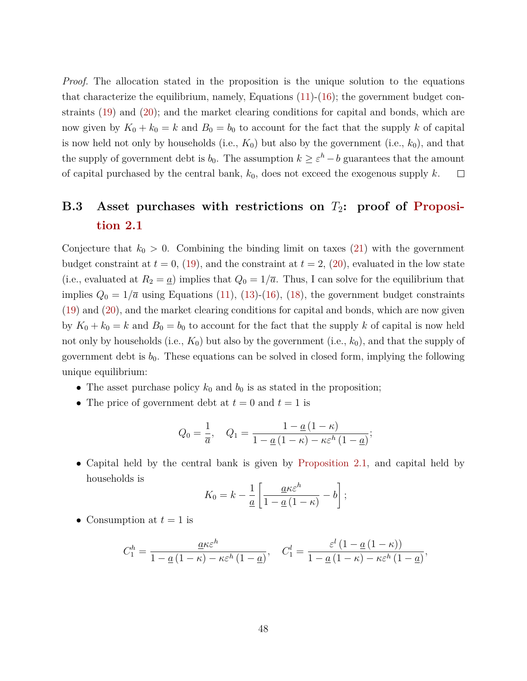*Proof.* The allocation stated in the proposition is the unique solution to the equations that characterize the equilibrium, namely, Equations  $(11)-(16)$  $(11)-(16)$  $(11)-(16)$ ; the government budget constraints [\(19\)](#page-16-1) and [\(20\)](#page-16-2); and the market clearing conditions for capital and bonds, which are now given by  $K_0 + k_0 = k$  and  $B_0 = b_0$  to account for the fact that the supply k of capital is now held not only by households (i.e.,  $K_0$ ) but also by the government (i.e.,  $k_0$ ), and that the supply of government debt is  $b_0$ . The assumption  $k \geq \varepsilon^h - b$  guarantees that the amount of capital purchased by the central bank, *k*0, does not exceed the exogenous supply *k*.  $\Box$ 

# <span id="page-47-0"></span>**B.3** Asset purchases with restrictions on  $T_2$ : proof of [Proposi](#page-17-1)**[tion](#page-17-1) [2.1](#page-17-1)**

Conjecture that  $k_0 > 0$ . Combining the binding limit on taxes [\(21\)](#page-17-0) with the government budget constraint at  $t = 0$ , [\(19\)](#page-16-1), and the constraint at  $t = 2$ , [\(20\)](#page-16-2), evaluated in the low state (i.e., evaluated at  $R_2 = \underline{a}$ ) implies that  $Q_0 = 1/\overline{a}$ . Thus, I can solve for the equilibrium that implies  $Q_0 = 1/\overline{a}$  using Equations [\(11\)](#page-11-1), [\(13\)](#page-12-1)-[\(16\)](#page-13-3), [\(18\)](#page-14-2), the government budget constraints [\(19\)](#page-16-1) and [\(20\)](#page-16-2), and the market clearing conditions for capital and bonds, which are now given by  $K_0 + k_0 = k$  and  $B_0 = b_0$  to account for the fact that the supply k of capital is now held not only by households (i.e., *K*0) but also by the government (i.e., *k*0), and that the supply of government debt is  $b_0$ . These equations can be solved in closed form, implying the following unique equilibrium:

- The asset purchase policy  $k_0$  and  $b_0$  is as stated in the proposition;
- The price of government debt at  $t = 0$  and  $t = 1$  is

$$
Q_0 = \frac{1}{\overline{a}}, \quad Q_1 = \frac{1 - \underline{a}(1 - \kappa)}{1 - \underline{a}(1 - \kappa) - \kappa \varepsilon^h (1 - \underline{a})};
$$

• Capital held by the central bank is given by [Proposition](#page-17-1) [2.1,](#page-17-1) and capital held by households is

$$
K_0 = k - \frac{1}{\underline{a}} \left[ \frac{\underline{a} \kappa \varepsilon^h}{1 - \underline{a} (1 - \kappa)} - b \right];
$$

• Consumption at  $t = 1$  is

$$
C_1^h = \frac{\underline{a}\kappa \varepsilon^h}{1 - \underline{a}(1 - \kappa) - \kappa \varepsilon^h (1 - \underline{a})}, \quad C_1^l = \frac{\varepsilon^l (1 - \underline{a}(1 - \kappa))}{1 - \underline{a}(1 - \kappa) - \kappa \varepsilon^h (1 - \underline{a})},
$$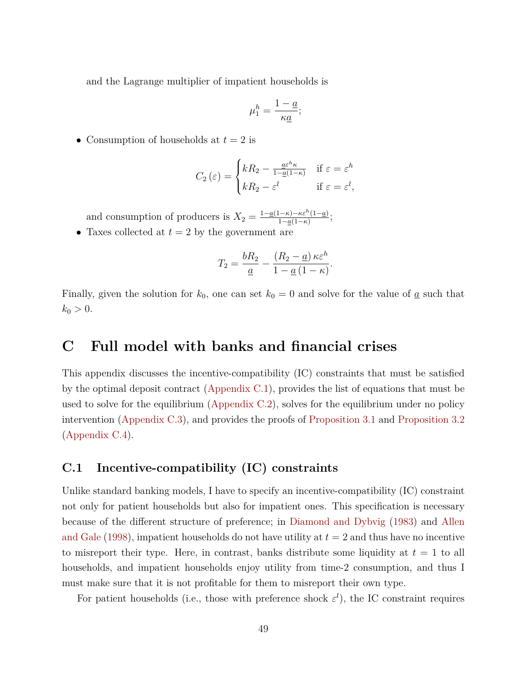and the Lagrange multiplier of impatient households is

$$
\mu_1^h=\frac{1-\underline{a}}{\kappa \underline{a}};
$$

• Consumption of households at  $t = 2$  is

$$
C_2(\varepsilon) = \begin{cases} kR_2 - \frac{a\varepsilon^h \kappa}{1 - a(1 - \kappa)} & \text{if } \varepsilon = \varepsilon^h \\ kR_2 - \varepsilon^l & \text{if } \varepsilon = \varepsilon^l, \end{cases}
$$

and consumption of producers is  $X_2 = \frac{1-a(1-\kappa)-\kappa\varepsilon^h(1-a)}{1-a(1-\kappa)}$  $\frac{1-\kappa-\kappa \varepsilon^{n}(1-\underline{a})}{1-\underline{a}(1-\kappa)}$ 

• Taxes collected at  $t = 2$  by the government are

$$
T_2 = \frac{bR_2}{\underline{a}} - \frac{(R_2 - \underline{a})\kappa \varepsilon^h}{1 - \underline{a}(1 - \kappa)}.
$$

Finally, given the solution for  $k_0$ , one can set  $k_0 = 0$  and solve for the value of <u>a</u> such that  $k_0 > 0$ .

## <span id="page-48-1"></span>**C Full model with banks and financial crises**

This appendix discusses the incentive-compatibility (IC) constraints that must be satisfied by the optimal deposit contract [\(Appendix](#page-48-0) [C.1\)](#page-48-0), provides the list of equations that must be used to solve for the equilibrium [\(Appendix](#page-49-0) [C.2\)](#page-49-0), solves for the equilibrium under no policy intervention [\(Appendix](#page-50-0) [C.3\)](#page-50-0), and provides the proofs of [Proposition](#page-33-1) [3.1](#page-33-1) and [Proposition](#page-34-1) [3.2](#page-34-1) [\(Appendix](#page-52-0) [C.4\)](#page-52-0).

#### <span id="page-48-0"></span>**C.1 Incentive-compatibility (IC) constraints**

Unlike standard banking models, I have to specify an incentive-compatibility (IC) constraint not only for patient households but also for impatient ones. This specification is necessary because of the different structure of preference; in [Diamond and Dybvig](#page-41-1) [\(1983\)](#page-41-1) and [Allen](#page-41-2) [and Gale](#page-41-2) [\(1998\)](#page-41-2), impatient households do not have utility at *t* = 2 and thus have no incentive to misreport their type. Here, in contrast, banks distribute some liquidity at  $t = 1$  to all households, and impatient households enjoy utility from time-2 consumption, and thus I must make sure that it is not profitable for them to misreport their own type.

For patient households (i.e., those with preference shock  $\varepsilon^l$ ), the IC constraint requires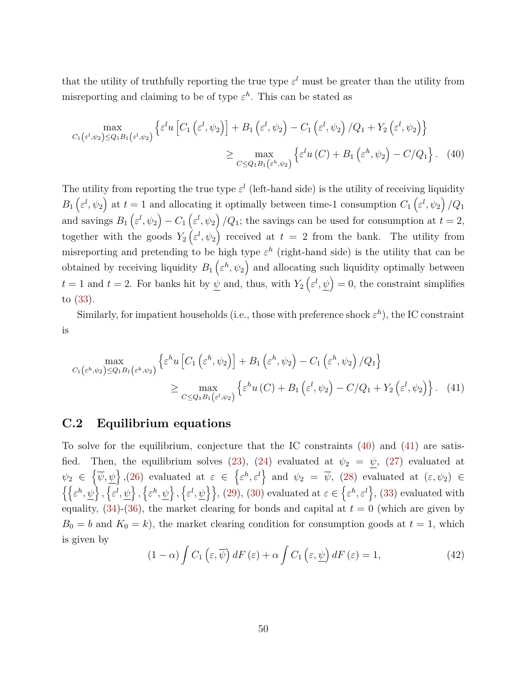that the utility of truthfully reporting the true type  $\varepsilon^l$  must be greater than the utility from misreporting and claiming to be of type  $\varepsilon^h$ . This can be stated as

<span id="page-49-1"></span>
$$
\max_{C_1(\varepsilon^l, \psi_2) \le Q_1 B_1(\varepsilon^l, \psi_2)} \left\{ \varepsilon^l u \left[ C_1 \left( \varepsilon^l, \psi_2 \right) \right] + B_1 \left( \varepsilon^l, \psi_2 \right) - C_1 \left( \varepsilon^l, \psi_2 \right) / Q_1 + Y_2 \left( \varepsilon^l, \psi_2 \right) \right\} \n\ge \max_{C \le Q_1 B_1(\varepsilon^h, \psi_2)} \left\{ \varepsilon^l u \left( C \right) + B_1 \left( \varepsilon^h, \psi_2 \right) - C / Q_1 \right\}.
$$
\n(40)

The utility from reporting the true type  $\varepsilon^l$  (left-hand side) is the utility of receiving liquidity  $B_1\left(\varepsilon^l,\psi_2\right)$  at  $t=1$  and allocating it optimally between time-1 consumption  $C_1\left(\varepsilon^l,\psi_2\right)/Q_1$ and savings  $B_1\left(\varepsilon^l,\psi_2\right) - C_1\left(\varepsilon^l,\psi_2\right)/Q_1$ ; the savings can be used for consumption at  $t = 2$ , together with the goods  $Y_2\left(\varepsilon^l,\psi_2\right)$  received at  $t=2$  from the bank. The utility from misreporting and pretending to be high type  $\varepsilon^h$  (right-hand side) is the utility that can be obtained by receiving liquidity  $B_1\left(\varepsilon^h,\psi_2\right)$  and allocating such liquidity optimally between  $t = 1$  and  $t = 2$ . For banks hit by  $\psi$  and, thus, with  $Y_2(\varepsilon^l, \psi) = 0$ , the constraint simplifies to [\(33\)](#page-29-1).

Similarly, for impatient households (i.e., those with preference shock  $\varepsilon^h$ ), the IC constraint is

$$
\max_{C_1(\varepsilon^h, \psi_2) \le Q_1 B_1(\varepsilon^h, \psi_2)} \left\{ \varepsilon^h u \left[ C_1 \left( \varepsilon^h, \psi_2 \right) \right] + B_1 \left( \varepsilon^h, \psi_2 \right) - C_1 \left( \varepsilon^h, \psi_2 \right) / Q_1 \right\}
$$
\n
$$
\ge \max_{C \le Q_1 B_1(\varepsilon^l, \psi_2)} \left\{ \varepsilon^h u \left( C \right) + B_1 \left( \varepsilon^l, \psi_2 \right) - C / Q_1 + Y_2 \left( \varepsilon^l, \psi_2 \right) \right\}. \tag{41}
$$

### <span id="page-49-0"></span>**C.2 Equilibrium equations**

To solve for the equilibrium, conjecture that the IC constraints [\(40\)](#page-49-1) and [\(41\)](#page-49-2) are satis-fied. Then, the equilibrium solves [\(23\)](#page-24-3), [\(24\)](#page-25-3) evaluated at  $\psi_2 = \psi$ , [\(27\)](#page-26-2) evaluated at  $\psi_2 \in \{\overline{\psi}, \psi\}, (26)$  $\psi_2 \in \{\overline{\psi}, \psi\}, (26)$  evaluated at  $\varepsilon \in {\{\varepsilon^h, \varepsilon^l\}}$  and  $\psi_2 = \overline{\psi}, (28)$  $\psi_2 = \overline{\psi}, (28)$  evaluated at  $(\varepsilon, \psi_2) \in$  $\{\{\varepsilon^h,\psi\},\{\varepsilon^l,\psi\},\{\varepsilon^h,\psi\},\{\varepsilon^l,\psi\}\}\$ , [\(29\)](#page-26-1), [\(30\)](#page-29-3) evaluated at  $\varepsilon \in \{\varepsilon^h,\varepsilon^l\}$ , [\(33\)](#page-29-1) evaluated with equality,  $(34)-(36)$  $(34)-(36)$  $(34)-(36)$ , the market clearing for bonds and capital at  $t = 0$  (which are given by  $B_0 = b$  and  $K_0 = k$ , the market clearing condition for consumption goods at  $t = 1$ , which is given by

<span id="page-49-3"></span><span id="page-49-2"></span>
$$
(1 - \alpha) \int C_1 (\varepsilon, \overline{\psi}) dF (\varepsilon) + \alpha \int C_1 (\varepsilon, \underline{\psi}) dF (\varepsilon) = 1,
$$
\n(42)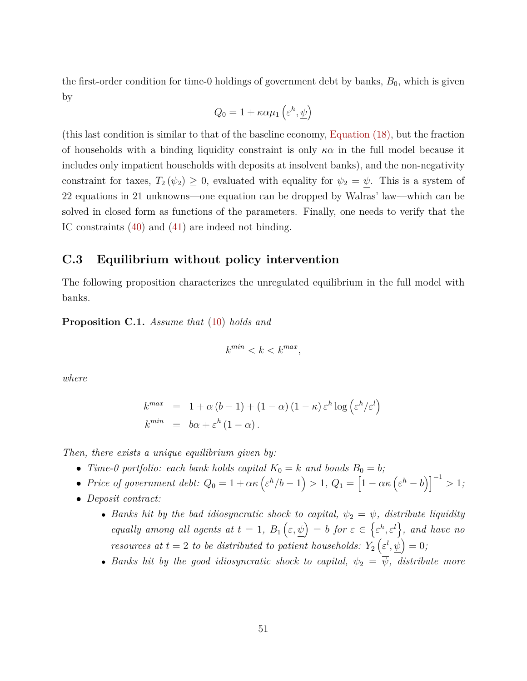the first-order condition for time-0 holdings of government debt by banks,  $B_0$ , which is given by

$$
Q_0 = 1 + \kappa \alpha \mu_1 \left( \varepsilon^h, \underline{\psi} \right)
$$

(this last condition is similar to that of the baseline economy, [Equation](#page-14-2) [\(18\),](#page-14-2) but the fraction of households with a binding liquidity constraint is only *κα* in the full model because it includes only impatient households with deposits at insolvent banks), and the non-negativity constraint for taxes,  $T_2(\psi_2) \geq 0$ , evaluated with equality for  $\psi_2 = \psi$ . This is a system of 22 equations in 21 unknowns—one equation can be dropped by Walras' law—which can be solved in closed form as functions of the parameters. Finally, one needs to verify that the IC constraints [\(40\)](#page-49-1) and [\(41\)](#page-49-2) are indeed not binding.

#### <span id="page-50-0"></span>**C.3 Equilibrium without policy intervention**

The following proposition characterizes the unregulated equilibrium in the full model with banks.

<span id="page-50-1"></span>**Proposition C.1.** *Assume that* [\(10\)](#page-10-2) *holds and*

$$
k^{min} < k < k^{max},
$$

*where*

$$
k^{max} = 1 + \alpha (b - 1) + (1 - \alpha) (1 - \kappa) \varepsilon^{h} \log (\varepsilon^{h} / \varepsilon^{l})
$$
  

$$
k^{min} = b\alpha + \varepsilon^{h} (1 - \alpha).
$$

*Then, there exists a unique equilibrium given by:*

- *Time-0 portfolio: each bank holds capital*  $K_0 = k$  *and bonds*  $B_0 = b$ ;
- *Price of government debt:*  $Q_0 = 1 + \alpha \kappa \left( \varepsilon^h / b 1 \right) > 1$ ,  $Q_1 = \left[ 1 \alpha \kappa \left( \varepsilon^h b \right) \right]^{-1} > 1$ ;
- *Deposit contract:*
	- *Banks hit by the bad idiosyncratic shock to capital,*  $\psi_2 = \psi$ *, distribute liquidity equally among all agents at*  $t = 1$ ,  $B_1(\varepsilon,\psi) = b$  *for*  $\varepsilon \in {\varepsilon^h, \varepsilon^l}$ , and have no *resources at*  $t = 2$  *to be distributed to patient households:*  $Y_2(\varepsilon^l, \psi) = 0$ ;
	- *Banks hit by the good idiosyncratic shock to capital,*  $\psi_2 = \overline{\psi}$ *, distribute more*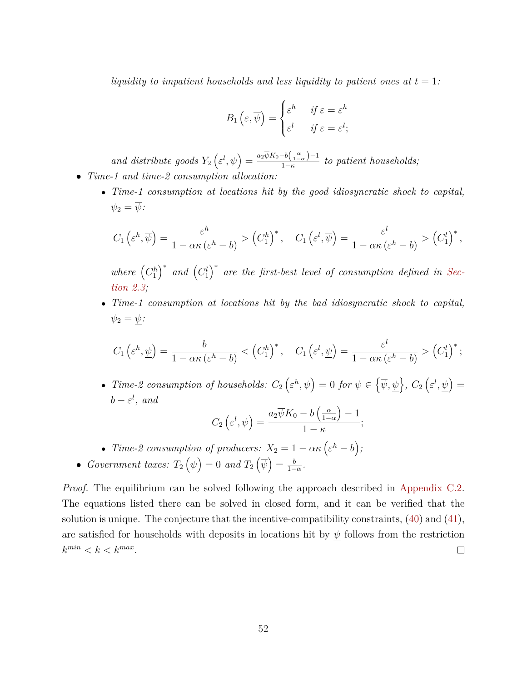*liquidity to impatient households and less liquidity to patient ones at*  $t = 1$ :

$$
B_1\left(\varepsilon,\overline{\psi}\right) = \begin{cases} \varepsilon^h & \text{if } \varepsilon = \varepsilon^h \\ \varepsilon^l & \text{if } \varepsilon = \varepsilon^l; \end{cases}
$$

*and distribute goods*  $Y_2\left(\varepsilon^l, \overline{\psi}\right) = \frac{a_2\overline{\psi}K_0 - b\left(\frac{\alpha}{1-\alpha}\right) - 1}{1-\kappa}$ 1−*κ to patient households;* • *Time-1 and time-2 consumption allocation:*

• *Time-1 consumption at locations hit by the good idiosyncratic shock to capital,*  $\psi_2 = \overline{\psi}$ :

$$
C_1\left(\varepsilon^h, \overline{\psi}\right) = \frac{\varepsilon^h}{1 - \alpha \kappa \left(\varepsilon^h - b\right)} > \left(C_1^h\right)^*, \quad C_1\left(\varepsilon^l, \overline{\psi}\right) = \frac{\varepsilon^l}{1 - \alpha \kappa \left(\varepsilon^h - b\right)} > \left(C_1^l\right)^*,
$$

where  $(C_1^h)^*$  and  $(C_1^l)^*$  are the first-best level of consumption defined in [Sec](#page-8-1)*[tion](#page-8-1) [2.3;](#page-8-1)*

• *Time-1 consumption at locations hit by the bad idiosyncratic shock to capital,*  $\psi_2 = \psi$ :

$$
C_1\left(\varepsilon^h, \underline{\psi}\right) = \frac{b}{1 - \alpha\kappa \left(\varepsilon^h - b\right)} < \left(C_1^h\right)^*, \quad C_1\left(\varepsilon^l, \underline{\psi}\right) = \frac{\varepsilon^l}{1 - \alpha\kappa \left(\varepsilon^h - b\right)} > \left(C_1^l\right)^*;
$$

• *Time-2* consumption of households:  $C_2 \left( \varepsilon^h, \psi \right) = 0$  for  $\psi \in \{ \overline{\psi}, \psi \}, C_2 \left( \varepsilon^l, \psi \right) =$  $b - \varepsilon^l$ , and

$$
C_2\left(\varepsilon^l,\overline{\psi}\right)=\frac{a_2\overline{\psi}K_0-b\left(\frac{\alpha}{1-\alpha}\right)-1}{1-\kappa};
$$

• Time-2 consumption of producers: 
$$
X_2 = 1 - \alpha \kappa \left( \varepsilon^h - b \right)
$$
;

• *Government taxes:*  $T_2(\psi) = 0$  *and*  $T_2(\overline{\psi}) = \frac{b}{1-\psi}$  $\frac{b}{1-\alpha}$ .

*Proof.* The equilibrium can be solved following the approach described in [Appendix](#page-49-0) [C.2.](#page-49-0) The equations listed there can be solved in closed form, and it can be verified that the solution is unique. The conjecture that the incentive-compatibility constraints,  $(40)$  and  $(41)$ , are satisfied for households with deposits in locations hit by  $\psi$  follows from the restriction  $k^{min} < k < k^{max}$ .  $\Box$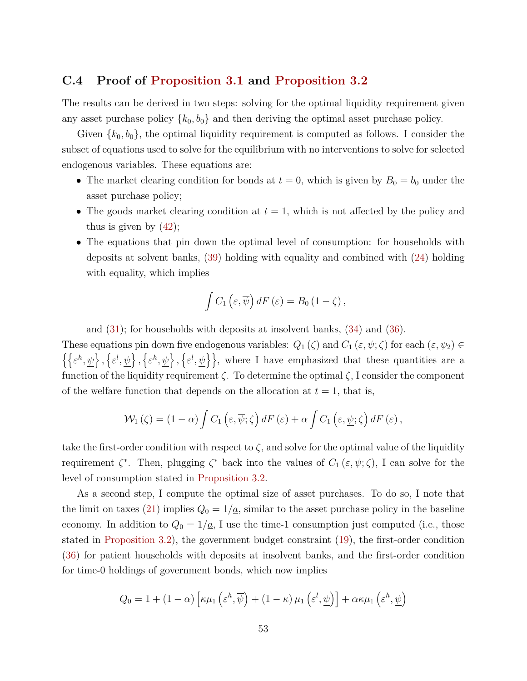#### <span id="page-52-0"></span>**C.4 Proof of [Proposition](#page-33-1) [3.1](#page-33-1) and [Proposition](#page-34-1) [3.2](#page-34-1)**

The results can be derived in two steps: solving for the optimal liquidity requirement given any asset purchase policy  $\{k_0, b_0\}$  and then deriving the optimal asset purchase policy.

Given  $\{k_0, b_0\}$ , the optimal liquidity requirement is computed as follows. I consider the subset of equations used to solve for the equilibrium with no interventions to solve for selected endogenous variables. These equations are:

- The market clearing condition for bonds at  $t = 0$ , which is given by  $B_0 = b_0$  under the asset purchase policy;
- The goods market clearing condition at  $t = 1$ , which is not affected by the policy and thus is given by  $(42)$ ;
- The equations that pin down the optimal level of consumption: for households with deposits at solvent banks, [\(39\)](#page-33-0) holding with equality and combined with [\(24\)](#page-25-3) holding with equality, which implies

$$
\int C_1\left(\varepsilon,\overline{\psi}\right)dF\left(\varepsilon\right)=B_0\left(1-\zeta\right),\,
$$

and [\(31\)](#page-29-4); for households with deposits at insolvent banks, [\(34\)](#page-30-2) and [\(36\)](#page-30-1).

These equations pin down five endogenous variables:  $Q_1(\zeta)$  and  $C_1(\varepsilon, \psi; \zeta)$  for each  $(\varepsilon, \psi_2) \in$  $\{\{\varepsilon^h,\psi\},\{\varepsilon^l,\psi\},\{\varepsilon^h,\psi\},\{\varepsilon^l,\psi\}\}\$ , where I have emphasized that these quantities are a function of the liquidity requirement *ζ*. To determine the optimal *ζ*, I consider the component of the welfare function that depends on the allocation at  $t = 1$ , that is,

$$
\mathcal{W}_1(\zeta) = (1 - \alpha) \int C_1(\varepsilon, \overline{\psi}; \zeta) dF(\varepsilon) + \alpha \int C_1(\varepsilon, \underline{\psi}; \zeta) dF(\varepsilon),
$$

take the first-order condition with respect to  $\zeta$ , and solve for the optimal value of the liquidity requirement  $\zeta^*$ . Then, plugging  $\zeta^*$  back into the values of  $C_1(\varepsilon,\psi;\zeta)$ , I can solve for the level of consumption stated in [Proposition](#page-34-1) [3.2.](#page-34-1)

As a second step, I compute the optimal size of asset purchases. To do so, I note that the limit on taxes [\(21\)](#page-17-0) implies  $Q_0 = 1/\underline{a}$ , similar to the asset purchase policy in the baseline economy. In addition to  $Q_0 = 1/\underline{a}$ , I use the time-1 consumption just computed (i.e., those stated in [Proposition](#page-34-1) [3.2\)](#page-34-1), the government budget constraint [\(19\)](#page-16-1), the first-order condition [\(36\)](#page-30-1) for patient households with deposits at insolvent banks, and the first-order condition for time-0 holdings of government bonds, which now implies

$$
Q_0 = 1 + (1 - \alpha) \left[ \kappa \mu_1 \left( \varepsilon^h, \overline{\psi} \right) + (1 - \kappa) \mu_1 \left( \varepsilon^l, \underline{\psi} \right) \right] + \alpha \kappa \mu_1 \left( \varepsilon^h, \underline{\psi} \right)
$$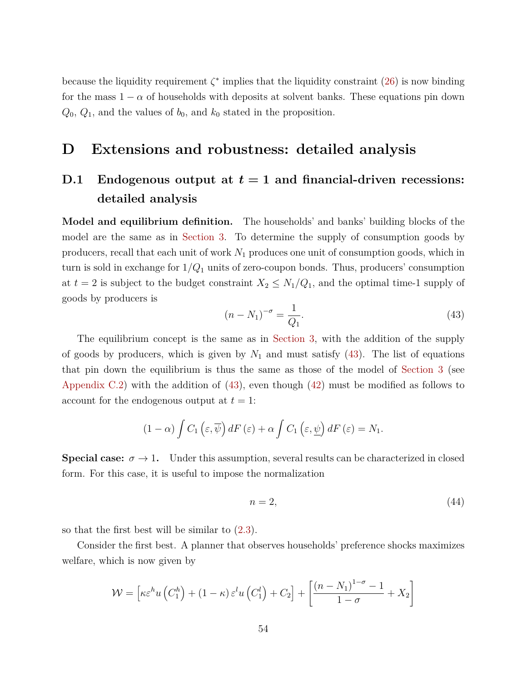because the liquidity requirement  $\zeta^*$  implies that the liquidity constraint  $(26)$  is now binding for the mass  $1 - \alpha$  of households with deposits at solvent banks. These equations pin down  $Q_0$ ,  $Q_1$ , and the values of  $b_0$ , and  $k_0$  stated in the proposition.

## <span id="page-53-0"></span>**D Extensions and robustness: detailed analysis**

# <span id="page-53-1"></span>**D.1** Endogenous output at  $t = 1$  and financial-driven recessions: **detailed analysis**

**Model and equilibrium definition.** The households' and banks' building blocks of the model are the same as in [Section](#page-20-0) [3.](#page-20-0) To determine the supply of consumption goods by producers, recall that each unit of work *N*<sup>1</sup> produces one unit of consumption goods, which in turn is sold in exchange for 1*/Q*<sup>1</sup> units of zero-coupon bonds. Thus, producers' consumption at  $t = 2$  is subject to the budget constraint  $X_2 \leq N_1/Q_1$ , and the optimal time-1 supply of goods by producers is

<span id="page-53-2"></span>
$$
(n - N_1)^{-\sigma} = \frac{1}{Q_1}.
$$
\n(43)

The equilibrium concept is the same as in [Section](#page-20-0) [3,](#page-20-0) with the addition of the supply of goods by producers, which is given by  $N_1$  and must satisfy  $(43)$ . The list of equations that pin down the equilibrium is thus the same as those of the model of [Section](#page-20-0) [3](#page-20-0) (see [Appendix](#page-49-0) [C.2\)](#page-49-0) with the addition of [\(43\)](#page-53-2), even though [\(42\)](#page-49-3) must be modified as follows to account for the endogenous output at *t* = 1:

$$
(1 - \alpha) \int C_1 (\varepsilon, \overline{\psi}) dF (\varepsilon) + \alpha \int C_1 (\varepsilon, \underline{\psi}) dF (\varepsilon) = N_1.
$$

**Special case:**  $\sigma \to 1$ . Under this assumption, several results can be characterized in closed form. For this case, it is useful to impose the normalization

<span id="page-53-3"></span>
$$
n = 2,\tag{44}
$$

so that the first best will be similar to [\(2.3\)](#page-8-1).

Consider the first best. A planner that observes households' preference shocks maximizes welfare, which is now given by

$$
\mathcal{W} = \left[ \kappa \varepsilon^{h} u \left( C_{1}^{h} \right) + (1 - \kappa) \varepsilon^{l} u \left( C_{1}^{l} \right) + C_{2} \right] + \left[ \frac{\left( n - N_{1} \right)^{1 - \sigma} - 1}{1 - \sigma} + X_{2} \right]
$$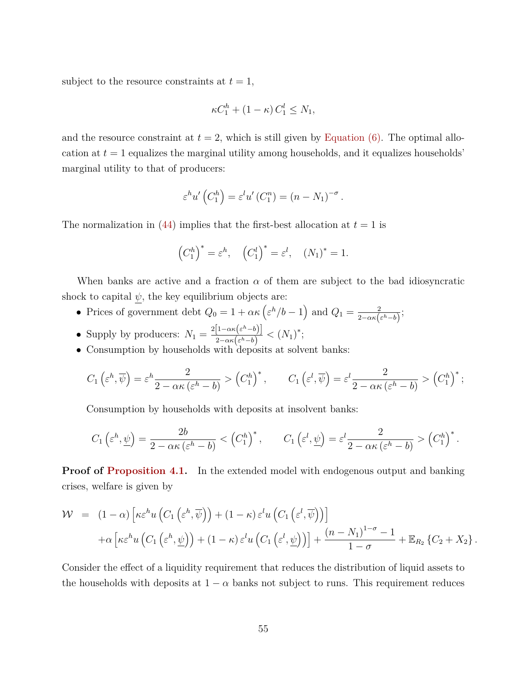subject to the resource constraints at  $t = 1$ ,

$$
\kappa C_1^h + (1 - \kappa) C_1^l \le N_1,
$$

and the resource constraint at  $t = 2$ , which is still given by [Equation](#page-9-4)  $(6)$ . The optimal allocation at  $t = 1$  equalizes the marginal utility among households, and it equalizes households<sup>-</sup> marginal utility to that of producers:

$$
\varepsilon^{h} u' \left( C_1^{h} \right) = \varepsilon^{l} u' \left( C_1^{n} \right) = \left( n - N_1 \right)^{-\sigma}.
$$

The normalization in  $(44)$  implies that the first-best allocation at  $t = 1$  is

$$
(C_1^h)^* = \varepsilon^h
$$
,  $(C_1^l)^* = \varepsilon^l$ ,  $(N_1)^* = 1$ .

When banks are active and a fraction *α* of them are subject to the bad idiosyncratic shock to capital  $\psi$ , the key equilibrium objects are:

- Prices of government debt  $Q_0 = 1 + \alpha \kappa \left( \varepsilon^h / b 1 \right)$  and  $Q_1 = \frac{2}{2 \pi \kappa h}$  $rac{2}{2-\alpha\kappa\left(\varepsilon^{h}-b\right)}$ ;
- Supply by producers:  $N_1 = \frac{2[1-\alpha\kappa(\epsilon^h-b)]}{2-\alpha\kappa(\epsilon^h-b)}$  $\frac{\left[1-\alpha\kappa\left(\varepsilon^{n}-b\right)\right]}{2-\alpha\kappa\left(\varepsilon^{h}-b\right)}<\left(N_{1}\right)^{*};$
- Consumption by households with deposits at solvent banks:

$$
C_1\left(\varepsilon^h, \overline{\psi}\right) = \varepsilon^h \frac{2}{2 - \alpha \kappa \left(\varepsilon^h - b\right)} > \left(C_1^h\right)^*, \qquad C_1\left(\varepsilon^l, \overline{\psi}\right) = \varepsilon^l \frac{2}{2 - \alpha \kappa \left(\varepsilon^h - b\right)} > \left(C_1^h\right)^*;
$$

Consumption by households with deposits at insolvent banks:

$$
C_1\left(\varepsilon^h, \underline{\psi}\right) = \frac{2b}{2 - \alpha\kappa \left(\varepsilon^h - b\right)} < \left(C_1^h\right)^*, \qquad C_1\left(\varepsilon^l, \underline{\psi}\right) = \varepsilon^l \frac{2}{2 - \alpha\kappa \left(\varepsilon^h - b\right)} > \left(C_1^h\right)^*.
$$

**Proof of [Proposition](#page-37-0) [4.1.](#page-37-0)** In the extended model with endogenous output and banking crises, welfare is given by

$$
\mathcal{W} = (1 - \alpha) \left[ \kappa \varepsilon^{h} u \left( C_{1} \left( \varepsilon^{h}, \overline{\psi} \right) \right) + (1 - \kappa) \varepsilon^{l} u \left( C_{1} \left( \varepsilon^{l}, \overline{\psi} \right) \right) \right] \n+ \alpha \left[ \kappa \varepsilon^{h} u \left( C_{1} \left( \varepsilon^{h}, \underline{\psi} \right) \right) + (1 - \kappa) \varepsilon^{l} u \left( C_{1} \left( \varepsilon^{l}, \underline{\psi} \right) \right) \right] + \frac{(n - N_{1})^{1 - \sigma} - 1}{1 - \sigma} + \mathbb{E}_{R_{2}} \left\{ C_{2} + X_{2} \right\}.
$$

Consider the effect of a liquidity requirement that reduces the distribution of liquid assets to the households with deposits at  $1 - \alpha$  banks not subject to runs. This requirement reduces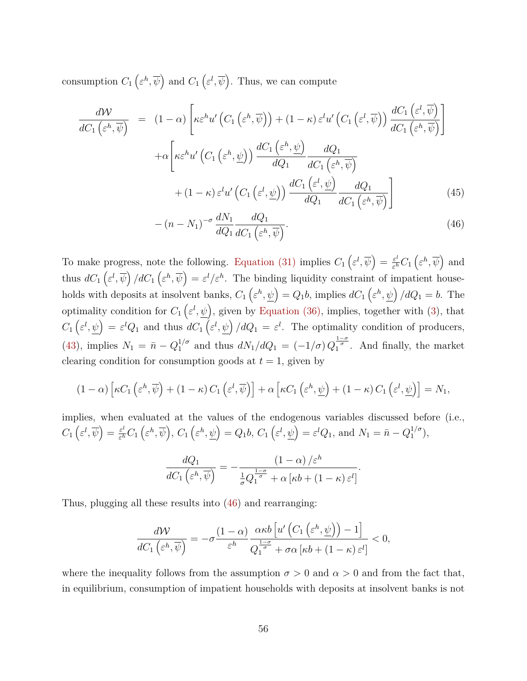consumption  $C_1\left(\varepsilon^h, \overline{\psi}\right)$  and  $C_1\left(\varepsilon^l, \overline{\psi}\right)$ . Thus, we can compute

<span id="page-55-0"></span>
$$
\frac{d\mathcal{W}}{dC_{1}(\varepsilon^{h}, \overline{\psi})} = (1 - \alpha) \left[ \kappa \varepsilon^{h} u' \left( C_{1}(\varepsilon^{h}, \overline{\psi}) \right) + (1 - \kappa) \varepsilon^{l} u' \left( C_{1}(\varepsilon^{l}, \overline{\psi}) \right) \frac{dC_{1}(\varepsilon^{l}, \overline{\psi})}{dC_{1}(\varepsilon^{h}, \overline{\psi})} \right]
$$

$$
+ \alpha \left[ \kappa \varepsilon^{h} u' \left( C_{1}(\varepsilon^{h}, \underline{\psi}) \right) \frac{dC_{1}(\varepsilon^{h}, \underline{\psi})}{dQ_{1}} \frac{dQ_{1}}{dC_{1}(\varepsilon^{h}, \overline{\psi})} + (1 - \kappa) \varepsilon^{l} u' \left( C_{1}(\varepsilon^{l}, \underline{\psi}) \right) \frac{dC_{1}(\varepsilon^{l}, \underline{\psi})}{dQ_{1}} \frac{dQ_{1}}{dC_{1}(\varepsilon^{h}, \overline{\psi})} \right]
$$

$$
- (n - N_{1})^{-\sigma} \frac{dN_{1}}{dQ_{1}} \frac{dQ_{1}}{dQ_{1}}.
$$
(45)

$$
-(n-N_1)^{-\sigma} \frac{dN_1}{dQ_1} \frac{dQ_1}{dC_1 \left(\varepsilon^h, \overline{\psi}\right)}.
$$
\n(46)

To make progress, note the following. [Equation](#page-29-4) [\(31\)](#page-29-4) implies  $C_1 \left( \varepsilon^l, \overline{\psi} \right) = \frac{\varepsilon^l}{\varepsilon^h}$  $\frac{\varepsilon^l}{\varepsilon^h} C_1 \left( \varepsilon^h, \overline{\psi} \right)$  and thus  $dC_1\left(\varepsilon^l,\overline{\psi}\right)/dC_1\left(\varepsilon^h,\overline{\psi}\right)=\varepsilon^l/\varepsilon^h$ . The binding liquidity constraint of impatient households with deposits at insolvent banks,  $C_1\left(\varepsilon^h, \psi\right) = Q_1b$ , implies  $dC_1\left(\varepsilon^h, \psi\right)/dQ_1 = b$ . The optimality condition for  $C_1\left(\varepsilon^l,\psi\right)$ , given by [Equation](#page-30-1) [\(36\),](#page-30-1) implies, together with [\(3\)](#page-7-3), that  $C_1\left(\varepsilon^l,\psi\right) = \varepsilon^l Q_1$  and thus  $dC_1\left(\varepsilon^l,\psi\right)/dQ_1 = \varepsilon^l$ . The optimality condition of producers, [\(43\)](#page-53-2), implies  $N_1 = \bar{n} - Q_1^{1/\sigma}$  and thus  $dN_1/dQ_1 = (-1/\sigma)Q_1^{\frac{1-\sigma}{\sigma}}$ . And finally, the market clearing condition for consumption goods at  $t = 1$ , given by

$$
(1-\alpha)\left[\kappa C_1\left(\varepsilon^h,\overline{\psi}\right)+(1-\kappa) C_1\left(\varepsilon^l,\overline{\psi}\right)\right]+\alpha\left[\kappa C_1\left(\varepsilon^h,\underline{\psi}\right)+(1-\kappa) C_1\left(\varepsilon^l,\underline{\psi}\right)\right]=N_1,
$$

implies, when evaluated at the values of the endogenous variables discussed before (i.e.,  $C_1\left(\varepsilon^l,\overline{\psi}\right)=\frac{\varepsilon^l}{\varepsilon^h}$  $\frac{\varepsilon^l}{\varepsilon^h} C_1\left(\varepsilon^h, \overline{\psi}\right)$ ,  $C_1\left(\varepsilon^h, \underline{\psi}\right) = Q_1b$ ,  $C_1\left(\varepsilon^l, \underline{\psi}\right) = \varepsilon^l Q_1$ , and  $N_1 = \bar{n} - Q_1^{1/\sigma}$  $\binom{1}{1}^{\sigma}$ ,

$$
\frac{dQ_1}{dC_1\left(\varepsilon^h, \overline{\psi}\right)} = -\frac{(1-\alpha)/\varepsilon^h}{\frac{1}{\sigma}Q_1^{\frac{1-\sigma}{\sigma}} + \alpha \left[\kappa b + (1-\kappa)\varepsilon^l\right]}.
$$

Thus, plugging all these results into [\(46\)](#page-55-0) and rearranging:

$$
\frac{d\mathcal{W}}{dC_1\left(\varepsilon^h, \overline{\psi}\right)} = -\sigma \frac{(1-\alpha)}{\varepsilon^h} \frac{\alpha \kappa b \left[ u'\left(C_1\left(\varepsilon^h, \underline{\psi}\right)\right) - 1 \right]}{Q_1^{\frac{1-\sigma}{\sigma}} + \sigma \alpha \left[ \kappa b + (1-\kappa) \varepsilon^l \right]} < 0,
$$

where the inequality follows from the assumption  $\sigma > 0$  and  $\alpha > 0$  and from the fact that, in equilibrium, consumption of impatient households with deposits at insolvent banks is not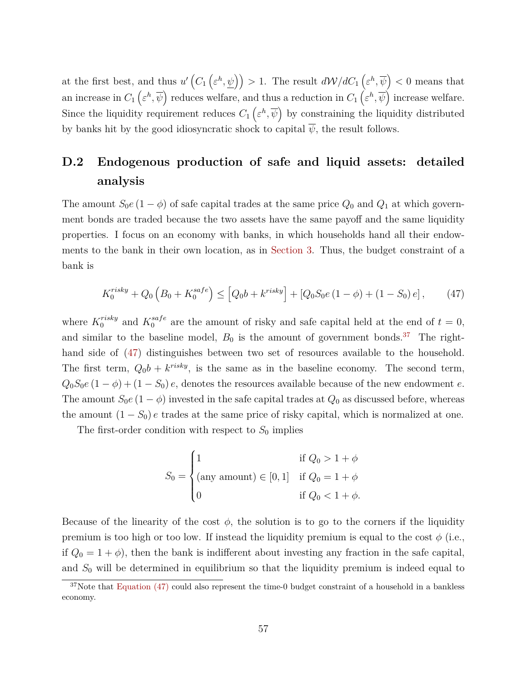at the first best, and thus  $u'$   $(C_1(\varepsilon^h, \psi)) > 1$ . The result  $dW/dC_1(\varepsilon^h, \overline{\psi}) < 0$  means that an increase in  $C_1\left(\varepsilon^h,\overline{\psi}\right)$  reduces welfare, and thus a reduction in  $C_1\left(\varepsilon^h,\overline{\psi}\right)$  increase welfare. Since the liquidity requirement reduces  $C_1\left(\varepsilon^h,\overline{\psi}\right)$  by constraining the liquidity distributed by banks hit by the good idiosyncratic shock to capital  $\psi$ , the result follows.

# <span id="page-56-0"></span>**D.2 Endogenous production of safe and liquid assets: detailed analysis**

The amount  $S_0e(1-\phi)$  of safe capital trades at the same price  $Q_0$  and  $Q_1$  at which government bonds are traded because the two assets have the same payoff and the same liquidity properties. I focus on an economy with banks, in which households hand all their endowments to the bank in their own location, as in [Section](#page-20-0) [3.](#page-20-0) Thus, the budget constraint of a bank is

<span id="page-56-2"></span>
$$
K_0^{risky} + Q_0 \left( B_0 + K_0^{safe} \right) \leq \left[ Q_0 b + k^{risky} \right] + \left[ Q_0 S_0 e \left( 1 - \phi \right) + \left( 1 - S_0 \right) e \right],\tag{47}
$$

where  $K_0^{risky}$  and  $K_0^{safe}$  are the amount of risky and safe capital held at the end of  $t=0$ , and similar to the baseline model,  $B_0$  is the amount of government bonds.<sup>[37](#page-56-1)</sup> The righthand side of [\(47\)](#page-56-2) distinguishes between two set of resources available to the household. The first term,  $Q_0b + k^{risky}$ , is the same as in the baseline economy. The second term,  $Q_0S_0e(1-\phi)+(1-S_0)e$ , denotes the resources available because of the new endowment *e*. The amount  $S_0e(1-\phi)$  invested in the safe capital trades at  $Q_0$  as discussed before, whereas the amount  $(1 - S_0)$  *e* trades at the same price of risky capital, which is normalized at one.

The first-order condition with respect to  $S_0$  implies

$$
S_0 = \begin{cases} 1 & \text{if } Q_0 > 1 + \phi \\ \text{(any amount)} \in [0, 1] & \text{if } Q_0 = 1 + \phi \\ 0 & \text{if } Q_0 < 1 + \phi. \end{cases}
$$

Because of the linearity of the cost  $\phi$ , the solution is to go to the corners if the liquidity premium is too high or too low. If instead the liquidity premium is equal to the cost  $\phi$  (i.e., if  $Q_0 = 1 + \phi$ , then the bank is indifferent about investing any fraction in the safe capital, and *S*<sup>0</sup> will be determined in equilibrium so that the liquidity premium is indeed equal to

<span id="page-56-1"></span> $37$ Note that [Equation](#page-56-2) [\(47\)](#page-56-2) could also represent the time-0 budget constraint of a household in a bankless economy.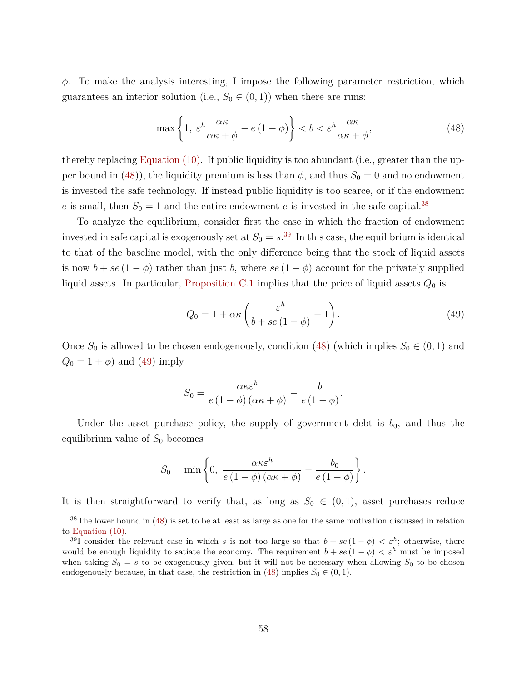*φ*. To make the analysis interesting, I impose the following parameter restriction, which guarantees an interior solution (i.e.,  $S_0 \in (0,1)$ ) when there are runs:

<span id="page-57-0"></span>
$$
\max\left\{1, \ \varepsilon^h \frac{\alpha \kappa}{\alpha \kappa + \phi} - e\left(1 - \phi\right)\right\} < b < \varepsilon^h \frac{\alpha \kappa}{\alpha \kappa + \phi},\tag{48}
$$

thereby replacing [Equation](#page-10-2) [\(10\).](#page-10-2) If public liquidity is too abundant (i.e., greater than the up-per bound in [\(48\)](#page-57-0)), the liquidity premium is less than  $\phi$ , and thus  $S_0 = 0$  and no endowment is invested the safe technology. If instead public liquidity is too scarce, or if the endowment *e* is small, then  $S_0 = 1$  and the entire endowment *e* is invested in the safe capital.<sup>[38](#page-57-1)</sup>

To analyze the equilibrium, consider first the case in which the fraction of endowment invested in safe capital is exogenously set at  $S_0 = s^{39}$  $S_0 = s^{39}$  $S_0 = s^{39}$  In this case, the equilibrium is identical to that of the baseline model, with the only difference being that the stock of liquid assets is now  $b + se(1 - \phi)$  rather than just *b*, where  $se(1 - \phi)$  account for the privately supplied liquid assets. In particular, [Proposition](#page-50-1) [C.1](#page-50-1) implies that the price of liquid assets *Q*<sup>0</sup> is

<span id="page-57-3"></span>
$$
Q_0 = 1 + \alpha \kappa \left( \frac{\varepsilon^h}{b + s e (1 - \phi)} - 1 \right). \tag{49}
$$

Once  $S_0$  is allowed to be chosen endogenously, condition [\(48\)](#page-57-0) (which implies  $S_0 \in (0,1)$  and  $Q_0 = 1 + \phi$  and [\(49\)](#page-57-3) imply

$$
S_0 = \frac{\alpha \kappa \varepsilon^h}{e (1 - \phi) (\alpha \kappa + \phi)} - \frac{b}{e (1 - \phi)}.
$$

Under the asset purchase policy, the supply of government debt is  $b_0$ , and thus the equilibrium value of  $S_0$  becomes

$$
S_0 = \min \left\{ 0, \frac{\alpha \kappa \varepsilon^h}{e (1 - \phi) (\alpha \kappa + \phi)} - \frac{b_0}{e (1 - \phi)} \right\}.
$$

It is then straightforward to verify that, as long as  $S_0 \in (0,1)$ , asset purchases reduce

<span id="page-57-1"></span><sup>&</sup>lt;sup>38</sup>The lower bound in [\(48\)](#page-57-0) is set to be at least as large as one for the same motivation discussed in relation to [Equation](#page-10-2) [\(10\).](#page-10-2)

<span id="page-57-2"></span><sup>&</sup>lt;sup>39</sup>I consider the relevant case in which *s* is not too large so that  $b + se(1 - \phi) < \varepsilon^h$ ; otherwise, there would be enough liquidity to satiate the economy. The requirement  $b + se(1 - \phi) < \varepsilon^h$  must be imposed when taking  $S_0 = s$  to be exogenously given, but it will not be necessary when allowing  $S_0$  to be chosen endogenously because, in that case, the restriction in [\(48\)](#page-57-0) implies  $S_0 \in (0,1)$ .